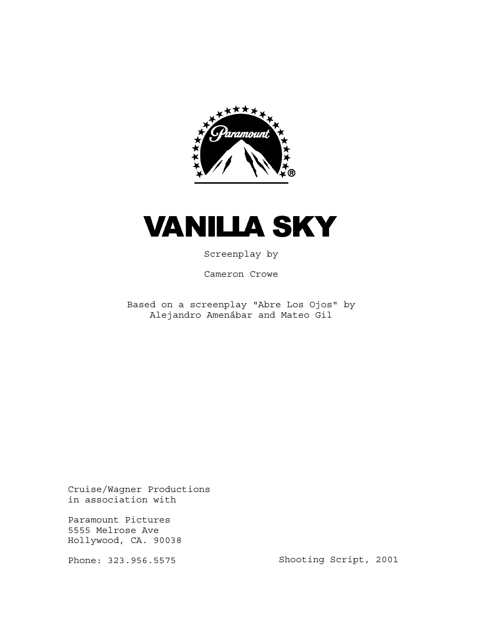

# **VANILLA SKY**

Screenplay by

Cameron Crowe

Based on a screenplay "Abre Los Ojos" by Alejandro Amenábar and Mateo Gil

Cruise/Wagner Productions in association with

Paramount Pictures 5555 Melrose Ave Hollywood, CA. 90038

Phone: 323.956.5575

Shooting Script, 2001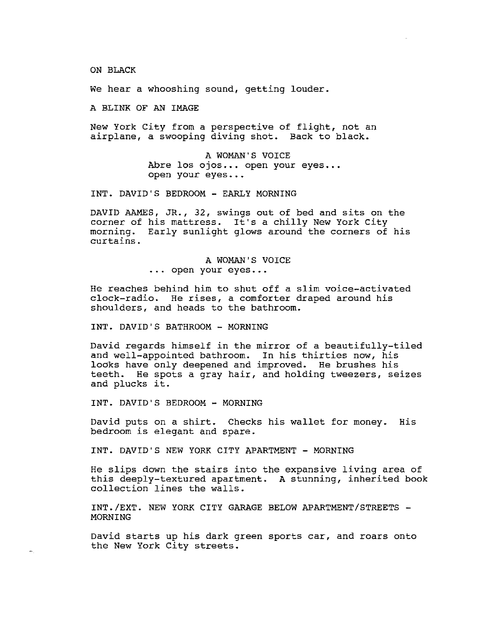ON BLACK

We hear a whooshing sound, getting louder.

A BLINK OF AN IMAGE

New York City from a perspective of flight, not an airplane, a swooping diving shot. Back to black.

> A WOMAN'S VOICE Abre los ojos... open your eyes... open your eyes •••

INT. DAVID'S BEDROOM - EARLY MORNING

DAVID AAMES, JR., 32, swings out of bed and sits on the corner of his mattress. It's a chilly New York City morning. Early sunlight glows around the corners of his curtains.

> A WOMAN'S VOICE • . . open your eyes ...

He reaches behind him to shut off a slim voice-activated clock-radio. He rises, a comforter draped around his shoulders, and heads to the bathroom.

INT. DAVID'S BATHROOM - MORNING

David regards himself in the mirror of a beautifully-tiled and well-appointed bathroom. In his thirties now, his looks have only deepened and improved. He brushes his teeth. He spots a gray hair, and holding tweezers, seizes and plucks it.

INT. DAVID'S BEDROOM - MORNING

 $\mu_{\rm N}$ 

David puts on a shirt. Checks his wallet for money. His bedroom is elegant and spare.

INT. DAVID'S NEW YORK CITY APARTMENT - MORNING

He slips down the stairs into the expansive living area of this deeply-textured apartment. A stunning, inherited book collection lines the walls.

INT./EXT. NEW YORK CITY GARAGE BELOW APARTMENT/STREETS -MORNING

David starts up his dark green sports car, and roars onto the New York City streets.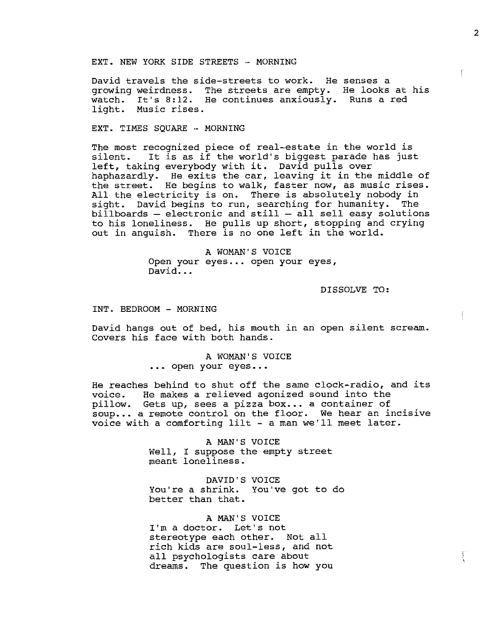EXT. NEW YORK SIDE STREETS - MORNING

David travels the side-streets to work. He senses a growing weirdness. The streets are empty. He looks at his watch. It's 8:12. He continues anxiously. Runs a red watch. It's 8:12.<br>light. Music rises.

EXT. TIMES SQUARE - MORNING

The most recognized piece of real-estate in the world is silent. It is as if the world's biggest parade has just silent. It is as if the world's biggest parade n<br>left, taking everybody with it. David pulls over lett, taking everybody with it. David pulls over<br>haphazardly. He exits the car, leaving it in the middle of the street. He begins to walk, faster now, as music rises. All the electricity is on. There is absolutely nobody in sight. David begins to run, searching for humanity. The  $bili$ boards  $-$  electronic and still  $-$  all sell easy solutions to his loneliness. He pulls up short, stopping and crying out in anguish. There is no one left in the world.

> A WOMAN'S VOICE Open your eyes... open your eyes, David...

> > DISSOLVE TO:

INT. BEDROOM - MORNING

David hangs out of bed, his mouth in an open silent scream. Covers his face with both hands.

> A WOMAN'S VOICE ••• open your eyes •.•

He reaches behind to shut off the same clock-radio, and its voice. He makes a relieved agonized sound into the pillow. Gets up, sees a pizza box... a container of soup... a remote control on the floor. We hear an incisive voice with a comforting lilt - a man we'll meet later.

> A MAN'S VOICE Well, I suppose the empty street meant loneliness.

DAVID'S VOICE You're a shrink. You"ve got to do better than that.

A MAN'S VOICE I'm a doctor. Let's not stereotype each other. Not all rich kids are soul-less, and not all psychologists care about dreams. The question is how you

Ĩ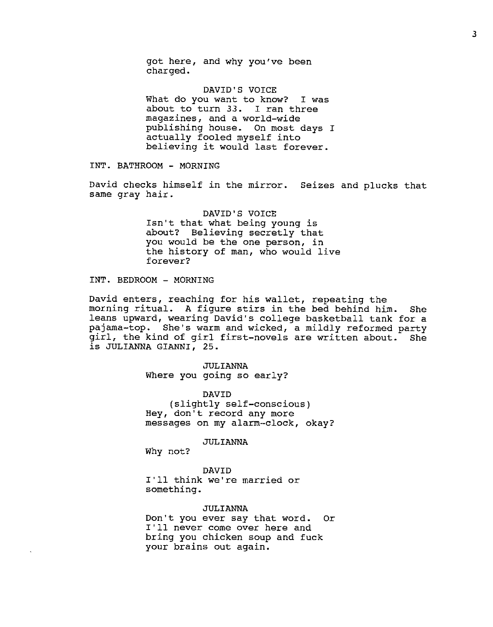got here, and why you've been charged.

DAVID'S VOICE What do you want to know? I was about to turn *33.* I ran three magazines, and a world-wide publishing house. On most days I actually fooled myself into believing it would last forever.

INT. BATHROOM - MORNING

David checks himself in the mirror. Seizes and plucks that same gray hair.

> DAVID'S VOICE Isn't that what being young is about? Believing secretly that you would be the one person, in the history of man, who would live forever?

INT. BEDROOM - MORNING

David enters, reaching for his wallet, repeating the morning ritual. A figure stirs in the bed behind him. She leans upward, wearing David's college basketball tank for a pajama-top. She's warm and wicked, a mildly reformed party girl, the kind of girl first-novels are written about. She is JULIANNA GIANNI, 25.

> ,JULIANNA Where you going so early?

DAVID (slightly self-conscious) Hey, don't record any more messages on my alarm-clock, okay?

JULIANNA

Why not?

DAVID I'll think we're married or something.

# JULIANNA

Don't you ever say that word. Or I'll never come over here and bring you chicken soup and fuck your brains out again.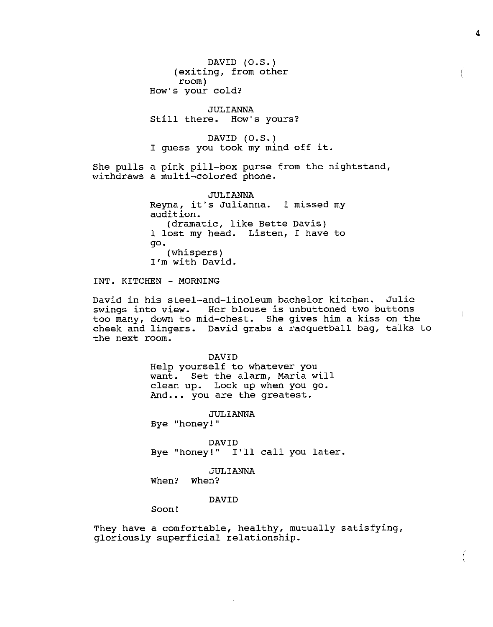DAVID (O.S.) (exiting, from other room) How's your cold?

JULIANNA Still there. How's yours?

DAVID (O.S.) I guess you took my mind off it.

She pulls a pink pill-box purse from the nightstand, withdraws a multi-colored phone.

> JULIANNA Reyna, it's Julianna. I missed my audition. (dramatic, like Bette Davis) I lost my head. Listen, I have to go. (whispers) I'm with David.

INT. KITCHEN - MORNING

David in his steel-and-linoleum bachelor kitchen. Julie swings into view. Her blouse is unbuttoned two buttons too many, down to mid-chest. She gives him a kiss on the cheek and lingers. David grabs a racquetball bag, talks to the next room.

> DAVID Help yourself to whatever you want. Set the alarm, Maria will clean up. Lock up when you go. And... you are the greatest.

> > JULIANNA

Bye "honey! "

DAVID Bye "honey!" I'll call you later.

JULIANNA

When? When?

DAVID

Soon!

They have a comfortable, healthy, mutually satisfying, gloriously superficial relationship.

4

 $\left\langle \right\rangle$ 

Ţ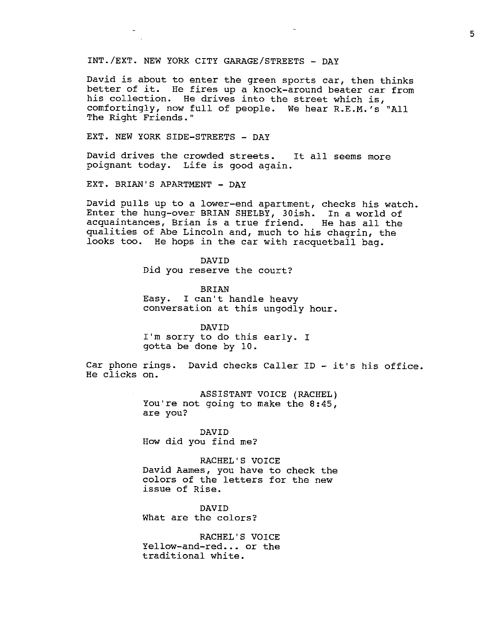# INT./EXT. NEW YORK CITY GARAGE/STREETS - DAY

David is about to enter the green sports car, then thinks better of it. He fires up a knock-around beater car from his collection. He drives into the street which is, comfortingly, now full of people. We hear R.E.M.'s "All The Right Friends."

EXT. NEW YORK SIDE-STREETS - DAY

David drives the crowded streets. It all seems more poignant today. Life is good again.

EXT. BRIAN'S APARTMENT - DAY

David pulls up to a lower-end apartment, checks his watch. Enter the hung-over BRIAN SHELBY, 30ish. In a world of acquaintances, Brian is a true friend. He has all the qualities of Abe Lincoln and, much to his chagrin, the looks too. He hops in the car with racquetball bag.

> DAVID Did you reserve the court?

BRIAN Easy. I can't handle heavy conversation at this ungodly hour.

DAVID I'm sorry to do this early. I gotta be done by 10.

Car phone rings. David checks Caller ID - it's his office. He clicks on.

> ASSISTANT VOICE (RACHEL) You're not going to make the 8:45, are you?

DAVID How did you find me?

RACHEL'S VOICE David Aames, you have to check the colors of the letters for the new issue of Rise.

DAVID What are the colors?

RACHEL'S VOICE Yellow-and-red... or the traditional white.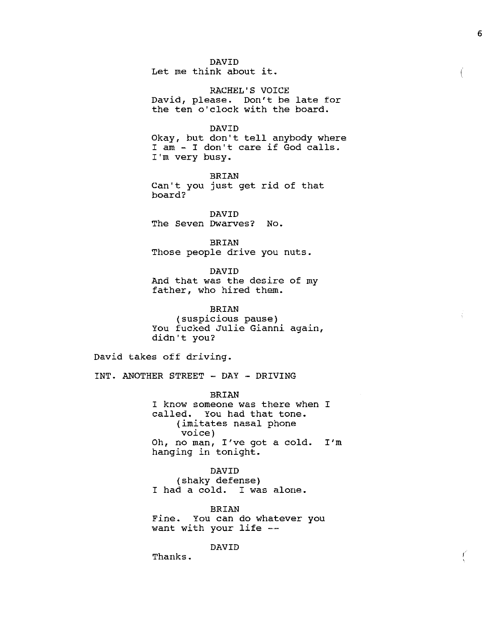DAVID Let me think about it.

RACHEL'S VOICE David, please. Don't be late for the ten o'clock with the board.

DAVID Okay, but don't tell anybody where I am - I don't care if God calls. I'm very busy.

BRIAN Can't you just get rid of that board?

DAVID The Seven Dwarves? No.

BRIAN Those people drive you nuts.

DAVID And that was the desire of my father, who hired them.

BRIAN (suspicious pause) You fucked Julie Gianni again, didn't you?

David takes off driving.

INT. ANOTHER STREET - DAY - DRIVING

BRIAN I know someone was there when I called. You had that tone. (imitates nasal phone voice) Oh, no man, I've got a cold. I'm hanging in tonight.

DAVID (shaky defense) I had a cold. I was alone.

BRIAN Fine. You can do whatever you want with your life

DAVID

Thanks.

*(*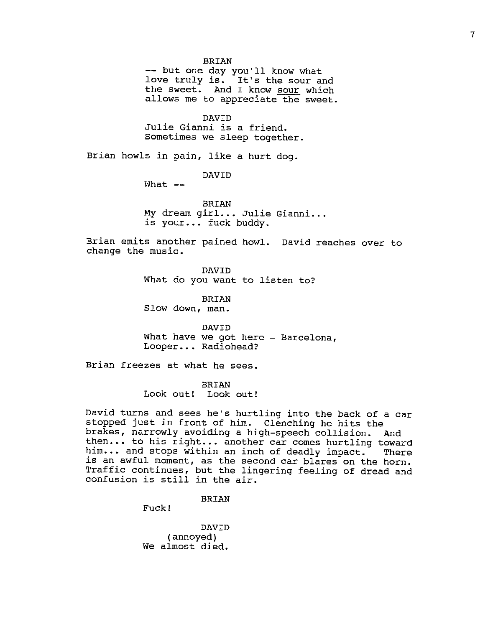BRIAN<br>-- but one day you'll know what love truly is. It's the sour and the sweet. And I know sour which allows me to appreciate the sweet.

DAVID Julie Gianni is a friend. Sometimes we sleep together.

Brian howls in pain, like a hurt dog.

DAVID

 $What - -$ 

BRIAN My dream girl... Julie Gianni... is your... fuck buddy.

Brian emits another pained howl. David reaches over to change the music.

> DAVID What do you want to listen to?

BRIAN Slow down, man.

DAVID What have we got here  $-$  Barcelona, Looper •.. Radiohead?

Brian freezes at what he sees.

BRIAN Look out! Look out!

David turns and sees he's hurtling into the back of a car stopped just in front of him. Clenching he hits the brakes, narrowly avoiding a high-speech collision. And then... to his right... another car comes hurtling toward him... and stops within an inch of deadly impact. There is an awful moment, as the second car blares on the horn. Traffic continues, but the lingering feeling of dread and confusion is still in the air.

BRIAN

Fuck!

DAVID (annoyed) We almost died.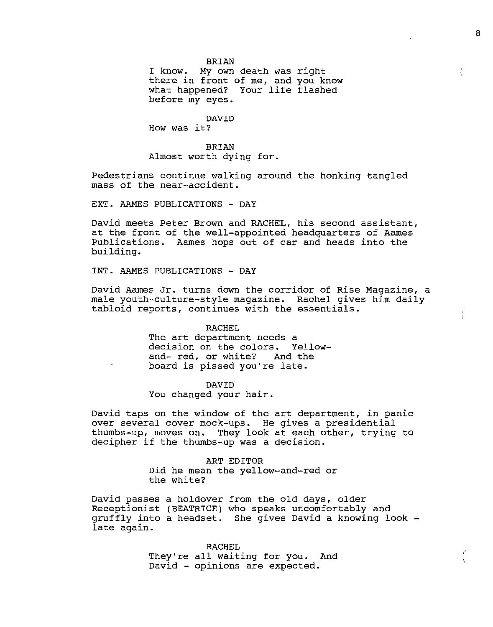I know. My own death was right there in front of me, and you know what happened? Your life flashed before my eyes.

# DAVID

How was it?

BRIAN Almost worth dying for.

Pedestrians continue walking around the honking tangled mass of the near--accident.

EXT. AAMES PUBLICATIONS - DAY

David meets Peter Brown and RACHEL, his second assistant, at the front of the well-appointed headquarters of Aames Publications. Aames hops out of car and heads into the building.

INT. AAMES PUBLICATIONS - DAY

David Aames Jr. turns down the corridor of Rise Magazine, a male youth-culture-style magazine. Rachel gives him daily tabloid reports, continues with the essentials.

#### RACHEL

The art department needs a decision on the colors. Yellowand- red, or white? And the board is pissed you're late.

#### DAVID

You changed your hair.

David taps on the window of the art department, in panic over several cover mock-ups. He gives a presidential thumbs-up, moves on. They look at each other, trying to decipher if the thumbs-up was a decision.

> ART EDITOR Did he mean the yellow-and-red or the white?

David passes a holdover from the old days, older Receptionist (BEATRICE) who speaks uncomfortably and gruffly into a headset. She gives David a knowing look late again.

> RACHEL They're all waiting for you. And David - opinions are expected.

I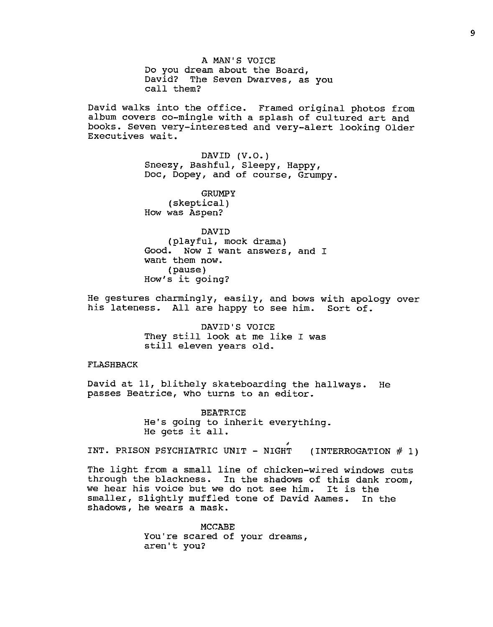A MAN'S VOICE Do you dream about the Board, David? The Seven Dwarves, as you call them?

David walks into the office. Framed original photos from album covers co-mingle with a splash of cultured art and books. Seven very-interested and very-alert looking Older Executives wait.

> DAVID  $(V.O.)$ Sneezy, Bashful, Sleepy, Happy, Doc, Dopey, and of course, Grumpy.

**GRUMPY** (skeptical) How was Aspen?

DAVID (playful, mock drama) Good. Now I want answers, and I want them now. (pause) How's it going?

He gestures charmingly, easily, and bows with apology over his lateness. All are happy to see him. Sort of.

> DAVID'S VOICE They still look at me like I was still eleven years old.

## FLASHBACK

David at 11, blithely skateboarding the hallways. He passes Beatrice, who turns to an editor.

> BEATRICE He's going to inherit everything. He gets it all.

INT. PRISON PSYCHIATRIC UNIT - NIGHT (INTERROGATION  $# 1$ )

The light from a small line of chicken-wired windows cuts through the blackness. In the shadows of this dank room, we hear his voice but we do not see him. It is the smaller, slightly muffled tone of David Aames. In the shadows, he wears a mask.

> MCCABE You're scared of your dreams, aren't you?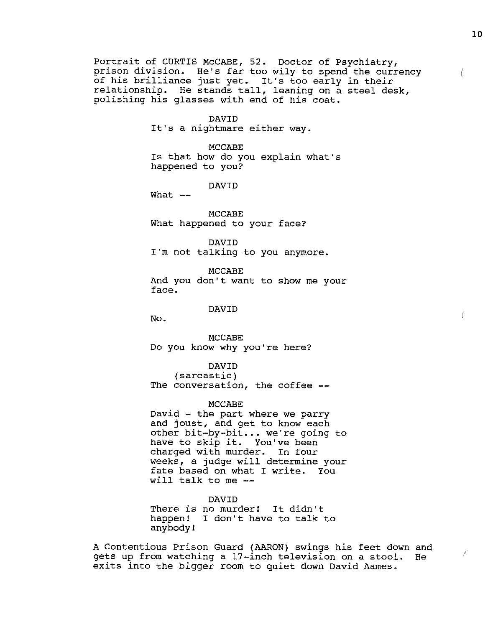Portrait of CURTIS McCABE, 52. Doctor of Psychiatry, prison division. He's far too wily to spend the currency of his brilliance just yet. It's too early in their relationship. He stands tall, leaning on a steel desk, polishing his glasses with end of his coat.

DAVID

It's a nightmare either way.

MCCABE Is that how do you explain what's happened to you?

DAVID

What  $--$ 

MCCABE What happened to your face?

DAVID I'm not talking to you anymore.

MCCABE And you don't want to show me your face.

#### DAVID

No.

MCCABE Do you know why you're here?

DAVID

(sarcastic) The conversation, the coffee --

## MCCABE

David - the part where we parry and joust, and get to know each other bit-by-bit .•. we're going to have to skip it. You've been charged with murder. In four weeks, a judge will determine your fate based on what I write. You will talk to me

There is no murder! It didn't happen! I don't have to talk to anybody! DAVID

A Contentious Prison Guard (AARON) swings his feet down and gets up from watching a 17-inch television on a stool. He exits into the bigger room to quiet down David Aames.

 $\left($ 

7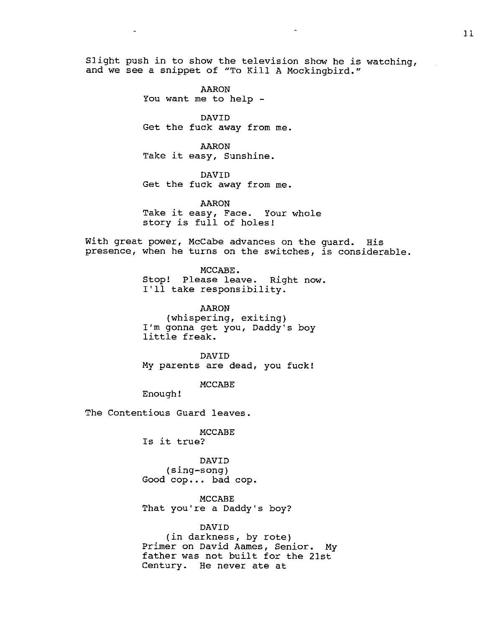Slight push in to show the television show he is watching, and we see a snippet of "To Kill A Mockingbird."

> AARON You want me to help -

DAVID Get the fuck away from me.

AARON Take it easy, Sunshine.

DAVID Get the fuck away from me.

AARON Take it easy, Face. Your whole story is full of holes!

With great power, McCabe advances on the guard. His presence, when he turns on the switches, is considerable.

> MCCABE. Stop! Please leave. Right now. I'll take responsibility.

AARON (whispering, exiting) I'm gonna get you, Daddy's boy little freak.

DAVID My parents are dead, you fuck!

MCCABE

Enough!

The Contentious Guard leaves.

MCCABE Is it true?

DAVID (sing-song) Good cop... bad cop.

MCCABE That you're a Daddy's boy?

# DAVID

(in darkness, by rote) Primer on David Aames, Senior. My father was not built for the 21st Century. He never ate at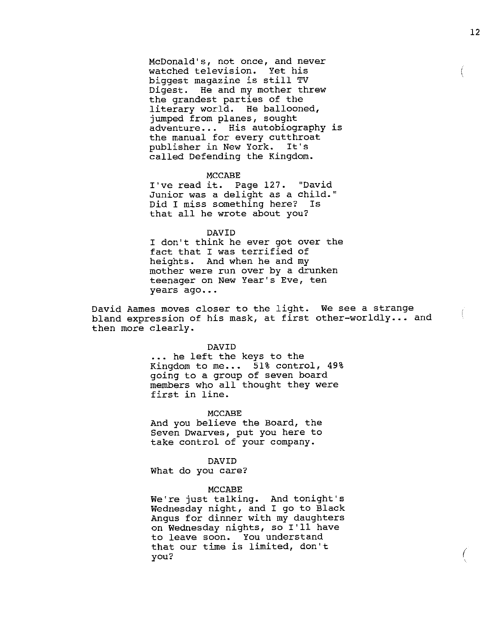McDonald's, not once, and never watched television. Yet his biggest magazine is still TV Digest. He and my mother threw the grandest parties of the literary world. He ballooned, jumped from planes, sought adventure... His autobiography is the manual for every cutthroat publisher in New York. It's called Defending the Kingdom.

### MCCABE

I've read it. Page 127. "David Junior was a delight as a child." Did I miss something here? Is that all he wrote about you?

#### DAVID

I don't think he ever got over the fact that I was terrified of heights. And when he and my mother were run over by a drunken teenager on New Year's Eve, ten years ago...

David Aames moves closer to the light. We see a strange bavid Aames moves croser to the right. We see a serange<br>bland expression of his mask, at first other-worldly... and then more clearly.

#### DAVID

... he left the keys to the Kingdom to me...  $51\frac{1}{2}$  control,  $49\frac{1}{2}$ going to a group of seven board members who all thought they were first in line.

#### MCCABE

And you believe the Board, the Seven Dwarves, put you here to take control of your company.

#### DAVID

What do you care?

#### MCCABE

We're just talking. And tonight's Wednesday night, and I go to Black Angus for dinner with my daughters on Wednesday nights, so I'll have to leave soon. You understand that our time is limited, don't you?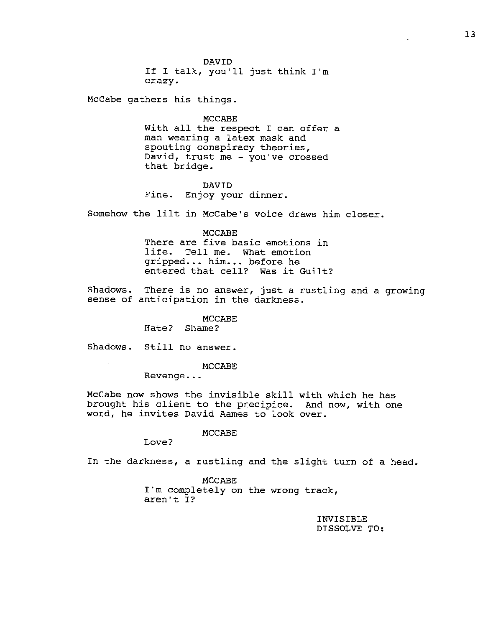DAVID If I talk, you'll just think I'm crazy.

McCabe gathers his things.

MCCABE With all the respect I can offer a man wearing a latex mask and spouting conspiracy theories, David, trust me - you"ve crossed that bridge.

DAVID Fine. Enjoy your dinner.

Somehow the lilt in McCabe's voice draws him closer.

MCCABE There are five basic emotions in life. Tell me. What emotion gripped... him... before he entered that cell? Was it Guilt?

Shadows. There is no answer, just a rustling and a growing sense of anticipation in the darkness.

> MCCABE Hate? Shame?

Shadows. Still no answer.

MCCABE

Revenge...

McCabe now shows the invisible skill with which he has brought his client to the precipice. And now, with one word, he invites David Aames to look over.

MCCABE

Love?

In the darkness, a rustling and the slight turn of a head.

MCCABE I'm completely on the wrong track, aren't I?

> INVISIBLE DISSOLVE TO: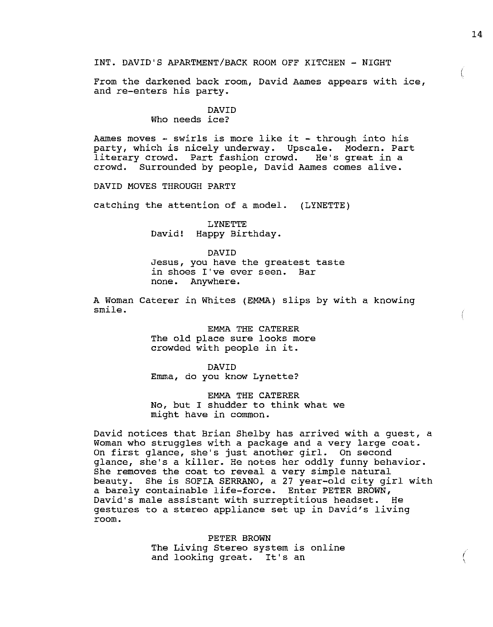INT. DAVID'S APARTMENT/BACK ROOM OFF KITCHEN - NIGHT

From the darkened back room, David Aames appears with ice, and re-enters his party.

# DAVID

## Who needs ice?

Aames moves  $-$  swirls is more like it  $-$  through into his party, which is nicely underway. Upscale. Modern. Part literary crowd. Part fashion crowd. He's great in a Surrounded by people, David Aames comes alive.

DAVID MOVES THROUGH PARTY

catching the attention of a model. (LYNETTE)

LYNETTE David! Happy Birthday.

DAVID Jesus, you have the greatest taste in shoes I've ever seen. Bar none. Anywhere.

A Woman Caterer in Whites (EMMA) slips by with a knowing smile.

> EMMA THE CATERER The old place sure looks more crowded with people in it.

DAVID Emma, do you know Lynette?

EMMA THE CATERER No, but I shudder to think what we might have in common.

David notices that Brian Shelby has arrived with a guest, a Woman who struggles with a package and a very large coat. On first glance, she's just another girl. On second glance, she's a killer. He notes her oddly funny behavior. She removes the coat to reveal a very simple natural beauty. She is SOFIA SERRANO, a 27 year-old city girl with a barely containable life-force. Enter PETER BROWN, David's male assistant with surreptitious headset. He gestures to a stereo appliance set up in David's living room.

> PETER BROWN The Living Stereo system is online and looking great. It's an

 $\left($ 

I \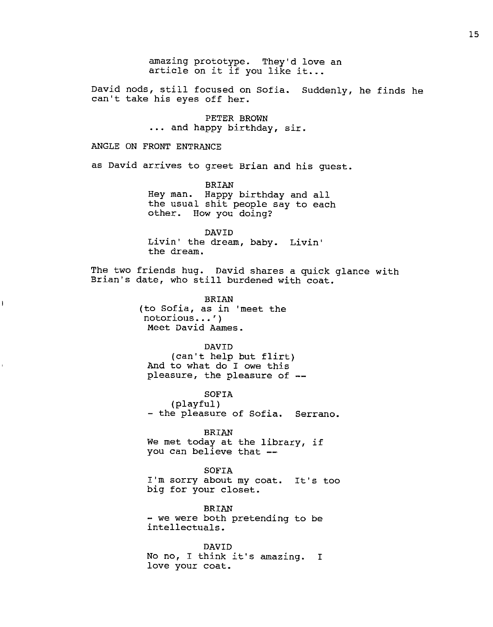amazing prototype. They'd love an article on it if you like it...

David nods, still focused on Sofia. Suddenly, he finds he can't take his eyes off her.

> PETER BROWN ••• and happy birthday, sir.

# ANGLE ON FRONT ENTRANCE

j

as David arrives to greet Brian and his guest.

BRIAN Hey man. Happy birthday and all the usual shit people say to each other. How you doing?

DAVID Livin' the dream, baby. Livin' the dream.

The two friends hug. David shares a quick glance with Brian's date, who still burdened with coat.

> BRIAN (to Sofia, as in 'meet the notorious ••• ') Meet David Aames.

## DAVID

(can't help but flirt) And to what do I owe this pleasure, the pleasure of --

SOFIA (playful) - the pleasure of Sofia. Serrano.

BRIAN We met today at the library, if you can believe that --

SOFIA I'm sorry about my coat. It's too big for your closet.

BRIAN<br>- we were both pretending to be intellectuals.

DAVID No no, I think it's amazing. I love your coat.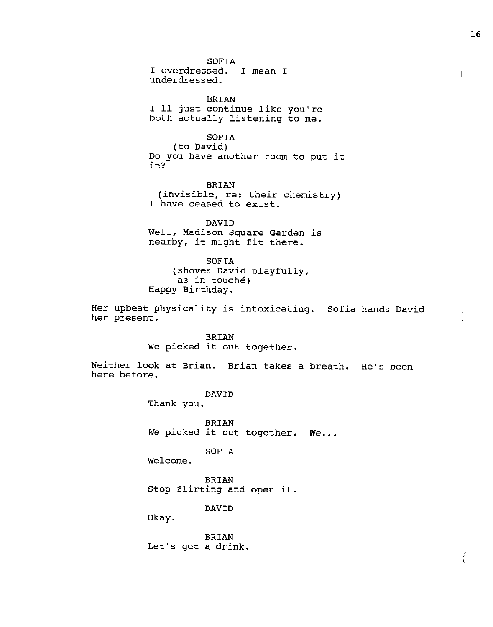SOFIA I overdressed. I mean I underdressed.

BRIAN I'll just continue like you're both actually listening to me.

SOFIA (to David) Do you have another room to put it in?

BRIAN (invisible, re: their chemistry) I have ceased to exist.

DAVID Well, Madison Square Garden is nearby, it might fit there.

SOFIA (shoves David playfully, as in touche) Happy Birthday.

Her upbeat physicality is intoxicating. Sofia hands David her present.

> BRIAN We picked it out together.

Neither look at Brian. Brian takes a breath. He's been here before.

> DAVID Thank you.

BRIAN We picked it out together. We...

SOFIA

Welcome.

BRIAN Stop flirting and open it.

DAVID

Okay.

BRIAN Let's get a drink.

*i*  '·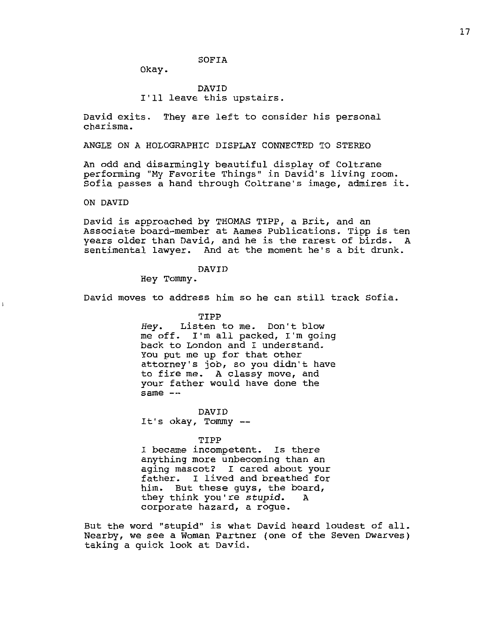SOFIA

Okay.

# DAVID I'll leave this upstairs.

David exits. They are left to consider his personal charisma.

ANGLE ON A HOLOGRAPHIC DISPLAY CONNECTED TO STEREO

An odd and disarmingly beautiful display of Coltrane performing "My Favorite Things" in David's living room. Sofia passes a hand through Coltrane's image, admires it.

ON DAVID

 $\mathbf{I}$ 

David is approached by THOMAS TIPP, a Brit, and an Associate board-member at Aames Publications. Tipp is ten years older than David, and he is the rarest of birds. A sentimental lawyer. And at the moment he's a bit drunk.

## DAVID

Hey Tommy.

David moves to address him so he can still track Sofia.

TIPP

*Hey.* Listen to me. Don't blow me off. I'm all packed, I'm going back to London and I understand. You put me up for that other attorney's job, so you didn't have to fire me. A classy move, and your father would have done the same --

DAVID It's okay, Tommy

TIPP

I became incompetent. Is there anything more unbecoming than an aging mascot? I cared about your father. I lived and breathed for him. But these guys, the board,<br>they think you're stupid. A they think you're stupid. corporate hazard, a rogue.

But the word "stupid" is what David heard loudest of all. Nearby, we see a Woman Partner (one of the Seven Dwarves) taking a quick look at David.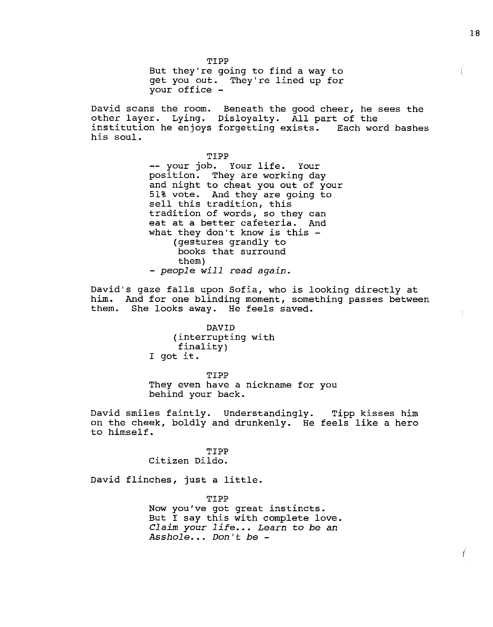TIPP But they're going to find a way to get you out. They're lined up for your office -

David scans the room. Beneath the good cheer, he sees the other layer. Lying. Disloyalty. All part of the institution he enjoys forgetting exists. Each word bashes his soul.

> TIPP<br>-- your job. Your life. Your position. They are working day and night to cheat you out of your 51% vote. And they are going to sell this tradition, this tradition of words, so they can eat at a better cafeteria. And what they don't know is this -(gestures grandly to books that surround them) - *people will* read *again.*

David's gaze falls upon Sofia, who is looking directly at him. And for one blinding moment, something passes between them. She looks away. He feels saved. She looks away. He feels saved.

> DAVID (interrupting with finality) I got it.

TIPP They even have a nickname for you behind your back.

David smiles faintly. Understandingly. Tipp kisses him on the cheek, boldly and drunkenly. He feels like a hero to himself.

> TIPP Citizen Dildo.

David flinches, just a little.

TIPP Now you've got great instincts. But I say this with complete love. *Claim your life... Learn to be an Asshole ••. Don't be* -

 $\sqrt{2}$ 

 $\mathbb{C}$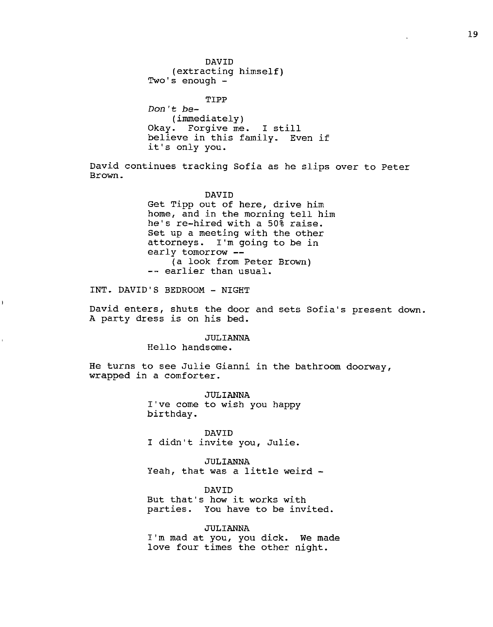DAVID (extracting himself) Two's enough - TIPP Don't be- (immediately) Okay. Forgive me. I still believe in this family. Even if it's only you.

David continues tracking Sofia as he slips over to Peter Brown.

#### DAVID

Get Tipp out of here, drive him home, and in the morning tell him he's re-hired with a 50% raise. Set up a meeting with the other attorneys. I'm going to be in<br>early tomorrow --(a look from Peter Brown) -- earlier than usual.

INT. DAVID'S BEDROOM - NIGHT

David enters, shuts the door and sets Sofia's present down. A party dress is on his bed.

# JULIANNA

Hello handsome.

He turns to see Julie Gianni in the bathroom doorway, wrapped in a comforter.

> JULIANNA I've come to wish you happy birthday.

DAVID I didn't invite you, Julie.

,JULIANNA Yeah, that was a little weird -

DAVID But that's how it works with parties. You have to be invited.

JULIANNA I'm mad at you, you dick. We made love four times the other night.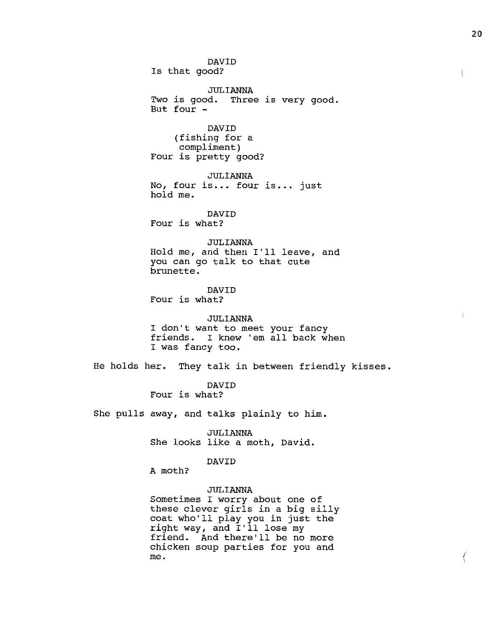DAVID Is that good? JULIANNA Two is good. Three is very good. But four - DAVID (fishing for a compliment) Four is pretty good? JULIANNA No, four is... four is... just hold me. DAVID Four is what? JULIANNA Hold me, and then I'll leave, and you can go talk to that cute brunette. DAVID Four is what? JULIANNA I don't want to meet your fancy friends. I knew 'em all back when I was fancy too. He holds her. They talk in between friendly kisses. DAVID Four is what? She pulls away, and talks plainly to him. JULIANNA She looks like a moth, David. DAVID A moth? JULIANNA Sometimes I worry about one of these clever girls in a big silly

coat who'll play you in just the right way, and I'll lose my friend. And there'll be no more chicken soup parties for you and me.

20

 $\left\{ \right.$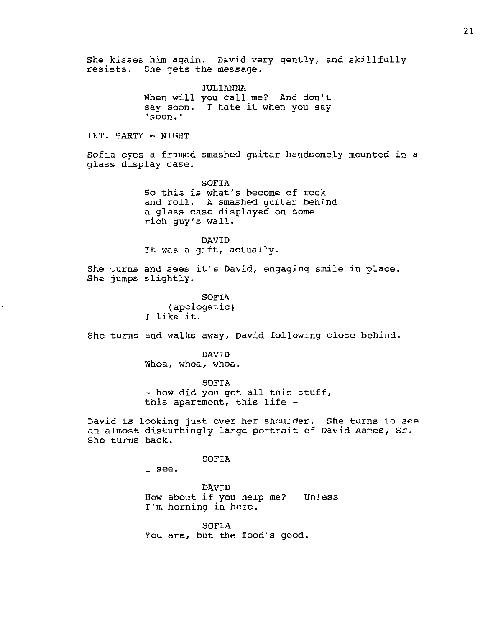She kisses him again. David very gently, and skillfully resists. She gets the message. JULIANNA When will you call me? And don't say soon. I hate it when you say **"soon .. "**  INT. PARTY - NIGHT Sofia eyes a framed smashed guitar handsomely mounted in a glass display case. SOFIA So this is what's become of rock and roll. A smashed guitar behind a glass case displayed on some rich guy's wall. DAVID It was a gift, actually. She turns and sees it's David, engaging smile in place. She jumps slightly. SOFIA (apologetic) I like it. She turns and walks away, David following close behind. DAVID Whoa, whoa, whoa. SOFIA<br>- how did you get all this stuff, this apartment, this life - David is looking just over her shoulder. She turns to see an almost disturbingly large portrait of David Aames, Sr. She turns back. SOFIA I see. DAVID How about if you help me? I'm horning in here. Unless SOFIA You are, but the food's good.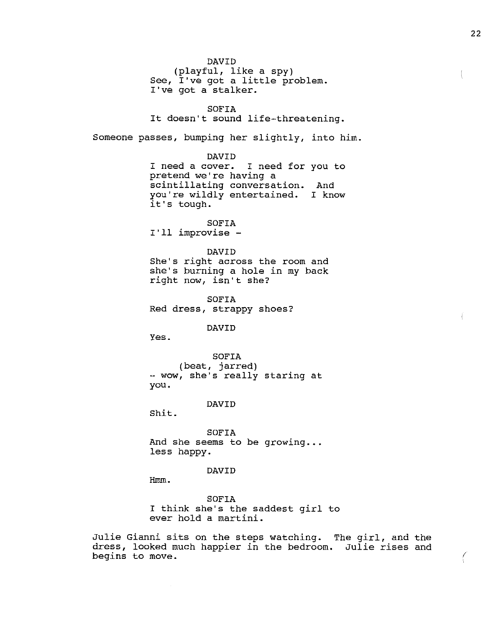DAVID (playful, like a spy) See, I've got a little problem. I've got a stalker. SOFIA It doesn't sound life-threatening. Someone passes, bumping her slightly, into him. DAVID I need a cover. I need for you to pretend we're having a scintillating conversation. And you're wildly entertained. I know it's tough. SOFIA I'll improvise - DAVID She's right across the room and she's burning a hole in my back right now, isn't she? SOFIA Red dress, strappy shoes? DAVID Yes. SOFIA (beat, jarred) - wow, she's really staring at you. DAVID Shit. SOFIA And she seems to be growing... less happy. DAVID Hmm. SOFIA I think she's the saddest girl to ever hold a martini.

Julie Gianni sits on the steps watching. The girl, and the dress, looked much happier in the bedroom. Julie rises and begins to move.

ŧ

*i*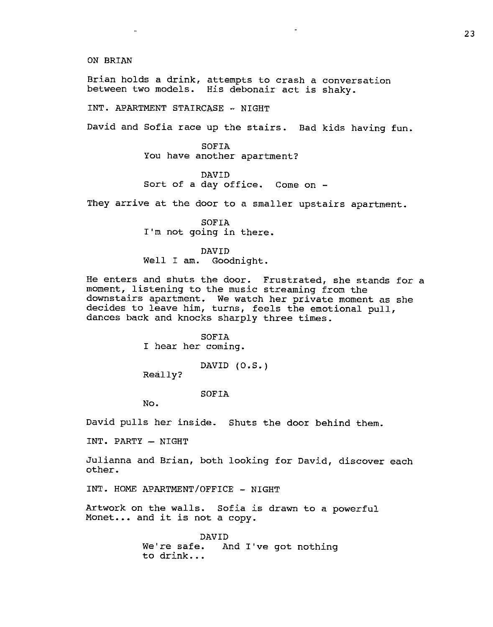ON BRIAN

Brian holds a drink, attempts to crash a conversation between two models. His debonair act is shaky.

INT. APARTMENT STAIRCASE ·· NIGHT

David and Sofia race up the stairs. Bad kids having fun.

SOFIA You have another apartment?

DAVID Sort of a day office. Come on -

They arrive at the door to a smaller upstairs apartment.

SOFIA I'm not going *in* there.

DAVID Well I am. Goodnight.

He enters and shuts the door. Frustrated, she stands for a moment, listening to the music streaming from the downstairs apartment. We watch her private moment as she decides to leave *him,* turns, feels the emotional pull, dances back and knocks sharply three times.

> SOFIA I hear her coming.

> > DAVID (O.S.)

Really?

SOFIA

No.

David pulls her inside. Shuts the door behind them.

 $INT.$  PARTY  $-$  NIGHT

Julianna and Brian, both looking for David, discover each other.

INT. HOME APARTMENT/OFFICE - NIGHT

Artwork on the walls. Sofia is drawn to a powerful Monet... and it is not a copy.

> DAVID We're safe. And I've got nothing to drink...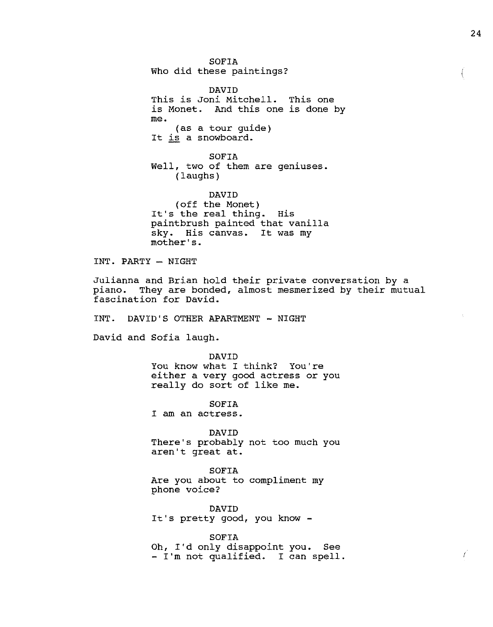SOFIA Who did these paintings?

DAVID This is Joni Mitchell. This one is Monet. And this one is done by me. (as a tour guide) It is a snowboard.

SOFIA Well, two of them are geniuses. (laughs)

DAVID (off the Monet) It's the real thing. His paintbrush painted that vanilla sky. His canvas. It was my mother's.

INT. PARTY - NIGHT

Julianna and Brian hold their private conversation by a piano. They are bonded, almost mesmerized by their mutual fascination for David.

INT. DAVID'S OTHER APARTMENT - NIGHT

David and Sofia laugh.

DAVID You know what I think? You're either a very good actress or you really do sort of like me.

SOFIA I am an actress.

DAVID There's probably not too much you aren't great at.

SOFIA Are you about to compliment my phone voice?

DAVID It's pretty good, you know -

SOFIA Oh, I'd only disappoint you. See - I'm not qualified. I can spell.

*I*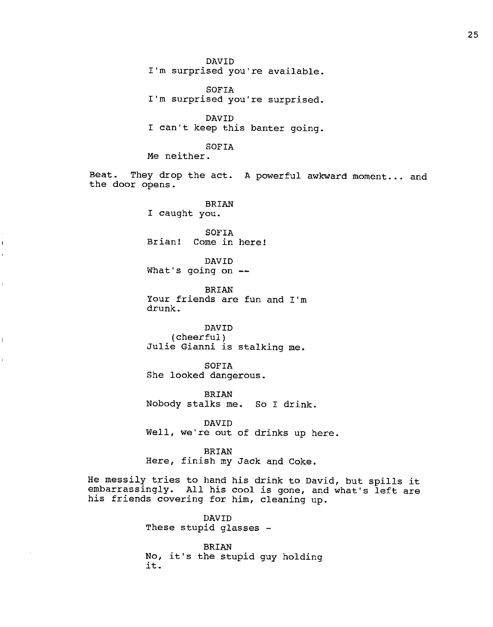DAVID I'm surprised you're available.

SOFIA I'm surprised you're surprised.

DAVID I can't keep this banter going.

SOFIA

Me neither.

j

 $\overline{\mathbf{I}}$ 

Beat. They drop the act. A powerful awkward moment... and the door opens.

> BRIAN I caught you.

SOFIA Brian! Come in here!

DAVID What's going on

BRIAN Your friends are fun and I'm drunk.

DAVID (cheerful) Julie Gianni is stalking me.

SOFIA She looked dangerous.

BRIAN Nobody stalks me. So I drink.

DAVID Well, we're out of drinks up here.

BRIAN Here, finish my Jack and Coke.

He messily tries to hand his drink to David, but spills it embarrassingly. All his cool is gone, and what's left are his friends covering for him, cleaning up.

> DAVID These stupid glasses -

BRIAN No, it's the stupid guy holding it.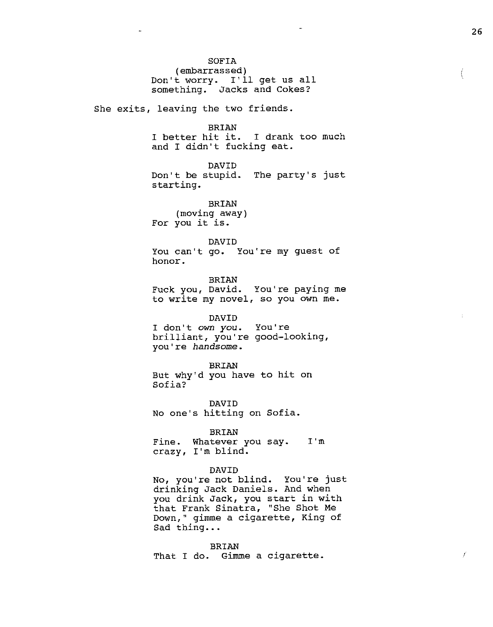SOFIA (embarrassed) Don't worry. I'll get us all something. Jacks and Cokes? She exits, leaving the two friends. BRIAN I better hit it. I drank too much and I didn't fucking eat. DAVID Don't be stupid. The party's just starting. BRIAN (moving away) For you it is. DAVID You can't go. You're my guest of honor. BRIAN Fuck you, David. You're paying me to write my novel, so you own me. DAVID I don't own you. brilliant, you're good-looking, you"re *handsome.*  BRIAN You're But why'd you have to hit on Sofia? DAVID No one"s hitting on Sofia. BRIAN Fine. Whatever you say. I'm crazy, I'm blind. DAVID No, you're not blind. You're just drinking Jack Daniels. And when you drink Jack, you start in with that Frank Sinatra, "She Shot Me Down," gimme a cigarette, King of Sad thing...

BRIAN That I do. Gimme a cigarette.  $\left($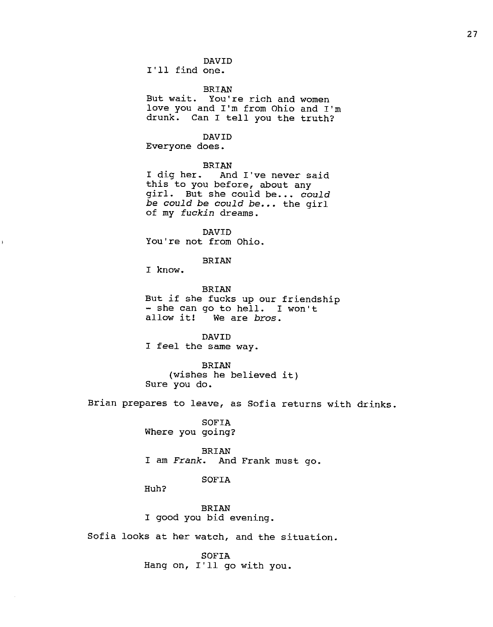DAVID

I'll find one.

BRIAN

But wait. You're rich and women love you and I'm from Ohio and I'm drunk. Can I tell you the truth?

DAVID

Everyone does.

BRIAN<br>I dig her. And And I've never said this to you before, about any girl. But she could be ••• *could be could be could be •••* the girl of my *fuckin* dreams.

DAVID You're not from Ohio.

BRIAN

I know.

BRIAN But if she fucks up our friendship<br>- she can go to hell. I won't<br>allow it! We are *bros*. We are *bros*.

DAVID I feel the same way.

BRIAN (wishes he believed it) Sure you do.

Brian prepares to leave, as Sofia returns with drinks.

SOFIA Where you going?

BRIAN I am *Frank.* And Frank must go.

SOFIA

Huh?

BRIAN I good you bid evening.

Sofia looks at her watch, and the situation.

SOFIA Hang on, I'll go with you.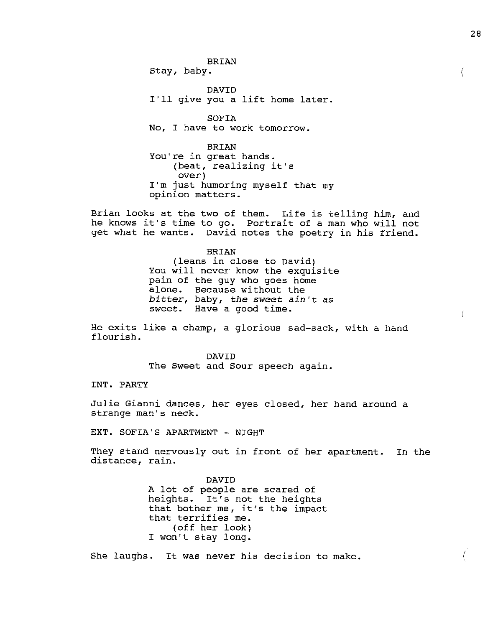BRIAN Stay, baby.

DAVID I'll give you a lift home later.

SOFIA No, I have to work tomorrow.

BRIAN You're in great hands. (beat, realizing it's over) I'm just humoring myself that my opinion matters.

Brian looks at the two of them. Life is telling him, and he knows it's time to go. Portrait of a man who will not get what he wants. David notes the poetry in his friend.

> BRIAN (leans in close to David) You will never know the exquisite pain of the guy who goes home alone. Because without the *bitter,* baby, *the sweet ain't as sweet.* Have a good time.

He exits like a champ, a glorious sad-sack, with a hand flourish.

> DAVID The Sweet and Sour speech again.

INT. PARTY

Julie Gianni dances, her eyes closed, her hand around a strange man's neck.

EXT. SOFIA'S APARTMENT - NIGHT

They stand nervously out in front of her apartment. In the distance, rain.

> DAVID A lot of people are scared of heights. It's not the heights that bother me, it's the impact that terrifies me. (off her look) I won't stay long.

She laughs. It was never his decision to make.

 $\left($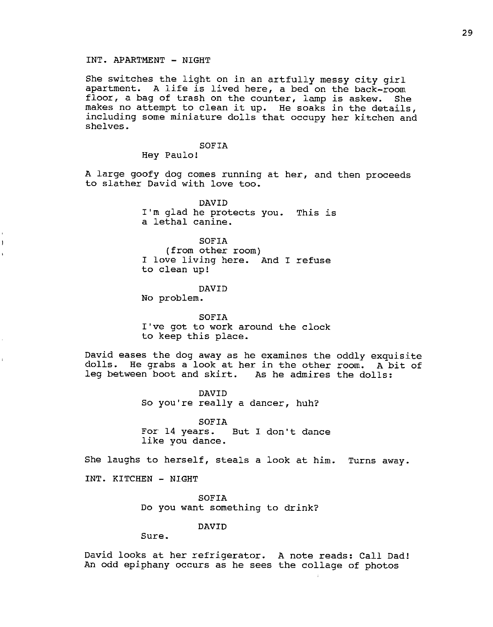## INT. APARTMENT - NIGHT

She switches the light on in an artfully messy city girl apartment. A life is lived here, a bed on the back-room floor, a bag of trash on the counter, lamp is askew. She makes no attempt to clean it up. He soaks in the details, including some miniature dolls that occupy her kitchen and shelves.

> SOFIA Hey Paulo!

A large goofy dog comes running at her, and then proceeds to slather David with love too.

> DAVID I'm glad he protects you. This is a lethal canine.

SOFIA (from other room) I love living here. And I refuse to clean up!

DAVID No problem.

SOFIA I've got to work around the clock to keep this place.

David eases the dog away as he examines the oddly exquisite dolls. He grabs a look at her in the other room. A bit of leg between boot and skirt. As he admires the dolls:

> DAVID So you're really a dancer, huh?

SOFIA For 14 years. But I don't dance like you dance.

She laughs to herself, steals a look at him. Turns away.

INT. KITCHEN - NIGHT

SOFIA Do you want something to drink?

DAVID

Sure.

David looks at her refrigerator. A note reads: Call Dad! An odd epiphany occurs as he sees the collage of photos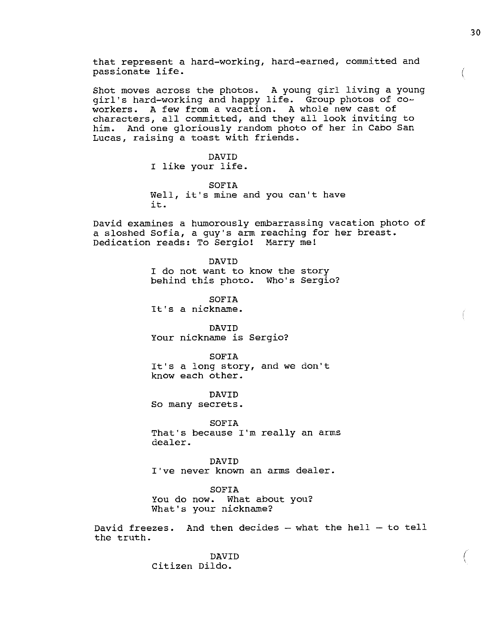that represent a hard-working, hard-earned, committed and passionate life.

Shot moves across the photos. A young girl living a young girl's hard-working and happy life. Group photos of coworkers. A few from a vacation. A whole new cast of characters, all. committed, and they all look inviting to him. And one gloriously random photo of her in Cabo San Lucas, raising a toast with friends.

> DAVID I like your life.

SOFIA Well, it's mine and you can't have it.

David examines a humorously embarrassing vacation photo of a sloshed Sofia, a guy's arm reaching for her breast. Dedication reads: To Sergio! Marry me!

> DAVID I do not want to know the story behind this photo. Who's Sergio?

SOFIA It's a nickname.

DAVID Your nickname is Sergio?

SOFIA It's a long story, and we don't know each other.

DAVID So many secrets.

SOFIA That's because I'm really an arms dealer.

DAVID I"ve never known an arms dealer.

SOFIA You do now. What about you? What's your nickname?

David freezes. And then decides  $-$  what the hell  $-$  to tell the truth.

> DAVID Citizen Dildo.

 $\left($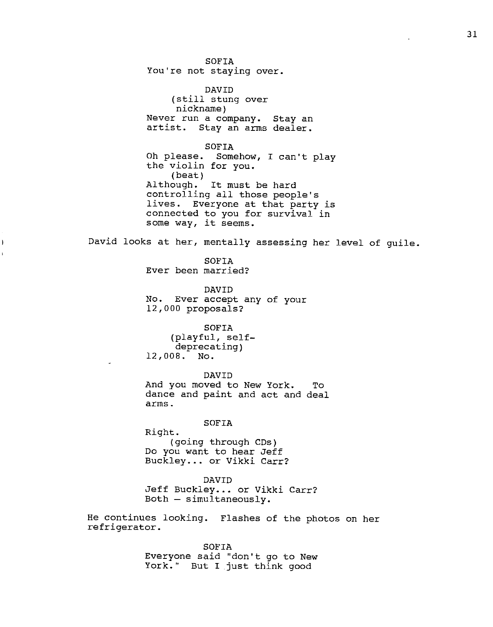SOFIA You're not staying over.

DAVID (still stung over nickname) Never run a company. Stay an artist. Stay an arms dealer.

SOFIA Oh please. Somehow, I can't play the violin for you. (beat) Although. It must be hard controlling all those people's lives. Everyone at that party is connected to you for survival in some way, it seems.

David looks at her, mentally assessing her level of guile.

SOFIA Ever been married?

Ì

DAVID No. Ever accept any of your 12,000 proposals?

SOFIA (playful, selfdeprecating) 12,008. No.

DAVID And you moved to New York. To dance and paint and act and deal arms.

SOFIA

Right. (going through CDs) Do you want to hear Jeff Buckley... or Vikki Carr?

DAVID

Jeff Buckley... or Vikki Carr?  $Both - simultaneously.$ 

He continues looking. Flashes of the photos on her refrigerator.

> SOFIA Everyone said "don't go to New York." But I just think good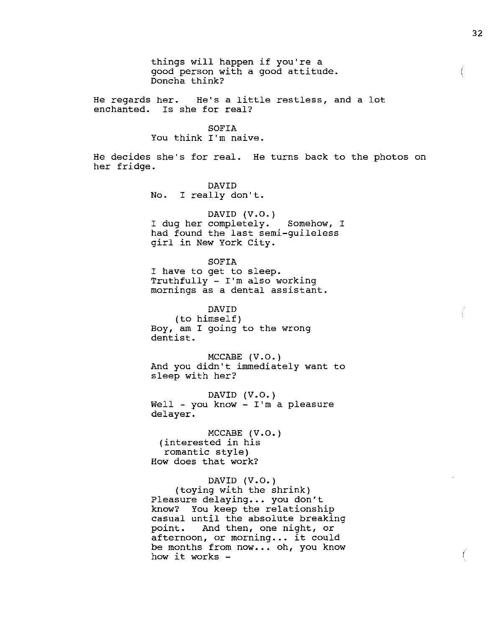things will happen if you're a good person with a good attitude. Doncha think? He regards her. He's a little restless, and a lot enchanted. Is she for real? SOFIA You think I'm naive. He decides she's for real. He turns back to the photos on her fridge.

> DAVID No. I really don't.

DAVID  $(V.O.)$ I dug her completely. Somehow, I had found the last semi-guileless girl in New York City.

SOFIA I have to get to sleep. Truthfully - I'm also working mornings as a dental assistant.

DAVID (to himself) Boy, am I going to the wrong dentist.

MCCABE (V.O.) And you didn't immediately want to sleep with her?

DAVID  $(V.O.)$ Well - you know -  $I'm$  a pleasure delayer.

MCCABE (V.O.) (interested in his romantic style) How does that work?

# DAVID (V.O.)

(toying with the shrink) Pleasure delaying... you don't know? You keep the relationship casual until the absolute breaking point. And then, one night, or afternoon, or morning... it could be months from now... oh, you know how it works  $-$ 

 $\left($ 

(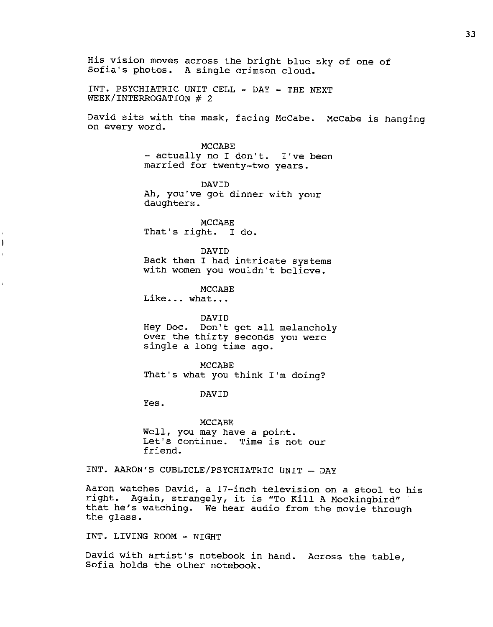His vision moves across the bright blue sky of one of Sofia's photos. A single crimson cloud.

INT. PSYCHIATRIC UNIT CELL - DAY - THE NEXT WEEK/INTERROGATION  $#$  2

David sits with the mask, facing McCabe. McCabe is hanging on every word.

> MCCABE - actually no I don't. I've been married for twenty-two years.

DAVID Ah, you"ve got dinner with your daughters.

MCCABE That's right. I do.

DAVID Back then I had intricate systems with women you wouldn't believe.

MCCABE Like... what...

DAVID

Hey Doc. Don't get all melancholy over the thirty seconds you were single a long time ago.

MCCABE That's what you think I'm doing?

DAVID

Yes.

Ì

MCCABE Well, you may have a point. Let's continue. Time is not our friend.

INT. AARON'S CUBLICLE/PSYCHIATRIC UNIT - DAY

Aaron watches David, a 17-inch television on a stool to his right. Again, strangely, it is "To Kill A Mockingbird" that he's watching. We hear audio from the movie through the glass.

INT. LIVING ROOM - NIGHT

David with artist's notebook in hand. Across the table, Sofia holds the other notebook.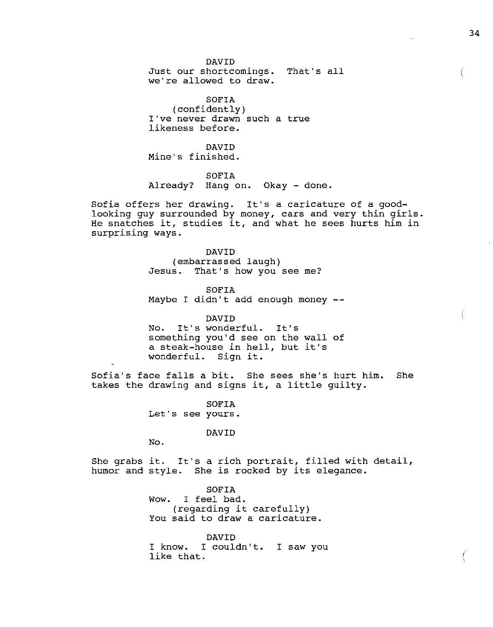DAVID Just our shortcomings. That's all we're allowed to draw.

SOFIA (confidently) I've never drawn such a true likeness before.

DAVID Mine's finished.

SOFIA Already? Hang on. Okay - done.

Sofia offers her drawing. It's a caricature of a goodlooking guy surrounded by money, cars and very thin girls. He snatches it, studies it, and what he sees hurts him in surprising ways.

> DAVID (embarrassed laugh) Jesus. That's how you see me?

SOFIA Maybe I didn't add enough money --

DAVID No. It's wonderful. It's something you'd see on the wall of a steak-house in hell, but it's wonderful. Sign it.

Sofia's face falls a bit. She sees she's hurt him. She takes the drawing and signs it, a little guilty.

> SOFIA Let's see yours.

> > DAVID

No.

She grabs it. It's a rich portrait, filled with detail, humor and style. She is rocked by its elegance.

> SOFIA Wow. I feel bad. (regarding it carefully) You said to draw a caricature.

DAVID I know. I couldn't. I saw you like that.

 $\left($ 

I '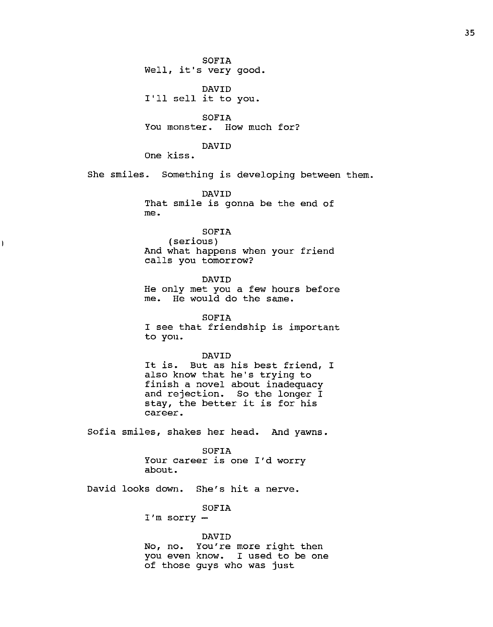SOFIA Well, it's very good.

DAVID I'll sell it to you.

SOFIA You monster. How much for?

# DAVID

One kiss.

 $\pmb{\mathfrak{h}}$ 

She smiles. Something is developing between them.

DAVID That smile is gonna be the end of me.

# SOFIA

(serious) And what happens when your friend calls you tomorrow?

DAVID He only met you a few hours before me. He would do the same.

SOFIA I see that friendship is important to you.

#### DAVID

It is. But as his best friend, I also know that he's trying to finish a novel about inadequacy and rejection. So the longer I stay, the better it is for his career.

Sofia smiles, shakes her head. And yawns.

#### SOFIA

Your career is one I'd worry about.

David looks down. She's hit a nerve.

SOFIA

I'm sorry

## DAVID

No, no. You're more right then you even know. I used to be one of those guys who was just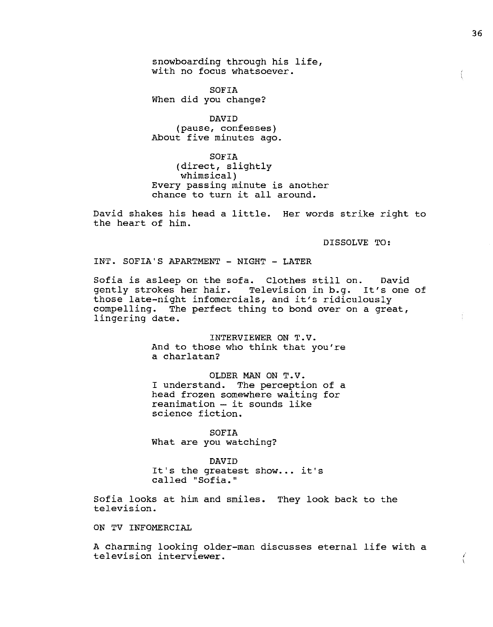snowboarding through his life, with no focus whatsoever.

SOFIA When did you change?

DAVID (pause, confesses) About five minutes ago.

SOFIA (direct, slightly whimsical) Every passing minute is another chance to turn it all around.

David shakes his head a little. Her words strike right to the heart of him.

DISSOLVE TO:

INT. SOFIA'S APARTMENT - NIGHT - LATER

Sofia is asleep on the sofa. Clothes still on. David gently strokes her hair. Television in b.g. It's one of those late-night infomercials, and it's ridiculously compelling. The perfect thing to bond over on a great, lingering date.

> INTERVIEWER ON T.V. And to those who think that you're a charlatan?

> OLDER MAN ON T.V. I understand. The perception of a head frozen somewhere waiting for  $reamination - it sounds like$ science fiction.

SOFIA What are you watching?

DAVID It's the greatest show... it's called "Sofia."

Sofia looks at him and smiles. They look back to the television.

ON TV INFOMERCIAL

A charming looking older-man discusses eternal life with a television interviewer.

*I*  '

Ť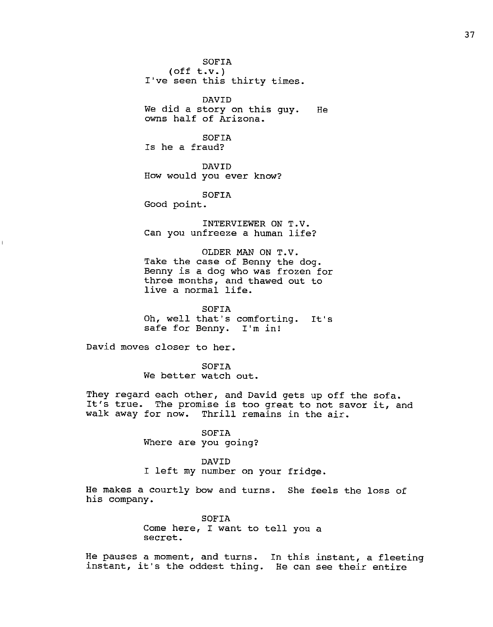SOFIA (off t.v.) I've seen this thirty times. DAVID

We did a story on this guy. He owns half of Arizona.

SOFIA Is he a fraud?

DAVID How would you ever know?

SOFIA

Good point.

INTERVIEWER ON T.V. Can you unfreeze a human life?

OLDER MAN ON T.V. Take the case of Benny the dog. Benny is a dog who was frozen for three months, and thawed out to enfee months, and the<br>live a normal life.

Oh, well that's comforting. It's safe for Benny. I'm in! SOFIA

David moves closer to her.

SOFIA We better watch out.

They regard each other, and David gets up off the sofa. It's true. The promise is too great to not savor it, and walk away for now. Thrill remains in the air.

> SOFIA Where are you going?

> > DAVID

I left my number on your fridge.

He makes a courtly bow and turns. She feels the loss of his company.

> SOFIA Come here, I want to tell you a secret.

He pauses a moment, and turns. In this instant, a fleeting instant, it's the oddest thing. He can see their entire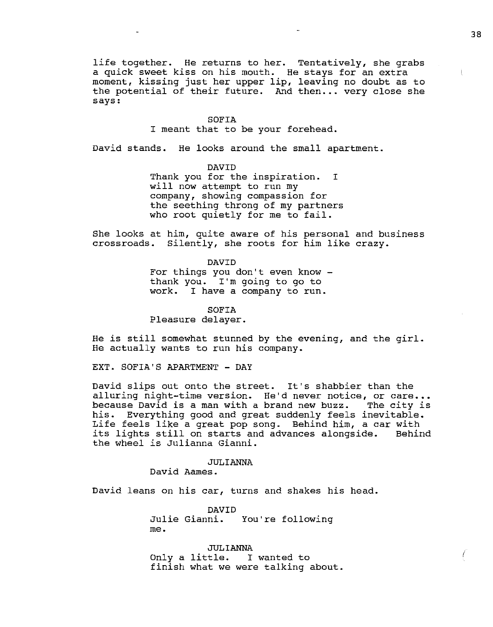life together. He returns to her. Tentatively, she grabs a quick sweet kiss on his mouth. He stays for an extra moment, kissing just her upper lip, leaving no doubt as to the potential of their future. And then... very close she says:

#### SOFIA

I meant that to be your forehead.

David stands. He looks around the small apartment.

DAVID

Thank you for the inspiration. I will now attempt to run my company, showing compassion for the seething throng of my partners who root quietly for me to fail.

She looks at him, quite aware of his personal and business crossroads. Silently, she roots for him like crazy.

> DAVID For things you don't even know - thank you. I'm going to go to work. I have a company to run.

> > SOFIA

Pleasure delayer.

He is still somewhat stunned by the evening, and the girl. He actually wants to run his company.

EXT. SOFIA'S APARTMENT - DAY

David slips out onto the street. It's shabbier than the alluring night-time version. He'd never notice, or care... because David is a man with a brand new buzz. The city is his. Everything good and great suddenly feels inevitable. Life feels like a great pop song. Behind him, a car with its lights still on starts and advances alongside. Behind the wheel is Julianna Gianni.

#### JULIANNA

David Aames.

David leans on his car, turns and shakes his head.

DAVID Julie Gianni. You're following me.

JULIANNA Only a little. I wanted to finish what we were talking about.

Ĺ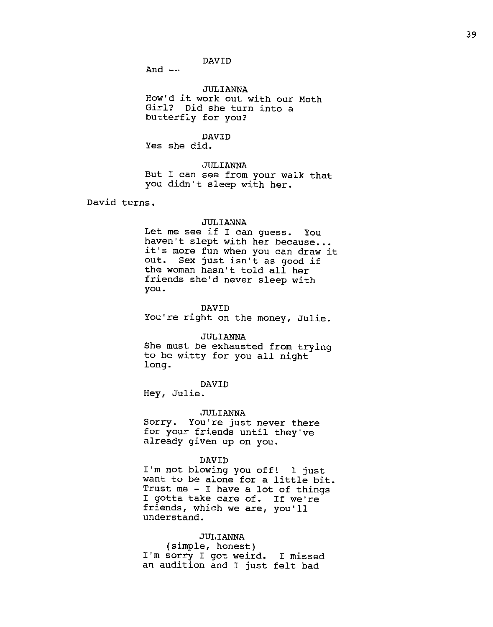DAVID

And  $--$ 

JULIANNA How'd it work out with our Moth Girl? Did she turn into a butterfly for you?

DAVID Yes she did.

JULIANNA But I can see from your walk that you didn't sleep with her.

David turns.

# JULIANNA

Let me see if I can guess. You haven't slept with her because... it's more fun when you can draw it<br>out. Sex just isn't as good if Sex just isn't as good if the woman hasn't told all her friends she'd never sleep with you.

#### DAVID

You're right on the money, Julie.

JULIANNA

She must be exhausted from trying to be witty for you all night long.

#### DAVID

Hey, Julie.

#### ,JULIANNA

Sorry. You're just never there for your friends until they've already given up on you.

#### DAVID

I'm not blowing you off! I just want to be alone for a little bit. want so be drone for a freete bit.<br>Trust me - I have a lot of things I gotta take care of. If we're friends, which we are, you'll understand.

#### JULIANNA

(simple, honest) I'm sorry I got weird. I missed an audition and I just felt bad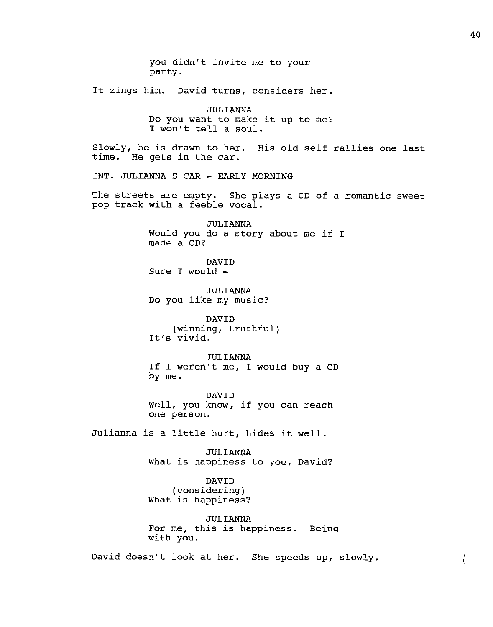you didn't invite me to your party. It zings him. David turns, considers her. JULIANNA Do you want to make it up to me? I won't tell a soul. Slowly, he is drawn to her. His old self rallies one last time. He gets in the car. INT. JULIANNA'S CAR - EARLY MORNING The streets are empty. She plays a CD of a romantic sweet pop track with a feeble vocal. JULIANNA Would you do a story about me if I made a CD? DAVID Sure I would - JULIANNA Do you like my music? DAVID (winning, truthful) It's vivid. JULIANNA If I weren't me, I would buy a CD by me. DAVID Well, you know, if you can reach one person. Julianna is a little hurt, hides it well. JULIANNA What is happiness to you, David? DAVID (considering) What is happiness? JULIANNA For me, this is happiness. Being with you. David doesn't look at her. She speeds up, slowly.

40

 $\mathcal{L}$ 

 $\left\{ \right.$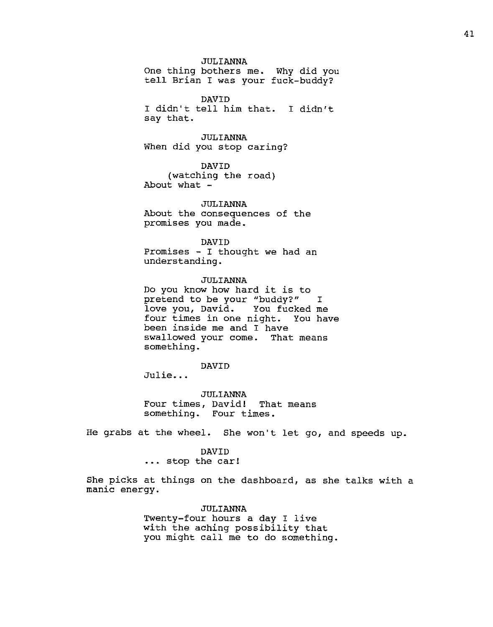# JULIANNA

One thing bothers me. Why did you tell Brian I was your fuck-buddy?

DAVID I didn't tell him that. I didn't say that.

JULIANNA When did you stop caring?

DAVID (watching the road) About what -

,TIJLIANNA About the consequences of the promises you made.

DAVID Promises - I thought we had an understanding.

JULIANNA Do you know how hard it is to pretend to be your "buddy?" I love you, David. You fucked me four times in one night. You have been inside me and I have swallowed your come. That means something.

DAVID

Julie...

JULIANNA Four times, David! That means something. Four times.

He grabs at the wheel. She won't let go, and speeds up.

#### DAVID

.•. stop the car!

She picks at things on the dashboard, as she talks with a manic energy.

> JULIANNA Twenty-four hours a day I live with the aching possibility that you might call me to do something.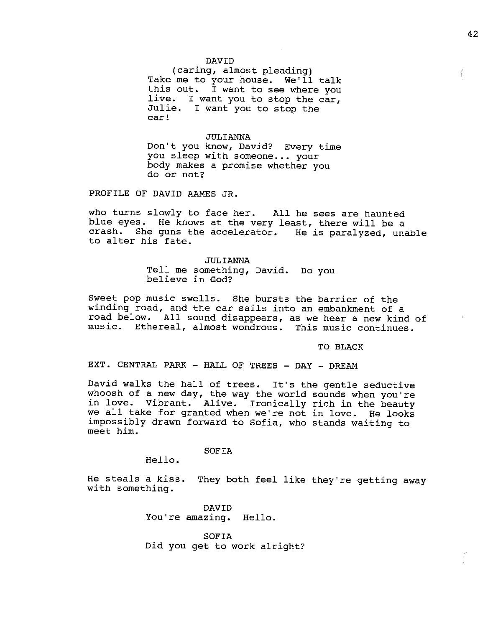#### DAVID

(caring, almost pleading) Take me to your house. We'll talk this out. I want to see where you live. I want you to stop the car, Julie. I want you to stop the car!

### JULIANNA

Don't you know, David? Every time you sleep with someone... your body makes a promise whether you do or not?

PROFILE OF DAVID AAMES JR.

who turns slowly to face her. All he sees are haunted blue eyes. He knows at the very least, there will be a crash. She guns the accelerator. He is paralyzed, unable to alter his fate.

> JULIANNA Tell me something, David. Do you believe in God?

Sweet pop music swells. She bursts the barrier of the winding road, and the car sails into an embankment of a road below. All sound disappears, as we hear a new kind of music. Ethereal, almost wondrous. This music continues.

TO BLACK

EXT. CENTRAL PARK - HALL OF TREES - DAY - DREAM

David walks the hall of trees. It's the gentle seductive whoosh of a new day, the way the world sounds when you're in love. Vibrant. Alive. Ironically rich in the beauty we all take for granted when we're not in love. He looks impossibly drawn forward to Sofia, who stands waiting to meet him.

## SOFIA

Hello.

He steals a kiss. They both feel like they're getting away with something.

DAVID You're amazing. Hello.

SOFIA Did you get to work alright? f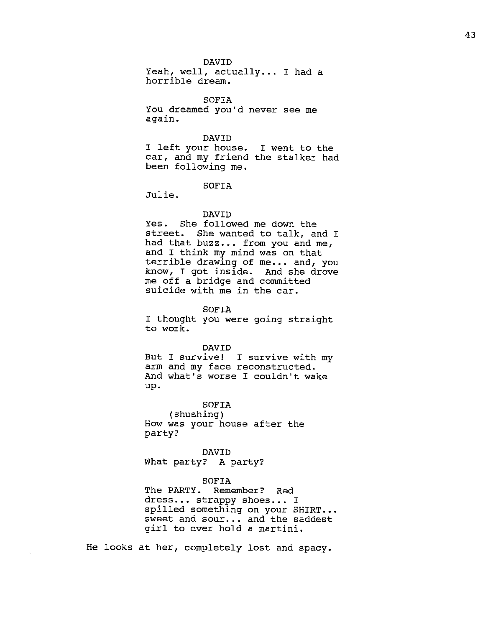#### DAVID

Yeah, well, actually... I had a horrible dream.

SOFIA You dreamed you'd never see me again.

#### DAVID

I left your house. car, and my friend the stalker had been following me. I went to the

#### SOFIA

Julie.

#### DAVID

Yes. She followed me down the street. She wanted to talk, and I had that buzz... from you and me, and I think my mind was on that terrible drawing of me... and, you know, I got inside. And she drove me off a bridge and committed suicide with me in the car.

#### SOFIA

I thought you were going straight to work.

#### DAVID

But I survive! I survive with my arm and my face reconstructed. And what's worse I couldn't wake up.

# SOFIA

(shushing) How was your house after the party?

# DAVID

What party? A party?

#### SOFIA

The PARTY. Remember? Red dress... strappy shoes... I spilled something on your SHIRT... sweet and sour... and the saddest girl to ever hold a martini.

He looks at her, completely lost and spacy.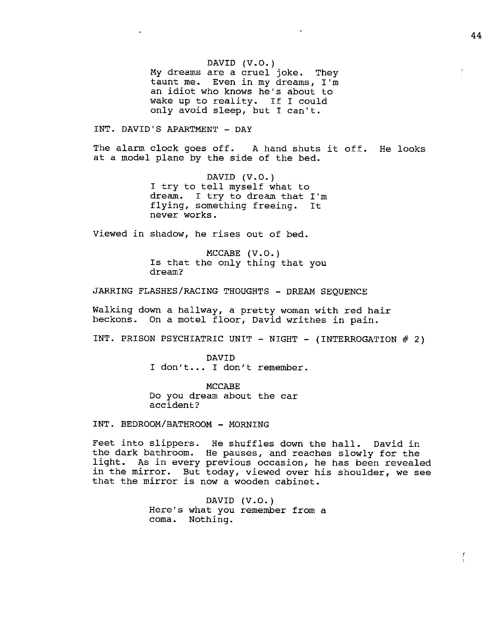DAVID  $(V.O.)$ My dreams are a cruel joke. They taunt me. Even in my dreams, I'm an idiot who knows he's about to wake up to reality. If I could only avoid sleep, but I can't.

INT. DAVID'S APARTMENT - DAY

The alarm clock goes off. A hand shuts it off. He looks at a model plane by the side of the bed.

> DAVID  $(V.0.)$ I try to tell myself what to dream. I try to dream that I'm dieam: I try to dieam that I m<br>flying, something freeing. It never works.

Viewed in shadow, he rises out of bed.

 $MCCABE$   $(V.0.)$ Is that the only thing that you dream?

JARRING FLASHES/RACING THOUGHTS - DREAM SEQUENCE

Walking down a hallway, a pretty woman with red hair beckons. On a motel floor, David writhes in pain.

INT. PRISON PSYCHIATRIC UNIT - NIGHT - (INTERROGATION  $#$  2)

DAVID I don't... I don't remember.

MCCABE Do you dream about the car accident?

INT. BEDROOM/BATHROOM - MORNING

Feet into slippers. He shuffles down the hall. David in the dark bathroom. He pauses, and reaches slowly for the light. As in every previous occasion, he has been revealed in the mirror. But today, viewed over his shoulder, we see In the mirror. But today, viewed over inthat the mirror is now a wooden cabinet.

> Here's what you remember from a coma. Nothing. DAVID (V.O.)

f

ŗ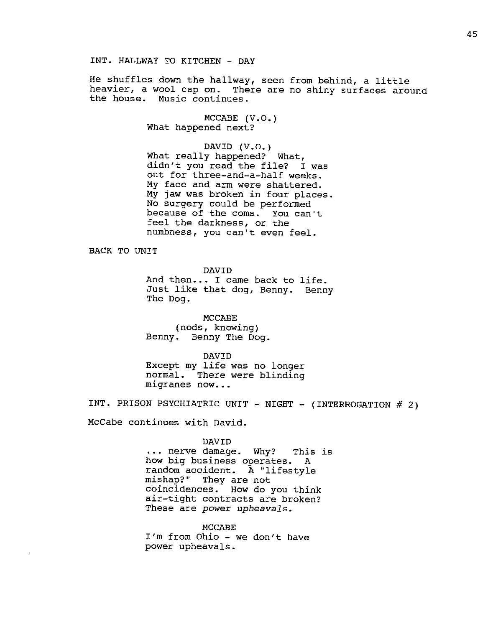He shuffles down the hallway, seen from behind, a little heavier, a wool cap on. There are no shiny surfaces around the house. Music continues.

> MCCABE  $(V.O.)$ What happened next?

DAVID (V.O.) What really happened? What, didn't you read the file? I was out for three-and-a-half weeks. **My** face and arm were shattered. **My** jaw was broken in four places. No surgery could be performed because of the coma. You can't feel the darkness, or the numbness, you can't even feel.

BACK TO UNIT

DAVID

And then... I came back to life. Just like that dog, Benny. Benny The Dog.

MCCABE (nods, knowing) Benny. Benny The Dog.

DAVID Except my life was no longer normal. There were blinding migranes now...

INT. PRISON PSYCHIATRIC UNIT - NIGHT - (INTERROGATION  $#$  2)

McCabe continues with David.

DAVID

••. nerve damage. Why? This is how big business operates. A random accident. A "lifestyle mishap?" They are not coincidences. How do you think air-tight contracts are broken? These are *power upheavals.* 

MCCABE I'm from Ohio - we don't have power upheavals.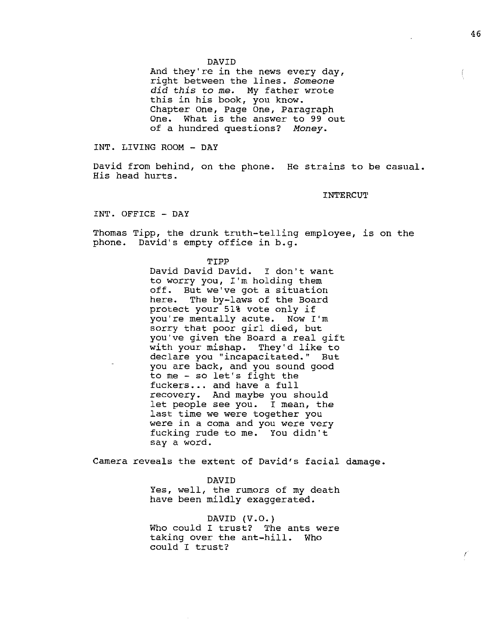And they're in the news every day, right between the lines. *Someone did this to me.* My father wrote this in his book, you know. Chapter One, Page One, Paragraph One. What is the answer to 99 out of a hundred questions? *Money.* 

INT. LIVING ROOM - DAY

David from behind, on the phone. He strains to be casual. His head hurts.

INTERCU'l'

INT. OFFICE - DAY

Thomas Tipp, the drunk truth-telling employee, is on the phone. David's empty office in b.g.

> TIPP David David David. I don't want to worry you, I'm holding them off. But we"ve got a situation here. The by-laws of the Board protect your 51% vote only if you're mentally acute. Now I'm sorry that poor girl died, but you've given the Board a real gift with your mishap. They'd like to declare you "incapacitated." But you are back, and you sound good to me - so let's fight the fuckers ... and have a full recovery. And maybe you should let people see you. I mean, the last time we were together you were in a coma and you were very fucking rude to me. You didn't say a word.

Camera reveals the extent of David's facial damage.

DAVID Yes, well, the rumors of my death have been mildly exaggerated.

DAVID (V.O.) Who could I trust? The ants were taking over the ant-hill. Who could I trust?

r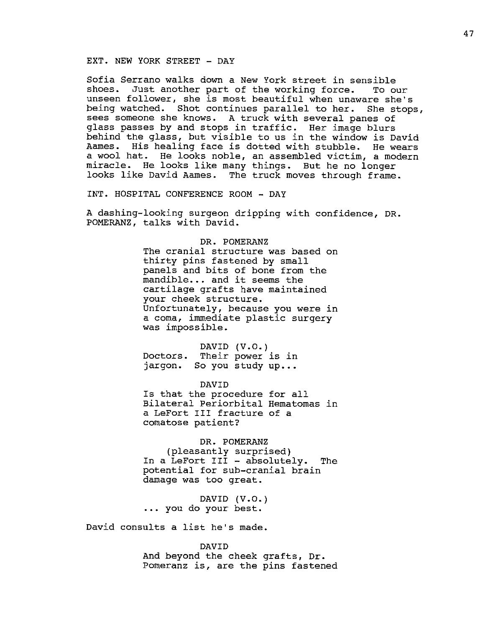#### EXT. NEW YORK STREET - DAY

Sofia Serrano walks down a New York street in sensible shoes. Just another part of the working force. To our unseen follower, she is most beautiful when unaware she's being watched. Shot continues parallel to her. She stops, sees someone she knows. A truck with several panes of glass passes by and stops in traffic. Her image blurs behind the glass, but visible to us in the window is David Aames. His healing face is dotted with stubble. He wears a wool hat. He looks noble, an assembled victim, a modern miracle. He looks like many things. But he no longer looks like David Aames. The truck moves through frame.

INT. HOSPITAL CONFERENCE ROOM - DAY

A dashing-looking surgeon dripping with confidence, DR. POMERANZ, talks with David.

> DR. POMERANZ The cranial structure was based on thirty pins fastened by small panels and bits of bone from the mandible... and it seems the cartilage grafts have maintained your cheek structure. Unfortunately, because you were in a coma, immediate plastic surgery was impossible.

Doctors. Their power is in jargon. So you study up... DAVID (V.O.)

DAVID Is that the procedure for all Bilateral Periorbital Hematomas in a LeFort III fracture of a comatose patient?

DR. POMERANZ (pleasantly surprised) In a LeFort III - absolutely. The In a LeFort III - absolutely. The<br>potential for sub-cranial brain

DAVID (V.O.) ••• you do your best.

damage was too great.

David consults a list he's made.

DAVID And beyond the cheek grafts, Dr. Pomeranz is, are the pins fastened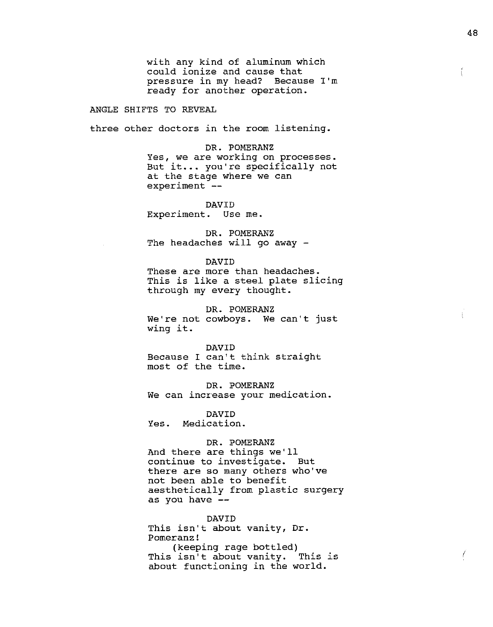with any kind of aluminum which could ionize and cause that pressure in my head? Because I'm ready for another operation.

ANGLE SHIFTS TO REVEAL

three other doctors in the room listening.

DR. POMERANZ Yes, we are working on processes. But it... you're specifically not at the stage where we can  $experiment$   $--$ 

DAVID Experiment. Use me.

DR. POMERANZ The headaches will go away -

#### DAVID

These are more than headaches. This is like a steel plate slicing through my every thought.

DR. POMERANZ We're not cowboys. We can't just wing it.

#### DAVID

Because I can't think straight most of the time.

DR. POMERANZ We can increase your medication.

DAVID

Yes. Medication.

# DR. POMERANZ

And there are things we'll continue to investigate. But there are so many others who've not been able to benefit aesthetically from plastic surgery as you have  $-$ -

## DAVID

This isn't about vanity, Dr. Pomeranz! (keeping rage bottled) This isn't about vanity. This is about functioning in the world.

ť

*(* 

ŧ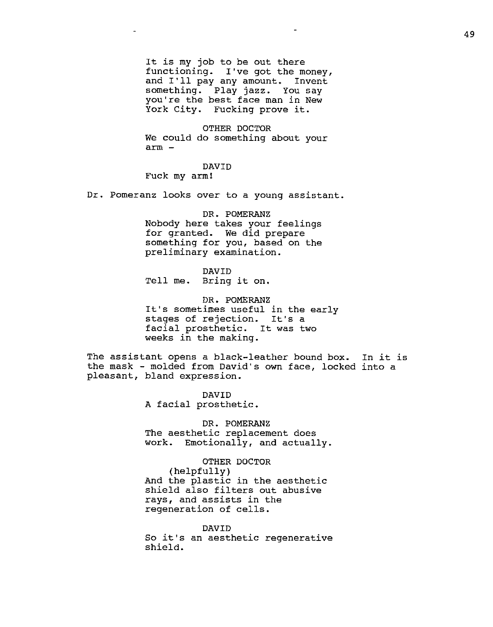It is my job to be out there functioning. I've got the money, and I'll pay any amount. Invent something. Play jazz. You say you're the best face man in New York City. Fucking prove it.

OTHER DOCTOR We could do something about your arm -

DAVID Fuck my arm!

Dr. Pomeranz looks over to a young assistant.

DR. POMERANZ Nobody here takes your feelings for granted. We did prepare something for you, based on the preliminary examination.

DAVID Tell me. Bring it on.

DR. POMERANZ It's sometimes useful in the early stages of rejection. It's a facial prosthetic. It was two weeks in the making.

The assistant opens a black-leather bound box. In it is the mask - molded from David's own face, locked into a pleasant, bland expression.

> DAVID A facial prosthetic.

DR. POMERANZ The aesthetic replacement does work. Emotionally, and actually.

OTHER DOCTOR (helpfully) And the plastic in the aesthetic shield also filters out abusive rays, and assists in the regeneration of cells.

DAVID So it's an aesthetic regenerative shield.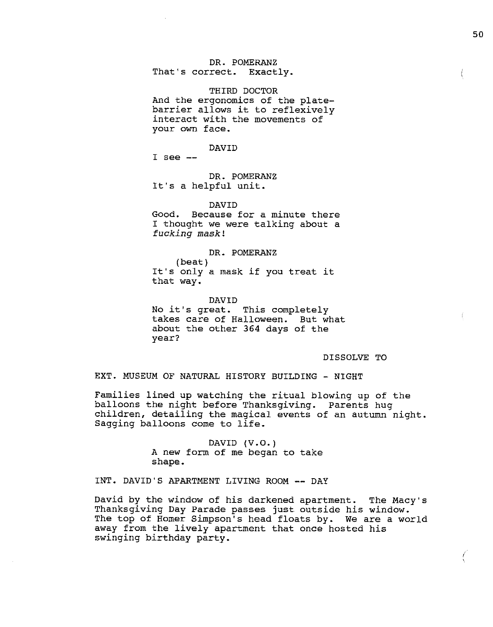# DR. POMERANZ

That's correct. Exactly.

THIRD DOCTOR And the ergonomics of the platebarrier allows it to reflexively interact with the movements of your own face.

DAVID

 $I$  see  $-$ 

DR. POMERANZ It's a helpful unit.

DAVID Good. Because for a minute there I thought we were talking about a *fucking mask!* 

DR. POMERANZ (beat) It's only a mask if you treat it that way.

DAVID No it's great. This completely takes care of Halloween. But what about the other 364 days of the year?

# DISSOLVE TO

EXT. MUSEUM OF NATURAL HISTORY BUILDING - NIGHT

Families lined up watching the ritual blowing up of the balloons the night before Thanksgiving. Parents hug children, detailing the magical events of an autumn night. Sagging balloons come to life.

> DAVID (V.O.) A new form of me began to take shape.

INT. DAVID'S APARTMENT LIVING ROOM -- DAY

David by the window of his darkened apartment. The Macy's Thanksgiving Day Parade passes just outside his window. The top of Homer Simpson's head floats by. We are a world away from the lively apartment that once hosted his swinging birthday party.

 $\langle$ 

*(*  '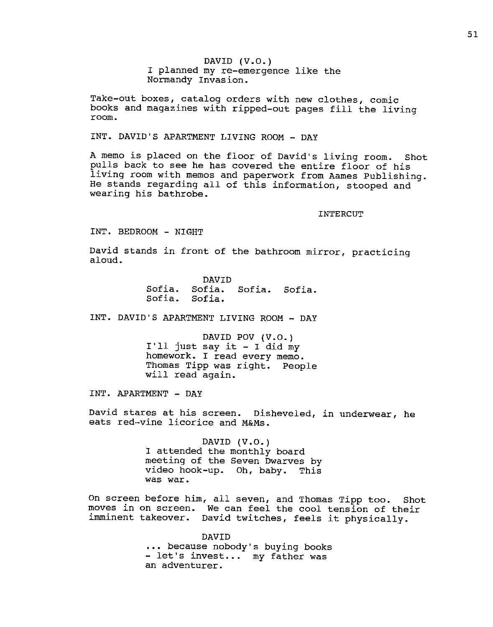DAVID (V.O.) I planned my re-emergence like the Normandy Invasion.

Take-out boxes, catalog orders with new clothes, comic books and magazines with ripped-out pages fill the living room.

# INT. DAVID'S APARTMENT LIVING ROOM - DAY

A memo is placed on the floor of David's living room. Shot pulls back to see he has covered the entire floor of his living room with memos and paperwork from Aames Publishing. He stands regarding all of this information, stooped and wearing his bathrobe.

INTERCUT

INT. BEDROOM - NIGHT

David stands in front of the bathroom mirror, practicing aloud.

Sofia. Sofia. Sofia. Sofia. Sofia. Sofia. DAVID

INT. DAVID'S APARTMENT LIVING ROOM -- DAY

DAVID POV (V.O.)  $I'11$  just say it - I did my homework. I read every memo. Thomas Tipp was right. People will read again.

INT. APARTMENT - DAY

David stares at his screen. Disheveled, in underwear, he eats red--vine licorice and M&Ms.

> DAVID (V.O.) I attended the monthly board meeting of the Seven Dwarves by video hook-up. Oh, baby. This was war.

On screen before him, all seven, and Thomas Tipp too. Shot moves in on screen. We can feel the cool tension of their imminent takeover. David twitches, feels it physically.

> DAVID because nobody's buying books - let's invest ••• my father was an adventurer.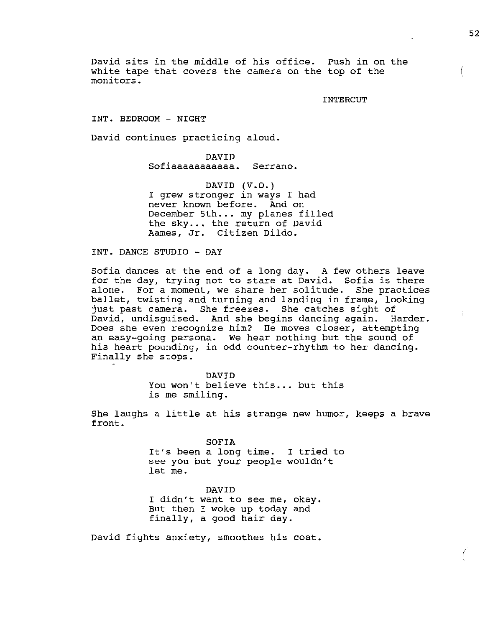David sits in the middle of his office. Push in on the white tape that covers the camera on the top of the monitors.

INTERCUT

INT. BEDROOM - NIGHT

David continues practicing aloud.

DAVID Sofiaaaaaaaaaaa. Serrano.

DAVID  $(V.O.)$ I grew stronger in ways I had never known before. And on December 5th... my planes filled the sky... the return of David Aames, Jr. Citizen Dildo.

INT. DANCE STUDIO - DAY

Sofia dances at the end of a long day. A few others leave for the day, trying not to stare at David. Sofia is there alone. For a moment, we share her solitude. She practices ballet, twisting and turning and landing in frame, looking just past camera. She freezes. She catches sight of David, undisguised. And she begins dancing again. Harder. Does she even recognize him? He moves closer, attempting an easy-going persona. We hear nothing but the sound of his heart pounding, in odd counter-rhythm to her dancing. Finally she stops.

> DAVID You won't believe this... but this is me smiling.

She laughs a little at his strange new humor, keeps a brave front.

> SOFIA It's been a long time. I tried to see you but your people wouldn't let me.

DAVID I didn't want to see me, okay. But then I woke up today and finally, a good hair day.

David fights anxiety, smoothes his coat.

 $\left($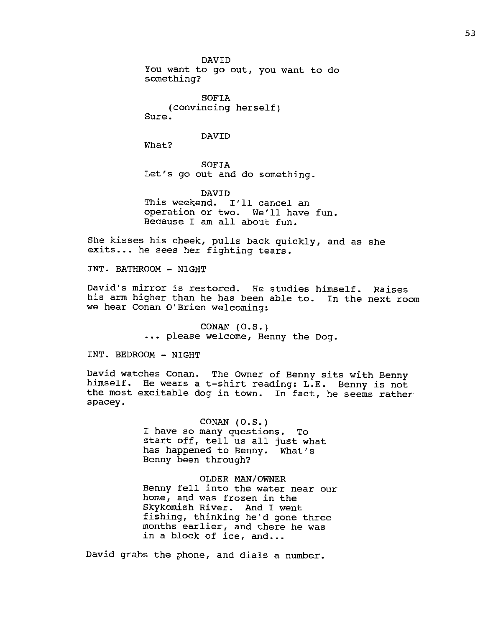DAVID You want to go out, you want to do something?

SOFIA (convincing herself) Sure.

#### DAVID

What?

SOFIA Let's go out and do something.

DAVID This weekend. I'll cancel an operation or two. We'll have fun. Because I am all about fun.

She kisses his cheek, pulls back quickly, and as she exits... he sees her fighting tears.

INT. BATHROOM - NIGHT

David's mirror is restored. He studies himself. Raises his arm higher than he has been able to. In the next room we hear Conan O'Brien welcoming:

> CONAN (O.S.) ... please welcome, Benny the Dog.

INT. BEDROOM - NIGHT

David watches Conan. The OWner of Benny sits with Benny himself. He wears at-shirt reading: L.E. Benny is not the most excitable dog in town. In fact, he seems rather spacey.

> CONAN (O.S.) I have so many questions. To start off, tell us all just what<br>has happened to Benny. What's has happened to Benny. Benny been through?

OLDER MAN/OWNER Benny fell into the water near our home, and was frozen in the Skykomish River. And I went fishing, thinking he'd gone three months earlier, and there he was in a block of ice, and...

David grabs the phone, and dials a number.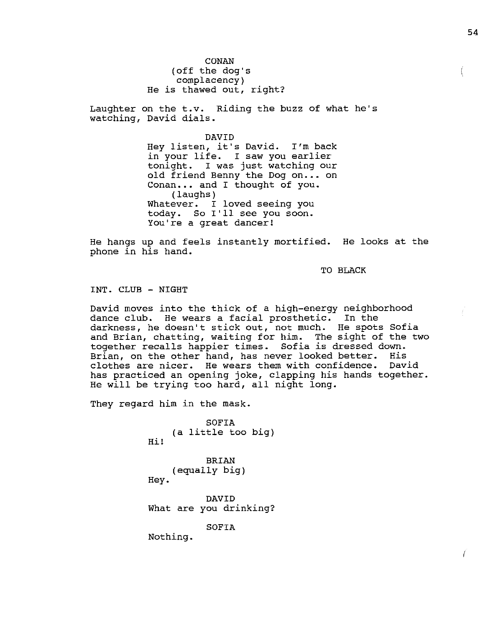54

CONAN (off the dog's complacency) He is thawed out, right?

Laughter on the t.v. Riding the buzz of what he's watching, David dials.

> DAVID Hey listen, it's David. I'm back in your life. I saw you earlier tonight. I was just watching our old friend Benny the Dog on ... on Conan... and I thought of you. (laughs) Whatever. I loved seeing you today. So I'll see you soon. You're a great dancer!

He hangs up and feels instantly mortified. He looks at the phone in his hand.

TO BLACK

INT. CLUB - NIGHT

David moves into the thick of a high-energy neighborhood dance club. He wears a facial prosthetic. In the darkness, he doesn't stick out, not much. He spots Sofia and Brian, chatting, waiting for him. The sight of the two together recalls happier times. Sofia is dressed down. Brian, on the other hand, has never looked better. His clothes are nicer. He wears them with confidence. David has practiced an opening joke, clapping his hands together. He will be trying too hard, all night long.

They regard him in the mask.

Hi! SOFIA (a little too big) BRIAN (equally big) Hey. DAVID What are you drinking? SOFIA Nothing.

 $\sqrt{ }$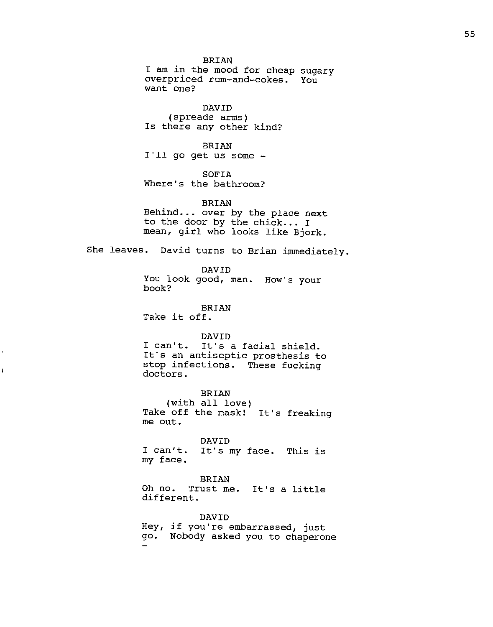BRIAN I am in the mood for cheap sugary overpriced rum-and-cokes. You want one?

DAVID (spreads arms) Is there any other kind?

BRIAN I'll go get us some -

SOFIA Where's the bathroom?

BRIAN Behind... over by the place next to the door by the chick... I mean, girl who looks like Bjork.

She leaves. David turns to Brian immediately.

DAVID You look good, man. How's your book?

BRIAN Take it off.

j

# DAVID

I can't. It's a facial shield. It's an antiseptic prosthesis to stop infections. These fucking doctors.

BRIAN

(with all love) Take off the mask! It's freaking me out.

### DAVID

I can't. It's my face. This is my face.

# BRIAN

Oh no. Trust me. It's a little different.

DAVID Hey, if you're embarrassed, just go. Nobody asked you to chaperone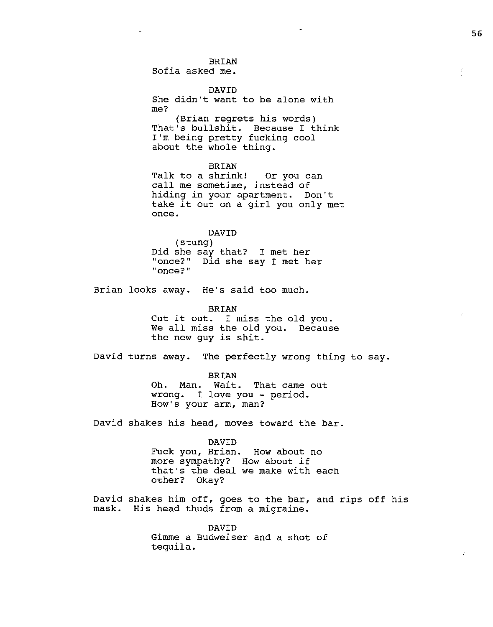# BRIAN

Sofia asked me.

DAVID

She didn't want to be alone with me?

(Brian regrets his words) That's bullshit. Because I think I'm being pretty fucking cool about the whole thing.

BRIAN

Talk to a shrink! Or you can call me sometime, instead of hiding in your apartment. Don't take it out on a girl you only met once.

#### DAVID

(stung) Did she say that? I met her<br>"once?" Did she say I met h Did she say I met her **<sup>11</sup> once?"** 

Brian looks away. He's said too much.

BRIAN Cut it out. I miss the old you. We all miss the old you. Because the new guy is shit.

David turns away. The perfectly wrong thing to say.

BRIAN Oh. Man. Wait. That came out wrong. I love you - period. How's your arm, man?

David shakes his head, moves toward the bar.

DAVID

Fuck you, Brian. How about no more sympathy? How about if that's the deal we make with each other? Okay?

David shakes him off, goes to the bar, and rips off his mask. His head thuds from a migraine.

> DAVID Gimme a Budweiser and a shot of tequila.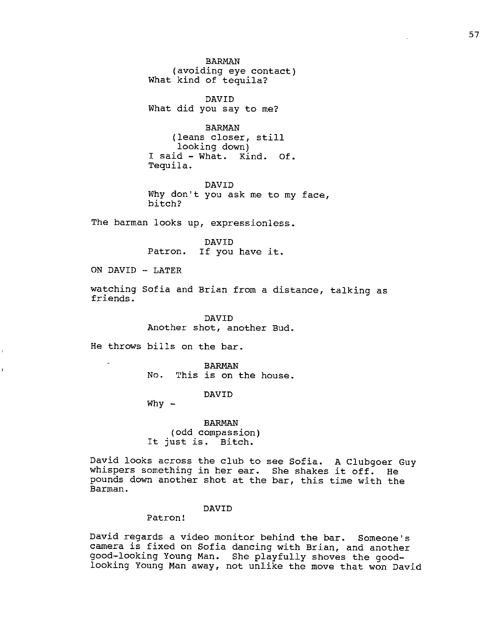BARMAN (avoiding eye contact) What kind of tequila?

DAVID What did you say to me?

BARMAN (leans closer, still looking down) I said - What. Kind. Of. Tequila.

DAVID Why don't you ask me to my face, bitch?

The barman looks up, expressionless.

DAVID Patron. If you have it.

ON DAVID - LATER

watching Sofia and Brian from a distance, talking as friends.

> DAVID Another shot, another Bud.

He throws bills on the bar.

BARMAN No. This is on the house.

DAVID

 $Why -$ 

BARMAN (odd compassion) It just is. Bitch.

David looks across the club to see Sofia. A Clubgoer Guy whispers something in her ear. She shakes it off. He pounds down another shot at the bar, this time with the Barman.

#### DAVID

Patron!

David regards a video monitor behind the bar. Someone's camera is fixed on Sofia dancing with Brian, and another good-looking Young Man. She playfully shoves the goodlooking Young Man away, not unlike the move that won David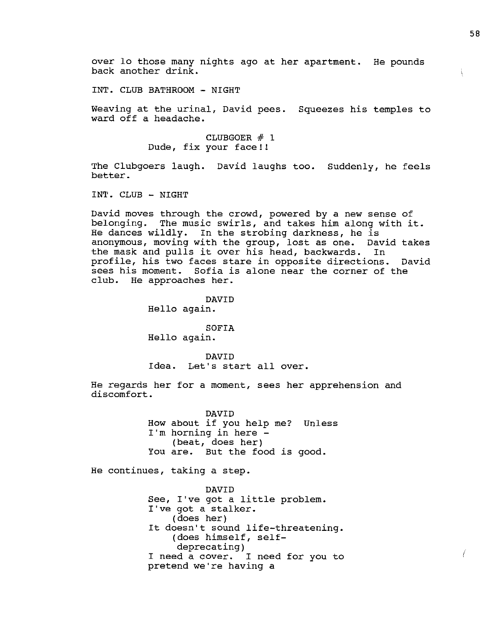over lo those many nights ago at her apartment. He pounds back another drink.

INT. CLUB BATHROOM - NIGHT

Weaving at the urinal, David pees. Squeezes his temples to ward off a headache.

> CLUBGOER # 1 Dude, fix your face!!

The Clubgoers laugh. David laughs too. Suddenly, he feels better.

INT. CLUB - NIGHT

David moves through the crowd, powered by a new sense of belonging. The music swirls, and takes him along with it. He dances wildly. In the strobing darkness, he is anonymous, moving with the group, lost as one. David takes the mask and pulls it over his head, backwards. In profile, his two faces stare in opposite directions. David sees his moment. Sofia is alone near the corner of the club. He approaches her.

DAVID

Hello again.

SOFIA Hello again.

DAVID Idea. Let's start all over.

He regards her for a moment, sees her apprehension and discomfort.

> DAVID How about if you help me? Unless  $I'm$  horning in here  $-$ (beat, does her) You are. But the food is good.

He continues, taking a step.

DAVID See, I've got a little problem. I've got a stalker. (does her) It doesn't sound life-threatening. (does himself, selfdeprecating) I need a cover. I need for you to pretend we're having a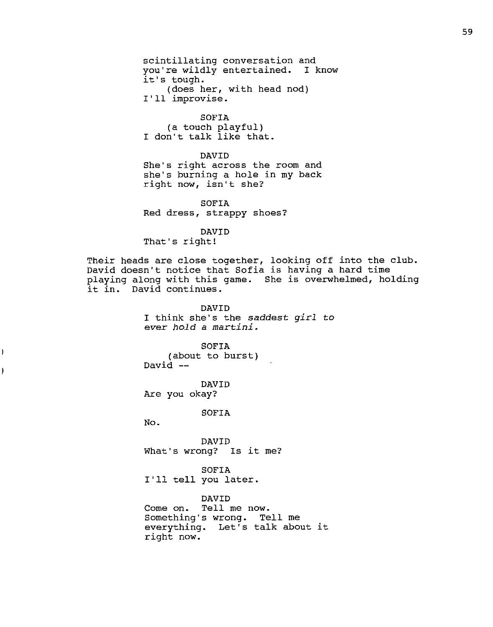scintillating conversation and you're wildly entertained. I know it's tough. (does her, with head nod) I'll improvise.

SOFIA (a touch playful) I don't talk like that.

DAVID

She's right across the room and she's burning a hole in my back right now, isn't she?

SOFIA Red dress, strappy shoes?

DAVID

That's right!

Their heads are close together, looking off into the club. David doesn't notice that Sofia is having a hard time playing along with this game. She is overwhelmed, holding it in. David continues.

> DAVID I think she's the *saddest girl to ever hold a martini.*

SOFIA (about to burst) David --

DAVID Are you okay?

SOFIA

No.

Ì

ł

DAVID What's wrong? Is it me?

SOFIA I'll tell you later.

DAVID

Come on. Tell me now. Something's wrong. Tell me everything. Let's talk about it right now.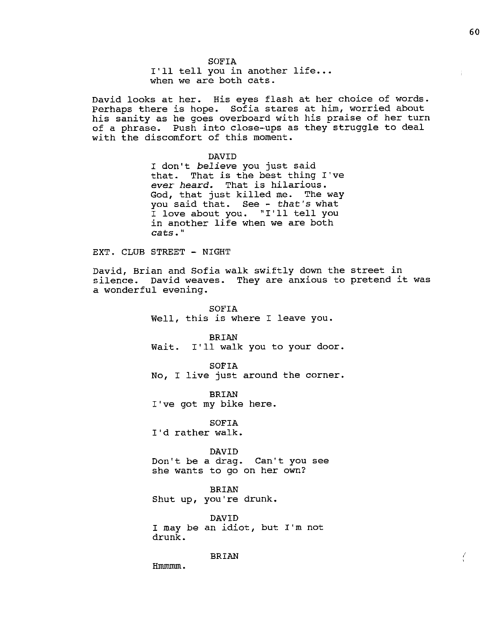SOFIA I'll tell you in another life... when we are both cats.

David looks at her. His eyes flash at her choice of words. Perhaps there is hope. Sofia stares at him, worried about his sanity as he goes overboard with his praise of her turn of a phrase. Push into close-ups as they struggle to deal with the discomfort of this moment.

DAVID

I don't *believe* you just said that. That is the best thing I"ve *ever heard.* That is hilarious. God, that just killed me. The way you said that. See - that's what I love about you. "I'll tell you in another life when we are both cats."

EXT. CLUB STREET - NIGHT

David, Brian and Sofia walk swiftly down the street in silence. David weaves. They are anxious to pretend it was a wonderful evening.

> SOFIA Well, this is where I leave you.

**BRIAN** Wait. I'll walk you to your door.

SOFIA No, I live just around the corner.

BRIAN I've got my bike here.

SOFIA I'd rather walk.

DAVID

Don't be a drag. Can't you see she wants to go on her own?

BRIAN Shut up, you"re drunk.

DAVID I may be an idiot, but I'm not drunk.

BRIAN

Hmmmm.

f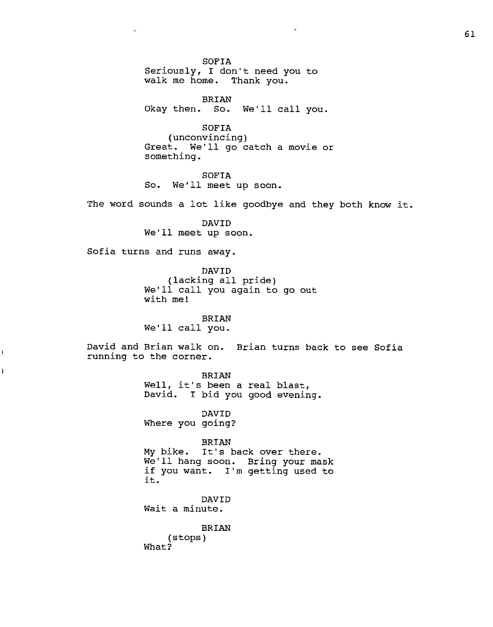SOFIA Seriously, I don't need you to walk me home. Thank you.

BRIAN Okay then. So. We'll call you.

SOFIA (unconvincing) Great. We'll go catch a movie or something.

SOFIA So. We'll meet up soon.

The word sounds a lot like goodbye and they both know it.

DAVID We'll meet up soon.

Sofia turns and runs away.

 $\mathbf{i}$ 

Ì

 $\sim$ 

DAVID (lacking all pride) We'll call you again to go out with me!

BRIAN We'll call you.

David and Brian walk on. Brian turns back to see Sofia running to the corner.

> BRIAN Well, it's been a real blast, David. I bid you good evening.

DAVID Where you going?

BRIAN My bike. It's back over there. We'll hang soon. Bring your mask if you want. I'm getting used to it.

DAVID Wait a minute.

BRIAN (stops) What?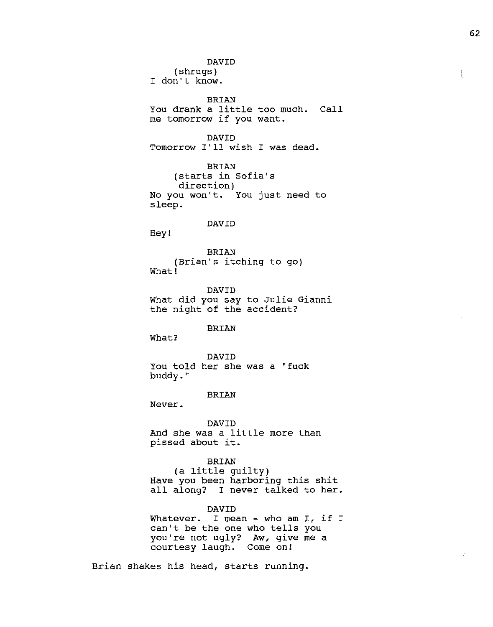DAVID (shrugs) I don't know. BRIAN You drank a little too much. Call me tomorrow if you want. DAVID Tomorrow I'll wish I was dead. BRIAN (starts in Sofia's direction) No you won't. You just need to sleep. DAVID Hey! BRIAN (Brian's itching to go) What! DAVID What did you say to Julie Gianni the night of the accident? BRIAN What? DAVID You told her she was a "fuck buddy." BRIAN Never. DAVID And she was a little more than pissed about it. BRIAN (a little guilty) Have you been harboring this shit all along? I never talked to her. DAVID Whatever. I mean - who am I, if I whatever. I mean - who am I, .<br>can't be the one who tells you you're not ugly? Aw, give me a courtesy laugh. Come on!

Brian shakes his head, starts running.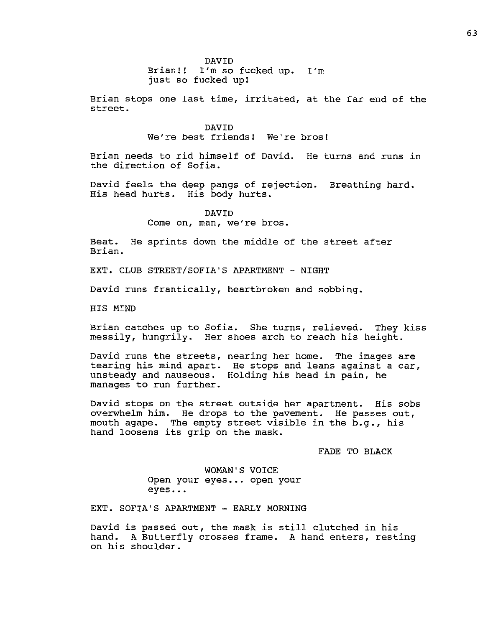Brian!! I'm so fucked up. I'm just so fucked up!

Brian stops one last time, irritated, at the far end of the street.

> DAVID We're best friends! We're bros!

Brian needs to rid himself of David. He turns and runs in the direction of Sofia.

David feels the deep pangs of rejection. Breathing hard. His head hurts. His body hurts.

> DAVID Come on, man, we're bros.

Beat. He sprints down the middle of the street after Brian.

EXT. CLUB STREET/SOFIA'S APARTMENT - NIGHT

David runs frantically, heartbroken and sobbing.

HIS MIND

Brian catches up to Sofia. She turns, relieved. They kiss messily, hungrily. Her shoes arch to reach his height.

David runs the streets, nearing her home. The images are tearing his mind apart. unsteady and nauseous. manages to run further. watting not nome. The images are Holding his head in pain, he

David stops on the street outside her apartment. His sobs overwhelm him. He drops to the pavement. He passes out, mouth agape. The empty street visible in the b.g., his hand loosens its grip on the mask.

FADE TO BLACK

WOMAN'S VOICE Open your eyes... open your eyes ..•

EXT. SOFIA'S APARTMENT - EARLY MORNING

David is passed out, the mask is still clutched in his hand. A Butterfly crosses frame. A hand enters, resting on his shoulder.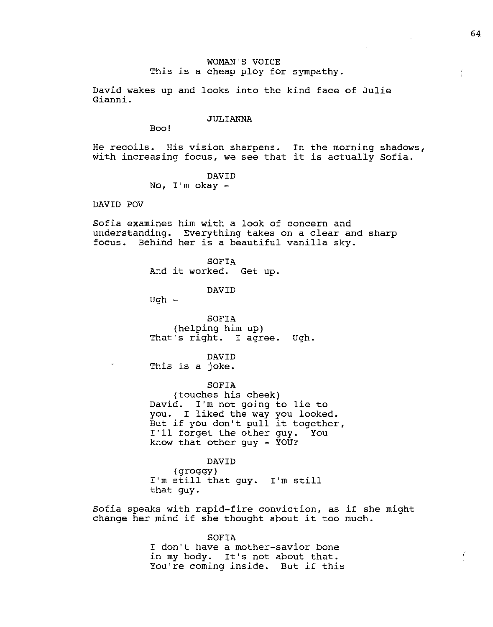# WOMAN'S VOICE This is a cheap ploy for sympathy.

David wakes up and looks into the kind face of Julie Gianni.

#### JULIANNA

Boo!

He recoils. His vision sharpens. In the morning shadows, with increasing focus, we see that it is actually Sofia.

# DAVID

No,  $I'm$  okay  $-$ 

DAVID POV

Sofia examines him with a look of concern and understanding. Everything takes on a clear and sharp focus. Behind her is a beautiful vanilla sky.

> SOFIA And it worked. Get up.

> > DAVID

 $Ugh$  -

SOFIA (helping him up) That's right. I agree. Ugh.

DAVID

This is a joke.

SOFIA

(touches his cheek) David. I'm not going to lie to you. I liked the way you looked. But if you don't pull it together, But if you don't pull it togethe<br>I'll forget the other guy. You I'll forget the other guy.<br>know that other guy - YOU?

DAVID

(groggy) I'm still that guy. I'm still that guy.

Sofia speaks with rapid-fire conviction, as if she might change her mind if she thought about it too much.

> SOFIA I don't have a mother-savior bone in my body. It's not about that. You're coming inside. But if this

 $\bigg)$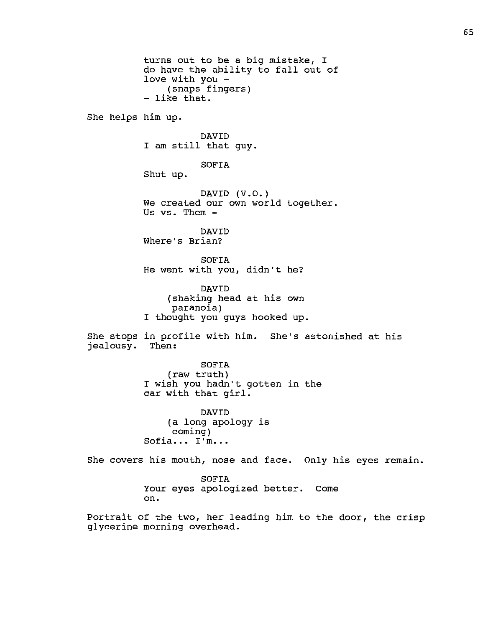turns out to be a big mistake, I do have the ability to fall out of love with you - (snaps fingers) - like that. She helps him up. DAVID I am still that guy. SOFIA Shut up. DAVID  $(V.0.)$ We created our own world together. Us vs. Them - DAVID Where's Brian? SOFIA He went with you, didn't he? DAVID (shaking head at his own paranoia) I thought you guys hooked up. She stops in profile with him. She's astonished at his jealousy. Then: SOFIA (raw truth) I wish you hadn't gotten in the car with that girl. DAVID (a long apology is coming) Sofia... I'm... She covers his mouth, nose and face. Only his eyes remain. SOFIA Your eyes apologized better. Come on.

Portrait of the two, her leading him to the door, the crisp glycerine morning overhead.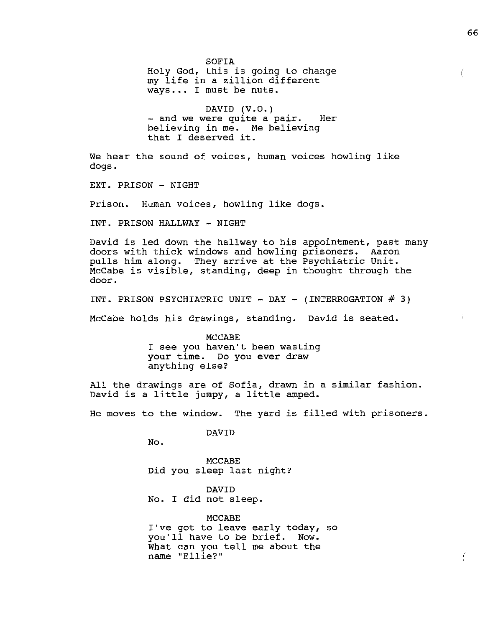SOFIA Holy God, this is going to change my life in a zillion different ways ••. I must be nuts. DAVID (V.O.)<br>- and we were quite a pair. Her believing in me. Me believing that I deserved it. We hear the sound of voices, human voices howling like dogs. EXT. PRISON - NIGHT Prison. Human voices, howling like dogs. INT. PRISON HALLWAY - NIGHT David is led down the hallway to his appointment, past many doors with thick windows and howling prisoners. Aaron pulls him along. They arrive at the Psychiatric Unit.. McCabe is visible, standing, deep in thought through the door. INT. PRISON PSYCHIATRIC UNIT - DAY - (INTERROGATION  $#$  3) McCabe holds his drawings, standing. David is seated. MCCABE I see you haven't been wasting your time. Do you ever draw anything else? All the drawings are of Sofia, drawn in a similar fashion. David is a little jumpy, a little amped. He moves to the window. The yard is filled with prisoners. DAVID No. MCCABE Did you sleep last night? DAVID No. I did not sleep. MCCABE

I've got to leave early today, so you'll have to be brief. Now. What can you tell me about the name "Ellie?"

66

ť

Ĺ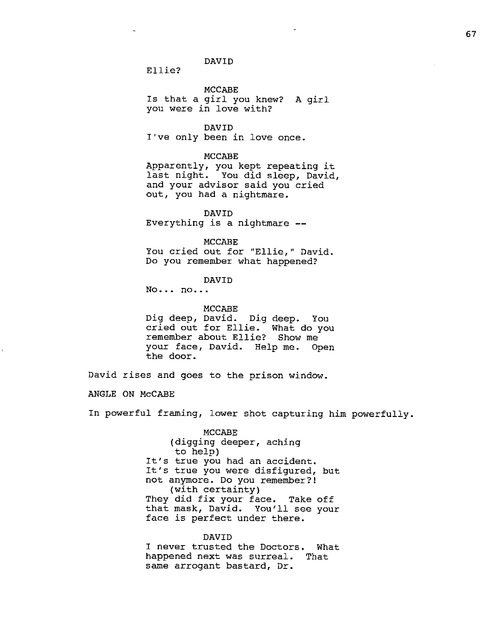Ellie?

MCCABE

Is that a girl you knew? A girl you were in love with?

DAVID

I"ve only been in love once.

MCCABE

Apparently, you kept repeating it last night. You did sleep, David, and your advisor said you cried out, you had a nightmare.

DAVID Everything is a nightmare

MCCABE

You cried out for "Ellie," David. Do you remember what happened?

DAVID

No... no...

MCCABE Dig deep, David. Dig deep. You cried out for Ellie. What do you remember about Ellie? Show me your face, David. Help me. Open the door.

David rises and goes to the prison window.

ANGLE ON McCABE

In powerful framing, lower shot capturing him powerfully.

MCCABE (digging deeper, aching to help) It's true you had an accident. It's true you were disfigured, but not anymore. Do you remember?! (with certainty) They did fix your face. Take off that mask, David. You'll see your face is perfect under there.

DAVID I never trusted the Doctors. What happened next was surreal. That same arrogant bastard, Dr.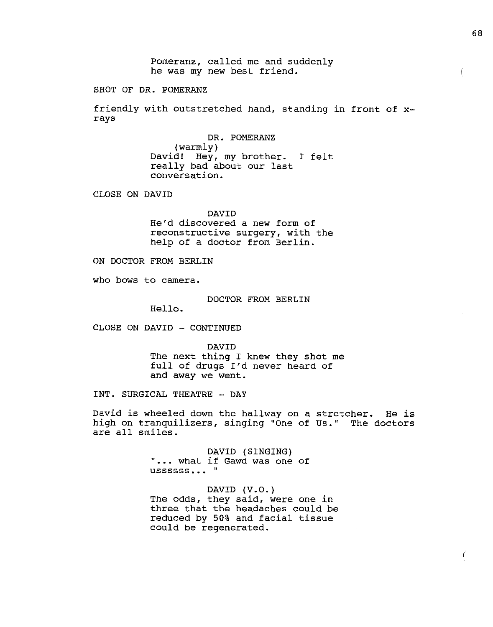Pomeranz, called me and suddenly he was my new best friend.

SHOT OF DR. POMERANZ

friendly with outstretched hand, standing in front of xrays

> DR. POMERANZ (warmly) David! Hey, my brother. I felt really bad about our last conversation.

CLOSE ON DAVID

DAVID

He'd discovered a new form of reconstructive surgery, with the help of a doctor from Berlin.

ON DOCTOR FROM BERLIN

who bows to camera.

DOCTOR FROM BERLIN

Hello.

CLOSE ON DAVID - CONTINUED

DAVID The next thing I knew they shot me full of drugs I'd never heard of and away we went.

INT. SURGICAL THEATRE - DAY

David is wheeled down the hallway on a stretcher. He is high on tranquilizers, singing "One of Us." The doctors are all smiles.

> DAVID (SINGING)<br>... what if Gawd was one of " DAVID (SINGING) **ussssss...**"

DAVID (V.O.) The odds, they said, were one in three that the headaches could be reduced by 50% and facial tissue could be regenerated.

 $\left($ 

I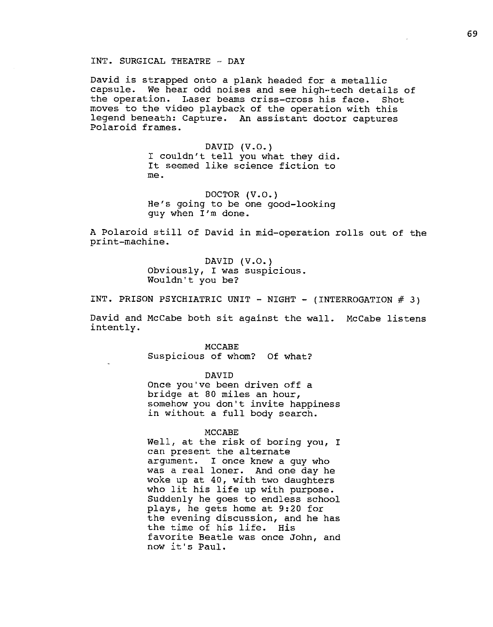David is strapped onto a plank headed for a metallic capsule. We hear odd noises and see high-tech details of the operation. Laser beams criss-cross his face. Shot moves to the video playback of the operation with this legend beneath: Capture. An assistant doctor captures Polaroid frames.

> DAVID (V.O.) I couldn't tell you what they did. It seemed like science fiction to me.

DOCTOR (V.O.) He's going to be one good-looking guy when I'm done.

A Polaroid still of David in mid-operation rolls out of the print-machine.

> DAVID (V.O.) Obviously, I was suspicious. Wouldn't you be?

INT. PRISON PSYCHIATRIC UNIT - NIGHT - (INTERROGATION # 3)

David and McCabe both sit against the wall. McCabe listens intently.

> MCCABE Suspicious of whom? Of what?

> > DAVID

Once you've been driven off a bridge at 80 miles an hour, somehow you don't invite happiness in without a full body search.

#### MCCABE

Well, at the risk of boring you, I can present the alternate argument. I once knew a guy who was a real loner. And one day he woke up at 40, with two daughters who lit his life up with purpose. Suddenly he goes to endless school plays, he gets home at 9:20 for the evening discussion, and he has the time of his life. His favorite Beatle was once John, and now it' s Paul.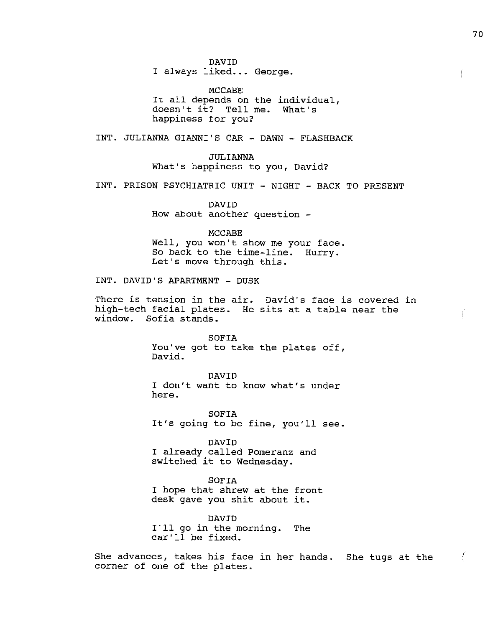DAVID

I always liked... George.

MCCABE It all depends on the individual, doesn't it? Tell me. What's happiness for you?

INT. JULIANNA GIANNI'S CAR - DAWN - FLASHBACK

JULIANNA What's happiness to you, David?

INT. PRISON PSYCHIATRIC UNIT - NIGHT - BACK TO PRESENT

DAVID How about another question -

MCCABE

Well, you won't show me your face. So back to the time-line. Hurry. Let's move through this.

INT. DAVID'S APARTMENT - DUSK

There is tension in the air. David's face is covered in high-tech facial plates. He sits at a table near the window. Sofia stands.

> SOFIA You"ve got to take the plates off, David.

DAVID I don't want to know what's under here.

SOFIA It's going to be fine, you'll see.

DAVID I already called Pomeranz and switched it to Wednesday.

SOFIA I hope that shrew at the front desk gave you shit about it.

DAVID I'll go in the morning. The car'll be fixed.

She advances, takes his face in her hands. She tugs at the corner of one of the plates.

L

Ţ.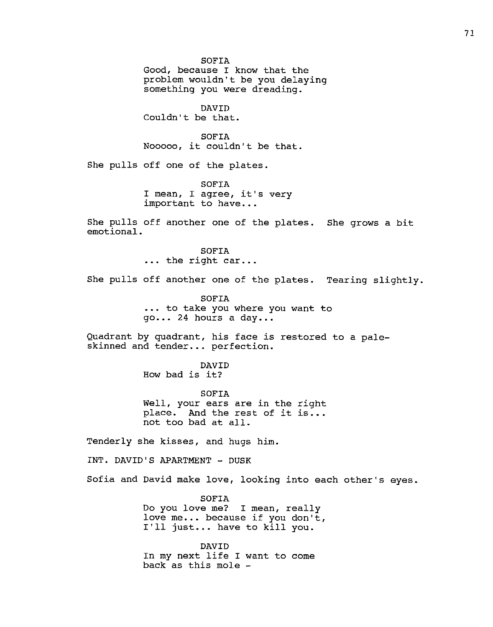SOFIA Good, because I know that the problem wouldn't be you delaying something you were dreading. DAVID Couldn't be that. SOFIA Nooooo, it couldn't be that. She pulls off one of the plates. SOFIA I mean, I agree, it's very important to have... She pulls off another one of the plates. She grows a bit emotional. SOFIA ... the right car... She pulls off another one of the plates. Tearing slightly. SOFIA ••. to take you where you want to go... 24 hours a day... Quadrant by quadrant, his face is restored to a paleskinned and tender... perfection. DAVID How bad is it? SOFIA Well, your ears are in the right place. And the rest of it is... not too bad at all. Tenderly she kisses, and hugs him. INT. DAVID'S APARTMENT - DUSK Sofia and David make love, looking into each other's eyes. SOFIA Do you love me? I mean, really love me... because if you don't, I'll just... have to kill you. DAVID In my next life I want to come back as this mole -

71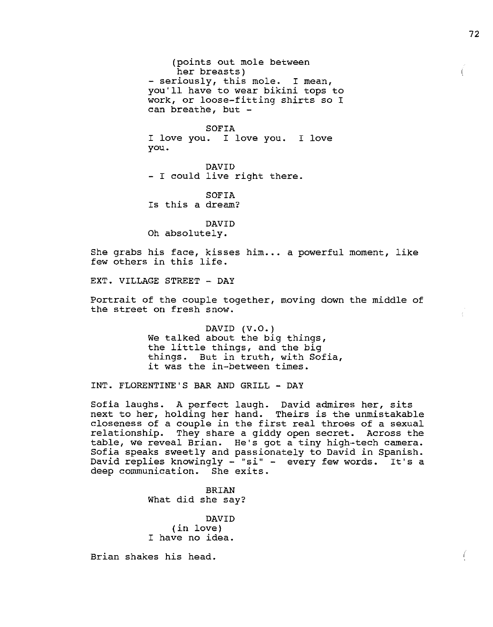(points out mole between her breasts) - seriously, this mole. I mean, you'll have to wear bikini tops to work, or loose-fitting shirts so I can breathe, but -

SOFIA I love you. I love you. I love you.

DAVID<br>- I could live right there.

SOFIA Is this a dream?

DAVID Oh absolutely.

She grabs his face, kisses him... a powerful moment, like few others in this life.

EXT. VILLAGE STREET - DAY

Portrait of the couple together, moving down the middle of the street on fresh snow.

> DAVID  $(V.O.)$ We talked about the big things, the little things, and the big things. But in truth, with Sofia, it was the in-between times.

INT. FLORENTINE'S BAR AND GRILL - DAY

Sofia laughs. A perfect laugh. David admires her, sits next to her, holding her hand. Theirs is the unmistakable closeness of a couple in the first real throes of a sexual relationship. They share a giddy open secret. Across the table, we reveal Brian. He's got a tiny high•-tech camera. Sofia speaks sweetly and passionately to David in Spanish. David replies knowingly - "si" - every few words. It's a deep communication. She exits.

> BRIAN What did she say?

DAVID (in love) I have no idea.

Brian shakes his head.

Ĺ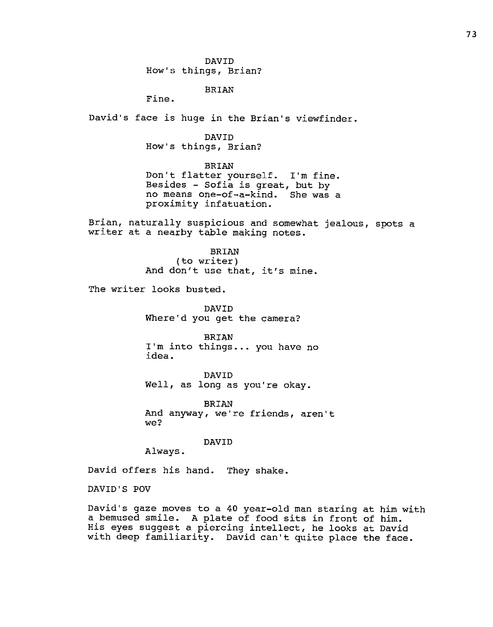DAVID How's things, Brian?

BRIAN

Fine.

David's face is huge in the Brian's viewfinder.

DAVID How's things, Brian?

BRIAN Don't flatter yourself. I'm fine. Besides - Sofia is great, but by no means one-of--a-kind. She was a proximity infatuation.

Brian, naturally suspicious and somewhat jealous, spots a writer at a nearby table making notes.

> BRIAN (to writer) And don't use that, it's mine.

The writer looks busted.

DAVID Where'd you get the camera?

**BRIAN** I'm into things... you have no idea.

DAVID Well, as long as you're okay.

BRIAN And anyway, we're friends, aren't we?

DAVID

Always.

David offers his hand. They shake.

DAVID'S POV

David's gaze moves to a 40 year-old man staring at him with a bemused smile. A plate of food sits in front of him. His eyes suggest a piercing intellect, he looks at David with deep familiarity. David can't quite place the face.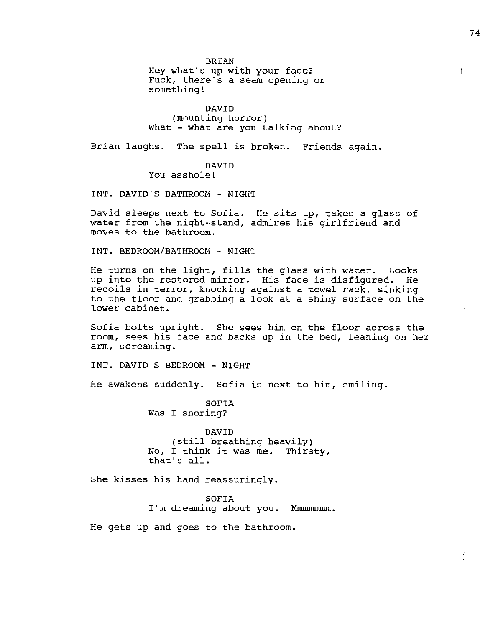BRIAN Hey what's up with your face? Fuck, there's a seam opening or something!

DAVID (mounting horror) What - what are you talking about?

Brian laughs. The spell is broken. Friends again.

# DAVID

You asshole!

INT. DAVID'S BATHROOM - NIGHT

David sleeps next to Sofia. He sits up, takes a glass of water from the night--stand, admires his girlfriend and moves to the bathroom.

INT. BEDROOM/BATHROOM - NIGHT

He turns on the light, fills the glass with water. Looks up into the restored mirror. His face is disfigured. He recoils in terror, knocking against a towel rack, sinking to the floor and grabbing a look at a shiny surface on the lower cabinet.

Sofia bolts upright. She sees him on the floor across the room, sees his face and backs up in the bed, leaning on her arm, screaming.

INT. DAVID'S BEDROOM - NIGHT

He awakens suddenly. Sofia is next to him, smiling.

SOFIA Was I snoring?

DAVID (still breathing heavily) No, I think it was me. Thirsty, that's all.

She kisses his hand reassuringly.

SOFIA I'm dreaming about you. Mmmmmmm.

He gets up and goes to the bathroom.

 $\int$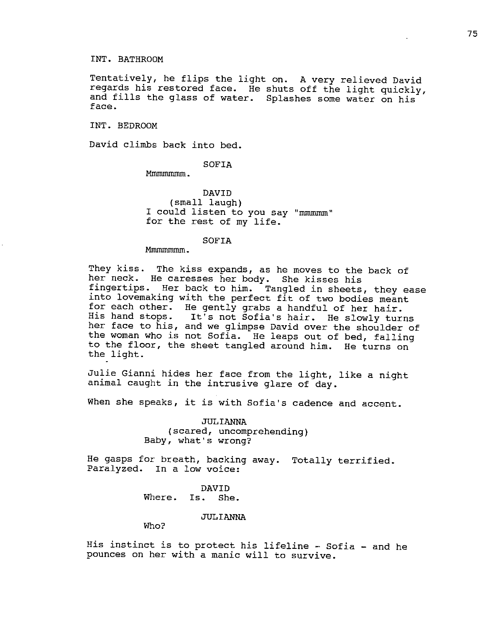## INT. BATHROOM

Tentatively, he flips the light on. A very relieved David regards his restored face. He shuts off the light quickly, and fills the glass of water. Splashes some water on his face.

INT. BEDROOM

David climbs back into bed.

### SOFIA

Mmmmmmmmm.

DAVID (small laugh) I could listen to you say "mmmmm" for the rest of my life.

#### SOFIA

Mmmmmmmm.

They kiss. The kiss expands, as he moves to the back of her neck. He caresses her body. She kisses his fingertips. Her back to him. Tangled in sheets, they ease into lovemaking with the perfect fit of two bodies meant for each other. He gently grabs a handful of her hair.<br>His hand stops. It's not Sofia's hair. He slowly turn It's not Sofia's hair. He slowly turns her face to his, and **we** glimpse David over the shoulder of the woman who is not Sofia. He leaps out of bed, falling to the floor, the sheet tangled around him. He turns on the light.

Julie Gianni hides her face from the light, like a night animal caught in the intrusive glare of day.

When she speaks, it is with Sofia's cadence and accent.

JULIANNA (scared, uncomprehending) Baby, what's wrong?

He gasps for breath, backing away. Totally terrified. Paralyzed. In a low voice:

> DAVID Where. Is. She.

#### JULIANNA

Who?

His instinct is to protect his lifeline - Sofia - and he pounces on her with a manic will to survive.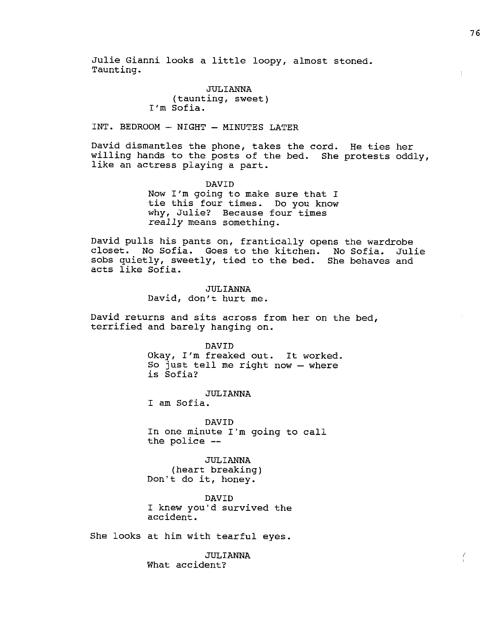Julie Gianni looks a little loopy, almost stoned. Taunting.

> JULIANNA (taunting, sweet) I'm Sofia.

INT. BEDROOM - NIGHT - MINUTES LATER

David dismantles the phone, takes the cord. He ties her willing hands to the posts of the bed. She protests oddly, like an actress playing a part.

> DAVID Now I'm going to make sure that I tie this four times. Do you know why, Julie? Because four times *really* means something.

David pulls his pants on, frantically opens the wardrobe closet. No Sofia. Goes to the kitchen. No Sofia. Julie sobs quietly, sweetly, tied to the bed. She behaves and acts like Sofia.

> JULIANNA David, don't hurt me.

David returns and sits across from her on the bed, terrified and barely hanging on.

> DAVID Okay, I'm freaked out. It worked. So just tell me right now - where is Sofia?

JULIANNA I am Sofia.

DAVID

In one minute I'm going to call the police --

JULIANNA (heart breaking) Don't do it, honey.

DAVID I knew you'd survived the accident.

She looks at him with tearful eyes.

JULIANNA What accident?

 $\left(\right)$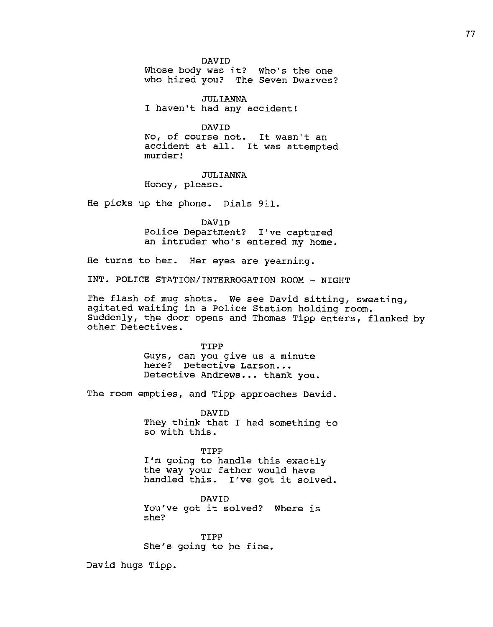DAVID

Whose body was it? Who's the one who hired you? The Seven Dwarves?

JULIANNA I haven't had any accident!

DAVID No, of course not. It wasn't an accident at all. It was attempted murder!

JULIANNA Honey, please.

He picks up the phone. Dials 911.

DAVID Police Department? I've captured an intruder who's entered my home.

He turns to her. Her eyes are yearning.

INT. POLICE STATION/INTERROGATION ROOM - NIGHT

The flash of mug shots. We see David sitting, sweating, agitated waiting in a Police Station holding room. Suddenly, the door opens and Thomas Tipp enters, flanked by other Detectives.

> TIPP Guys, can you give us a minute here? Detective Larson... Detective Andrews ... thank you.

The room empties, and Tipp approaches David.

DAVID They think that I had something to so with this.

TIPP I'm going to handle this exactly the way your father would have handled this. I've got it solved.

DAVID You've got it solved? Where is she?

TIPP She's going to be fine.

David hugs Tipp.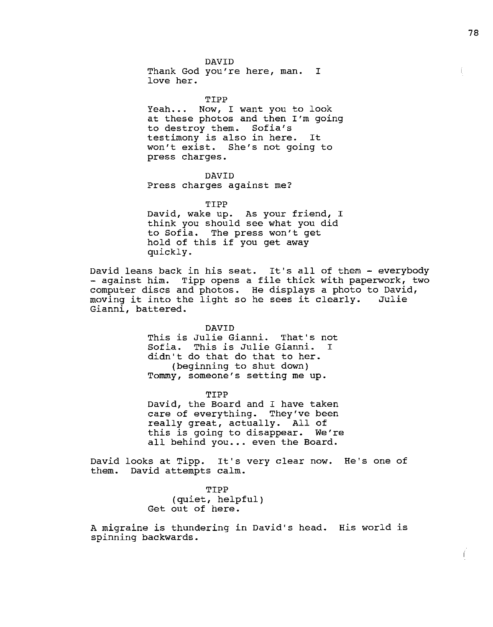DAVID Thank God you're here, man. I love her.

TIPP Yeah... Now, I want you to look at these photos and then I'm going to destroy them. Sofia's testimony is also in here. It won't exist. She's not going to press charges.

DAVID Press charges against me?

TIPP David, wake up. As your friend, I think you should see what you did to Sofia. The press won't get hold of this if you get away quickly.

David leans back in his seat. It's all of them - everybody - against him. Tipp opens a file thick with paperwork, two computer discs and photos. He displays a photo to David, moving it into the light so he sees it clearly. Gianni, battered.

> DAVID This is Julie Gianni. That's not Sofia. This is Julie Gianni. I didn't do that do that to her. (beginning to shut down) Tommy, someone's setting me up.

TIPP David, the Board and I have taken care of everything. They've been really great, actually. All of this is going to disappear. We're all behind you... even the Board.

David looks at Tipp. It's very clear now. He's one of them. David attempts calm.

> TIPP (quiet, helpful) Get out of here.

A migraine is thundering in David's head. His world is spinning backwards.

 $\left($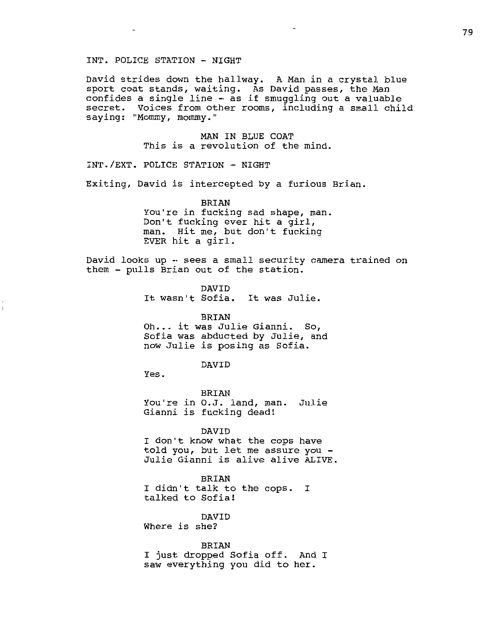## INT. POLICE STATION - NIGHT

David strides down the hallway. A Man in a crystal blue sport coat stands, waiting. As David passes, the Man confides a single line - as if smuggling out a valuable secret. Voices from other rooms, including a small child saying: "Mommy, mommy."

> MAN IN BLUE COAT This is a revolution of the mind.

INT./EXT. POLICE STATION - NIGHT

Exiting, David is intercepted by a furious Brian.

BRIAN You're in fucking sad shape, man. Don't fucking ever hit a girl, man. Hit me, but don't fucking EVER hit a girl.

David looks up - sees a small security camera trained on them - pulls Brian out of the station.

> DAVID It wasn't Sofia. It was Julie.

> > BRIAN

Oh... it was Julie Gianni. So, Sofia was abducted by Julie, and now Julie is posing as Sofia.

### DAVID

Yes.

 $\overline{1}$ 

BRIAN You're in O.J. land, man. Julie Gianni is fucking dead!

#### DAVID

I don't know what the cops have<br>told you, but let me assure you -Julie Gianni is alive alive ALIVE.

BRIAN

I didn't talk to the cops. I talked to Sofia!

DAVID

Where is she?

BRIAN I just dropped Sofia off. And I saw everything you did to her.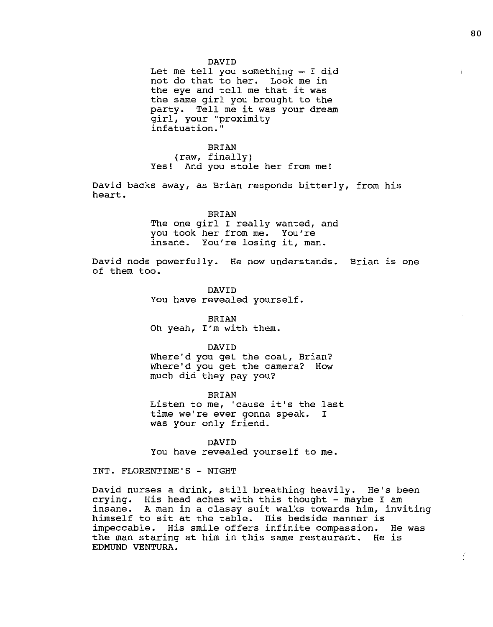#### DAVID

Let me tell you something  $-$  I did not do that to her. Look me in the eye and tell me that it was the same girl you brought to the party. Tell me it was your dream girl, your "proximity infatuation."

BRIAN (raw, finally) Yes! And you stole her from me!

David backs away, as Brian responds bitterly, from his heart.

#### BRIAN

The one girl I really wanted, and you took her from me. You're insane. You're losing it, man.

David nods powerfully. He now understands. Brian is one of them too.

> DAVID You have revealed yourself.

BRIAN Oh yeah, I'm with them.

DAVID

Where'd you get the coat, Brian? Where'd you get the camera? How much did they pay you?

BRIAN BRIAN<br>Listen to me, 'cause it's the last time we're ever gonna speak. was your only friend. I

DAVID You have revealed yourself to me.

INT. FLORENTINE'S - NIGHT

David nurses a drink, still breathing heavily. He's been crying. His head aches with this thought - maybe I am insane. A man in a classy suit walks towards him, inviting himself to sit at the table. His bedside manner is impeccable. His smile offers infinite compassion. He was the man staring at him in this same restaurant. He is EDMUND VENTURA.

 $\frac{1}{x}$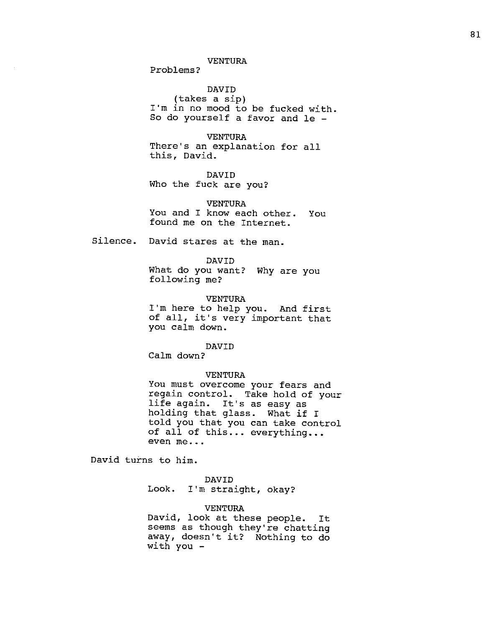## VENTURA

Problems?

DAVID (takes a sip) I'm in no mood to be fucked with. So do yourself a favor and le -

VENTURA There's an explanation for all this, David.

DAVID Who the fuck are you?

VENTURA You and I know each other. You found me on the Internet.

Silence. David stares at the man.

DAVID What do you want? Why are you following me?

VENTURA I'm here to help you. And first of all, it's very important that you calm down.

DAVID Calm down?

VENTURA

You must overcome your fears and regain control. Take hold of your life again. It's as easy as holding that glass. What if I told you that you can take control of all of this ... everything ... even me...

David turns to him.

DAVID

Look. I'm straight, okay?

## VENTURA

David, look at these people. It seems as though they're chatting away, doesn't it? Nothing to do with you -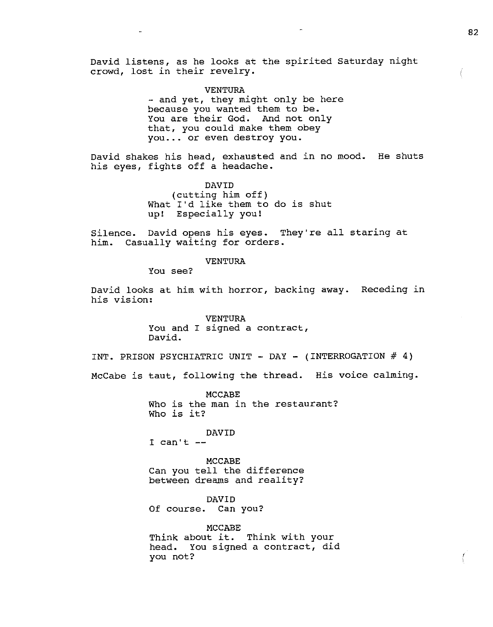David listens, as he looks at the spirited Saturday night crowd, lost in their revelry.

VENTURA<br>and yet, they might only be here because you wanted them to be. You are their God. And not only that, you could make them obey you ... or even destroy you.

David shakes his head, exhausted and in no mood. He shuts his eyes, fights off a headache.

> DAVID (cutting him off) What I'd like them to do is shut up! Especially you!

Silence. David opens his eyes. They're all staring at him. Casually waiting for orders.

VENTURA

You see?

David looks at him with horror, backing away. Receding in his vision:

> VENTURA You and I signed a contract, David.

INT. PRISON PSYCHIATRIC UNIT - DAY - (INTERROGATION  $#$  4)

McCabe is taut, following the thread. His voice calming.

MCCABE Who is the man in the restaurant? Who is it?

## DAVID

I can't

MCCABE Can you tell the difference between dreams and reality?

DAVID Of course. Can you?

MCCABE Think about it. Think with your head. You signed a contract, did you not?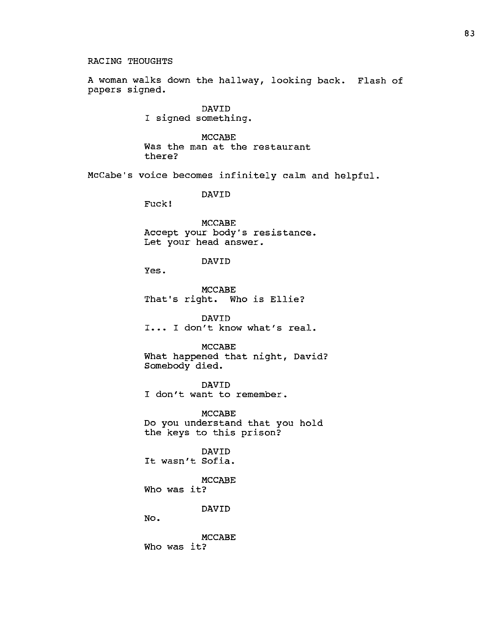## RACING THOUGHTS

A woman walks down the hallway, looking back. Flash of papers signed.

> DAVID I signed something.

MCCABE Was the man at the restaurant there?

McCabe's voice becomes infinitely calm and helpful.

DAVID

Fuck!

MCCABE Accept your body's resistance. Let your head answer.

## DAVID

Yes.

MCCABE That's right. Who is Ellie?

DAVID I... I don't know what's real.

MCCABE

What happened that night, David? Somebody died.

DAVID

I don't want to remember.

MCCABE Do you understand that you hold the keys to this prison?

DAVID It wasn't Sofia.

MCCABE Who was it?

DAVID

No.

MCCABE Who was it?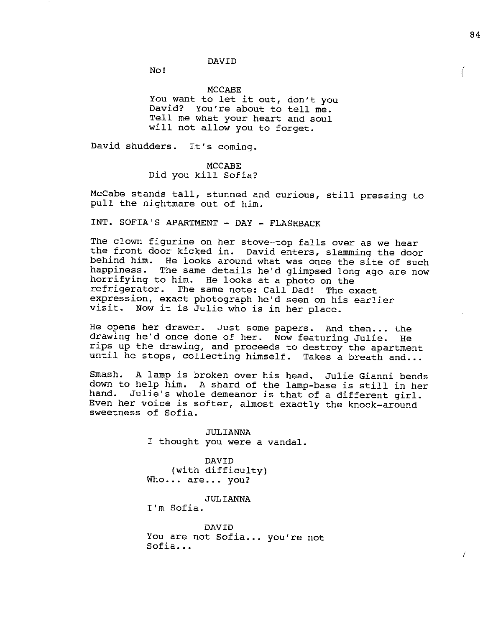Ļ

## DAVID

No!

#### MCCABE

You want to let it out, don't you David? You're about to tell me. Tell me what your heart and soul will not allow you to forget.

David shudders. It's coming.

## MCCABE Did you kill Sofia?

McCabe stands tall, stunned and curious, still pressing to pull the nightmare out of him.

INT. SOFIA'S APARTMENT - DAY - FLASHBACK

The clown figurine on her stove-top falls over as we hear the front door kicked in. David enters, slamming the door behind him. He looks around what was once the site of such happiness. The same details he'd glimpsed long ago are now horrifying to him. He looks at a photo on the<br>refrigerator. The same note: Call Dad! The e The same note: Call Dad! The exact expression, exact photograph he'd seen on his earlier visit. Now it is Julie who is in her place.

He opens her drawer. Just some papers. And then... the drawing he'd once done of her. Now featuring Julie. He rips up the drawing, and proceeds to destroy the apartment until he stops, collecting himself. Takes a breath and...

Smash. A lamp is broken over his head. Julie Gianni bends down to help him. A shard of the lamp-base is still in her hand. Julie's whole demeanor is that of a different girl. Even her voice is softer, almost exactly the knock-around sweetness of Sofia.

> JULIANNA I thought you were a vandal.

DAVID (with difficulty) Who... are... you?

JULIANNA

I'm Sofia.

DAVID You are not Sofia... you're not Sofia...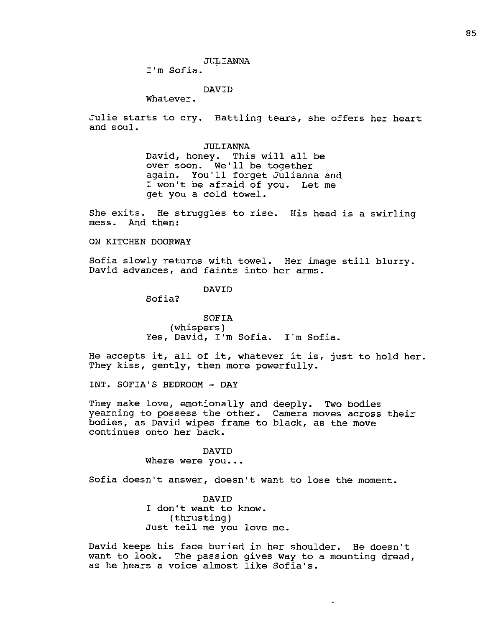I'm Sofia.

# DAVID

Whatever.

Julie starts to cry. Battling tears, she offers her heart and soul.

> JULIANNA David, honey. This will all be over soon. We'll be together again. You'll forget Julianna and I won't be afraid of you. Let me get you a cold towel.

She exits. He struggles to rise. His head is a swirling mess. And then:

ON KITCHEN DOORWAY

Sofia slowly returns with towel. Her image still blurry. David advances, and faints into her arms.

DAVID

Sofia?

SOFIA (whispers) Yes, David, I'm Sofia. I'm Sofia.

He accepts it, all of it, whatever it is, just to hold her. They kiss, gently, then more powerfully.

INT. SOFIA'S BEDROOM - DAY

They make love, emotionally and deeply. Two bodies yearning to possess the other. Camera moves across their bodies, as David wipes frame to black, as the move continues onto her back.

> DAVID Where were you...

Sofia doesn't answer, doesn't want to lose the moment.

DAVID I don't want to know. (thrusting) Just tell me you love me.

David keeps his face buried in her shoulder. He doesn't want to look. The passion gives way to a mounting dread, as he hears a voice almost like Sofia's.

 $\ddot{\phantom{0}}$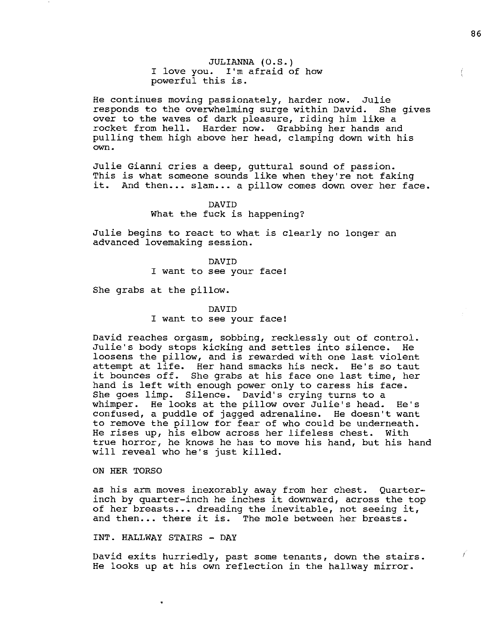JULIANNA (O.S.) I love you. I'm afraid of how powerful this is.

He continues moving passionately, harder now. Julie responds to the overwhelming surge within David. She gives over to the waves of dark pleasure, riding him like a rocket from hell. Harder now. Grabbing her hands and pulling them high above her head, clamping down with his own.

Julie Gianni cries a deep, guttural sound of passion. This is what someone sounds like when they're not faking it. And then... slam... a pillow comes down over her face.

# DAVID What the fuck is happening?

Julie begins to react to what is clearly no longer an advanced lovemaking session.

> DAVID I want to see your face!

She grabs at the pillow.

#### DAVID

I want to see your face!

David reaches orgasm, sobbing, recklessly out of control. Julie's body stops kicking and settles into silence. He loosens the pillow, and is rewarded with one last violent attempt at life. Her hand smacks his neck. He's so taut it bounces off. She grabs at his face one last time, her hand is left with enough power only to caress his face. She goes limp. Silence. David's crying turns to a whimper. He looks at the pillow over Julie's head. He's confused, a puddle of jagged adrenaline. He doesn't want to remove the pillow for fear of who could be underneath. He rises up, his elbow across her lifeless chest. With true horror, he knows he has to move his hand, but his hand will reveal who he's just killed.

## ON HER TORSO

as his arm moves inexorably away from her chest. Quarterinch by quarter-inch he inches it downward, across the top of her breasts ••• dreading the inevitable, not seeing it, and then... there it is. The mole between her breasts.

INT. HALLWAY STAIRS - DAY

David exits hurriedly, past some tenants, down the stairs. He looks up at his own reflection in the hallway mirror.

Ť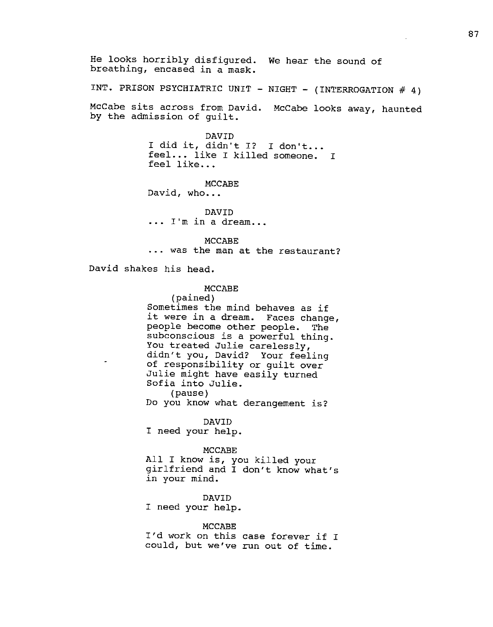He looks horribly disfigured. We hear the sound of breathing, encased in a mask.

INT. PRISON PSYCHIATRIC UNIT - NIGHT - (INTERROGATION # 4)

McCabe sits across from David. McCabe looks away, haunted by the admission of guilt.

> DAVID I did it, didn't I? I don't... feel... like I killed someone. I feel like...

MCCABE David, who...

DAVID<br>... I'm in a dream...

MCCABE<br>1... was the man at the restaurant?

David shakes his head.

# MCCABE

(pained) Sometimes the mind behaves as if it were in a dream. Faces change, people become other people. The subconscious is a powerful thing. You treated Julie carelessly, didn't you, David? Your feeling of responsibility or guilt over Julie might have easily turned Sofia into Julie. (pause) Do you know what derangement is?

DAVID

I need your help.

## MCCABE

All I know is, you killed your girlfriend and I don't know what's in your mind.

DAVID I need your help.

#### MCCABE

I'd work on this case forever if I could, but we've run out of time.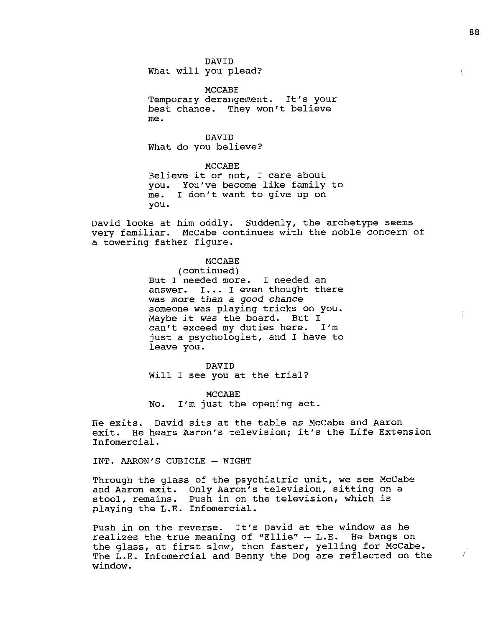DAVID What will you plead?

MCCABE Temporary derangement. It's your best chance. They won't believe me.

DAVID What do you believe?

MCCABE Believe it or not, I care about you. You've become like family to I don't want to give up on you.

David looks at him oddly. Suddenly, the archetype seems very familiar. McCabe continues with the noble concern of a towering father figure.

> MCCABE (continued) But. I needed more. I needed an answer. I... I even thought there was *more than* a *good chance*  someone was playing tricks on you. Maybe it was the board. But I can't exceed my duties here. I'm just a psychologist, and I have to leave you.

DAVID Will I see you at the trial?

MCCABE No. I'm just the opening act.

He exits. David sits at the table as McCabe and Aaron exit. He hears Aaron's television; it's the Life Extension Infomercial.

INT. AARON'S CUBICLE - NIGHT

Through the glass of the psychiatric unit, we see McCabe and Aaron exit. Only Aaron's television, sitting on a stool, remains. Push in on the television, which is playing the L.E. Infomercial.

Push in on the reverse. It's David at the window as he realizes the true meaning of "Ellie" -- L.E. He bangs on the glass, at first slow, then faster, yelling for McCabe. The L.E. Infomercial and Benny the Dog are reflected on the window.

€

7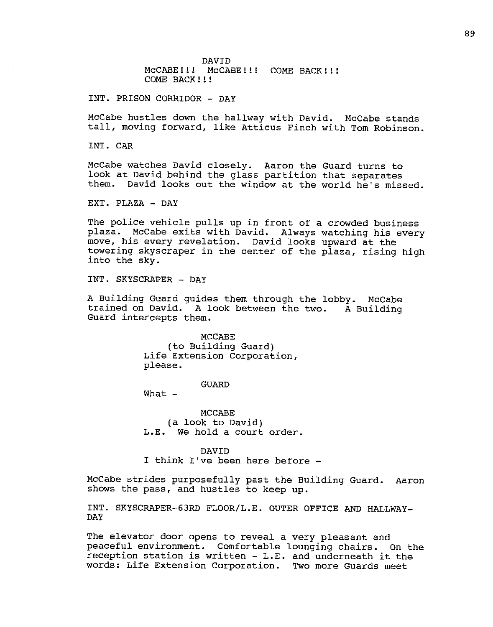DAVID MCCABE!!!! MCCABE!!!! COME BACK!!!! COME BACK ! ! !

INT. PRISON CORRIDOR - DAY

McCabe hustles down the hallway with David. McCabe stands tall, moving forward, like Atticus Finch with Tom Robinson.

INT. CAR

McCabe watches David closely. Aaron the Guard turns to look at David behind the glass partition that separates them. David looks out the window at the world he's missed.

EXT. PLAZA - DAY

The police vehicle pulls up in front of a crowded business plaza. McCabe exits with David. Always watching his every move, his every revelation. David looks upward at the towering skyscraper in the center of the plaza, rising high into the sky.

INT. SKYSCRAPER - DAY

A Building Guard guides them through the lobby. McCabe trained on David. A look between the two. A Building Guard intercepts them.

> MCCABE (to Building Guard) Life Extension Corporation, please.

### GUARD

What  $-$ 

MCCABE (a look to David) L.E. We hold a court order.

DAVID

I think I've been here before -

McCabe strides purposefully past the Building Guard. Aaron shows the pass, and hustles to keep up.

INT. SKYSCRAPER-63RD FLOOR/L.E. OUTER OFFICE AND HALLWAY-DAY

The elevator door opens to reveal a very pleasant and peaceful environment. Comfortable lounging chairs. On the reception station is written - L.E. and underneath it the words: Life Extension Corporation. Two more Guards meet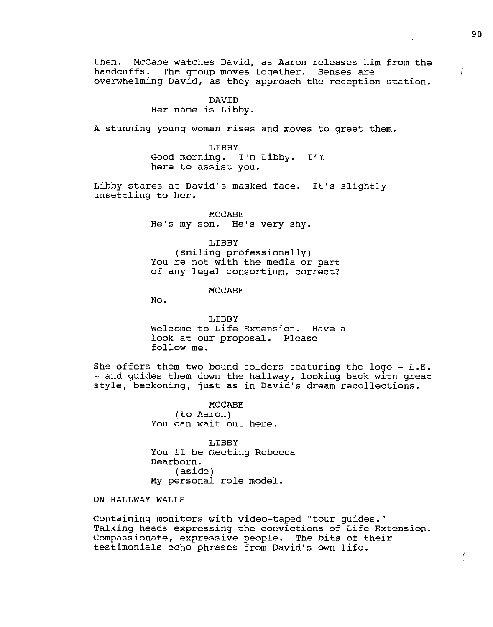them. McCabe watches David, as Aaron releases him from the handcuffs. The group moves together. Senses are overwhelming David, as they approach the reception station.

# DAVID Her name is Libby.

A stunning young woman rises and moves to greet them.

LIBBY Good morning. I'm Libby. I'm here to assist you.

Libby stares at David's masked face. It's slightly unsettling to her.

MCCABE He's my son. He's very shy.

LIBBY (smiling professionally) You're not with the media or part of any legal consortium, correct?

MCCABE

No.

LIBBY Welcome to Life Extension. Have a look at our proposal. Please follow me.

She offers them two bound folders featuring the logo -  $L.E.$ <br>- and guides them down the hallway, looking back with great style, beckoning, just as in David's dream recollections.

> MCCABE (to Aaron) You can wait out here.

LIBBY You'll be meeting Rebecca Dearborn. (aside) My personal role model.

ON HALLWAY WALLS

Containing monitors with video-taped "tour guides." Talking heads expressing the convictions of Life Extension. Compassionate, expressive people. The bits of their testimonials echo phrases from David's own life.

Ļ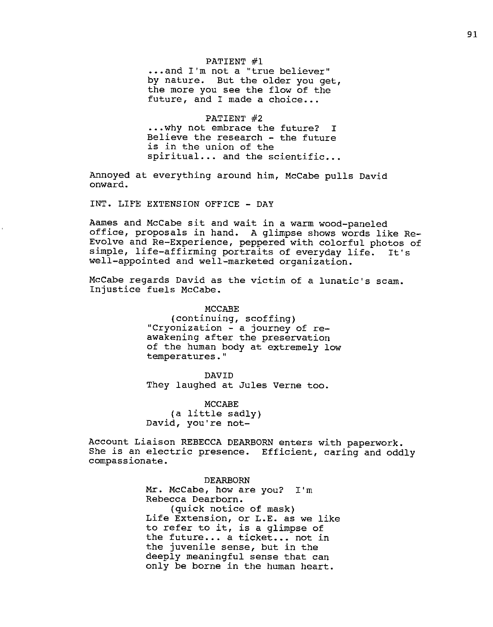## PATIENT #1

••• and I'm not a "true believer" by nature. But the older you get, the more you see the flow of the future, and I made a choice...

#### PATIENT #2

••• why not embrace the future? I Believe the research - the future is in the union of the spiritual... and the scientific...

Annoyed at everything around him, McCabe pulls David onward.

INT. LIFE EXTENSION OFFICE - DAY

Aames and McCabe sit and wait in a warm wood-paneled office, proposals in hand. A glimpse shows words like Re-Evolve and Re-Experience, peppered with colorful photos of simple, life-affirming portraits of everyday life. It's well-appointed and well-marketed organization.

McCabe regards David as the victim of a lunatic's scam. Injustice fuels McCabe.

> MCCABE (continuing, scoffing) "Cryonization - a journey of reawakening after the preservation of the human body at extremely low temperatures."

DAVID They laughed at Jules Verne too.

MCCABE (a little sadly) David, you're not-

Account Liaison REBECCA DEARBORN enters with paperwork. She is an electric presence. Efficient, caring and oddly compassionate.

DEARBORN

Mr. McCabe, how are you? I'm Rebecca Dearborn. (quick notice of mask) Life Extension, or L.E. as we like to refer to it, is a glimpse of the future... a ticket... not in the juvenile sense, but in the deeply meaningful sense that can only be borne in the human heart.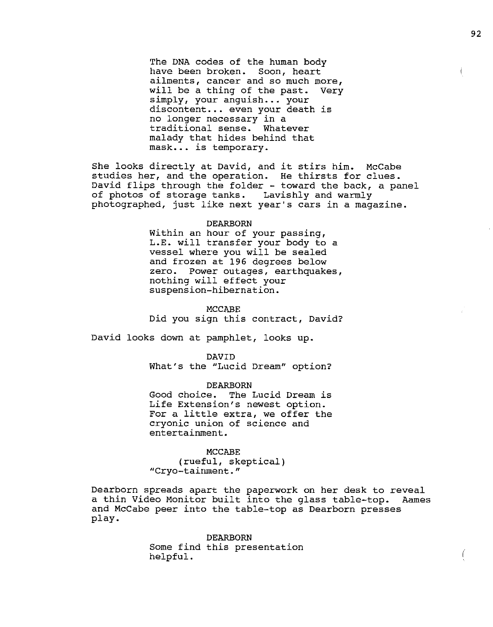The DNA codes of the human body have been broken. Soon, heart ailments, cancer and so much more,<br>will be a thing of the past. Very will be a thing of the past. simply, your anguish... your discontent... even your death is no longer necessary in a traditional sense. Whatever malady that hides behind that mask... is temporary.

She looks directly at David, and it stirs him. McCabe studies her, and the operation. He thirsts for clues. David flips through the folder - toward the back, a panel of photos of storage tanks. Lavishly and warmly photographed, just like next year's cars in a magazine.

#### DEARBORN

Within an hour of your passing, L.E. will transfer your body to a vessel where you will be sealed and frozen at 196 degrees below zero. Power outages, earthquakes, nothing will effect your suspension-hibernation.

## MCCABE

*Did* you sign this contract, David?

David looks down at pamphlet, looks up.

DAVID

What's the "Lucid Dream" option?

DEARBORN Good choice. The Lucid Dream is Life Extension's newest option. For a little extra, we offer the cryonic union of science and entertainment.

## MCCABE

(rueful, skeptical) "Cryo-tainment."

Dearborn spreads apart the paperwork on her desk to reveal a thin Video Monitor built into the glass table-top. Aames and McCabe peer into the table-top as Dearborn presses play.

> DEARBORN Some find this presentation helpful.

(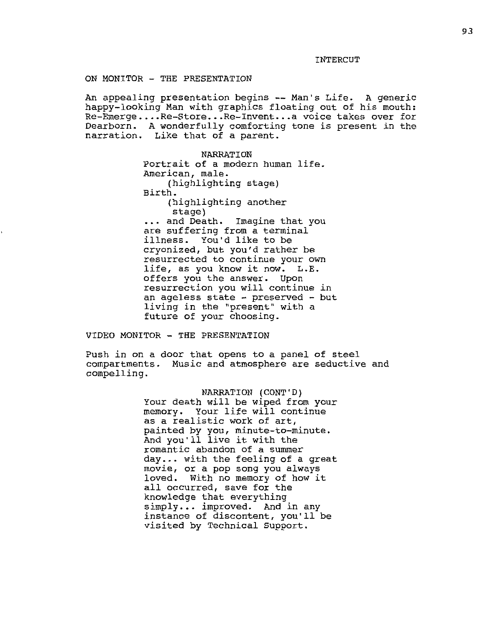INTERCUT

# ON MONITOR - THE PRESENTATION

An appealing presentation begins -- Man's Life. A generic happy-looking Man with graphics floating out of his mouth: Re-Emerge •.•. Re-Store ••. Re-Invent ... a voice takes over for Dearborn. A wonderfully comforting tone is present in the narration. Like that of a parent.

> NARRATION Portrait of a modern human life. American, male. (highlighting stage) Birth. (highlighting another stage) ... and Death. Imagine that you are suffering from a terminal illness. You'd like to be cryonized, but you'd rather be resurrected to continue your own<br>life, as you know it now. L.E. life, as you know it now. offers you the answer. Upon resurrection you will continue in an ageless state - preserved - but living in the "present" with a future of your choosing.

VIDEO MONITOR - THE PRESENTATION

Push in on a door that opens to a panel of steel compartments. Music and atmosphere are seductive and compelling.

> NARRATION (CONT'D) Your death will be wiped from your memory. Your life will continue as a realistic work of art, painted by you, minute-to-minute. And you'll live it with the romantic abandon of a summer  $day...$  with the feeling of a great movie, or a pop song you always With no memory of how it all occurred, save for the knowledge that everything simply... improved. And in any instance of discontent, you'll be visited by Technical Support.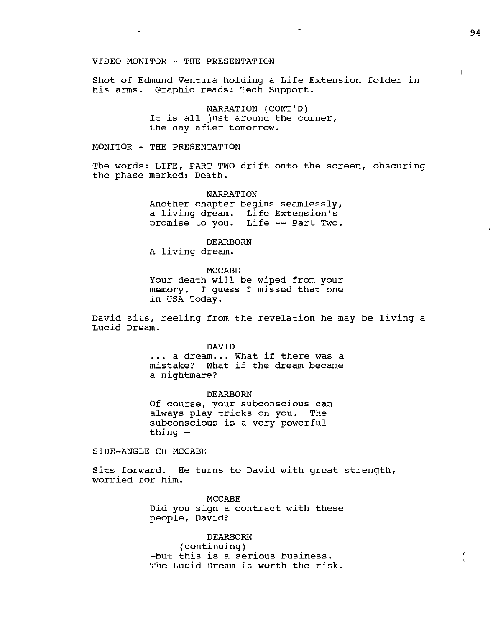Shot of Edmund Ventura holding a Life Extension folder in his arms. Graphic reads: Tech Support.

> NARRATION (CONT'D) It is all just around the corner, the day after tomorrow.

MONITOR - THE PRESENTATION

The words: LIFE, PART TWO drift onto the screen, obscuring the phase marked: Death.

> NARRATION Another chapter begins seamlessly, a living dream. Life Extension's promise to you. Life -- Part Two.

> > DEARBORN

A living dream.

MCCABE Your death will be wiped from your memory. I guess I missed that one in USA Today.

David sits, reeling from the revelation he may be living a Lucid Dream.

DAVID

... a dream... What if there was a mistake? What if the dream became a nightmare?

DEARBORN Of course, your subconscious can always play tricks on you. The subconscious is a very powerful  $t$ hing  $-$ 

SIDE-ANGLE CU MCCABE

Sits forward. He turns to David with great strength, worried for him.

> MCCABE Did you sign a contract with these people, David?

> DEARBORN (continuing) -but this is a serious business. The Lucid Dream is worth the risk.

 $\left($ 

Ļ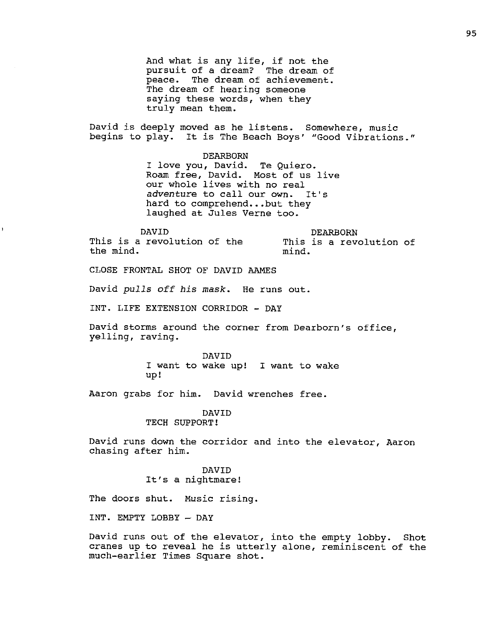And what is any life, if not the pursuit of a dream? The dream of peace. The dream of achievement. The dream of hearing someone saying these words, when they truly mean them.

David is deeply moved as he listens. Somewhere, music begins to play. It is The Beach Boys' "Good Vibrations."

DEARBORN

I love you, David. Te Quiero. Roam free, David. Most of us live our whole lives with no real *adventure* to call our own. It's hard to comprehend...but they laughed at Jules Verne too.

DAVID This is a revolution of the

the mind.

DEARBORN This is a revolution of mind.

CLOSE FRONTAL SHOT OF DAVID AAMES

David *pulls off his mask*. He runs out.

INT. LIFE EXTENSION CORRIDOR - DAY

David storms around the corner from Dearborn's office, yelling, raving.

> DAVID I want to wake up! I want to wake up!

Aaron grabs for him. David wrenches free.

## DAVID TECH SUPPORT!

David runs down the corridor and into the elevator, Aaron chasing after him.

> DAVID It's a nightmare!

The doors shut. Music rising.

INT. EMPTY LOBBY - DAY

David runs out of the elevator, into the empty lobby. Shot cranes up to reveal he is utterly alone, reminiscent of the much-earlier Times Square shot.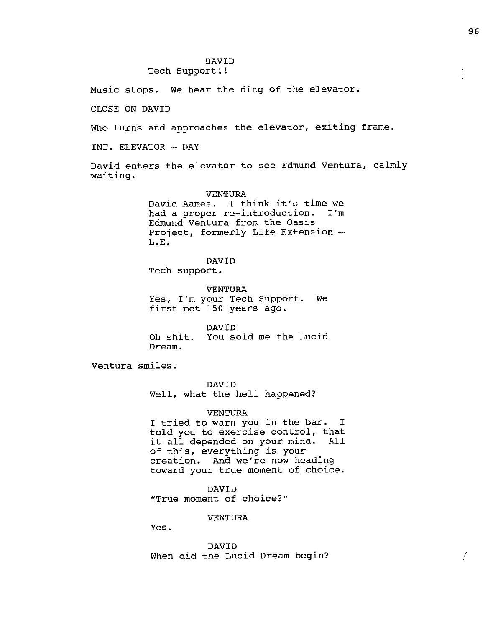## DAVID Tech Support!!

Music stops. We hear the ding of the elevator.

CLOSE ON DAVID

Who turns and approaches the elevator, exiting frame.

INT. ELEVATOR - DAY

David enters the elevator to see Edmund Ventura, calmly waiting.

> VENTURA David Aames. I think it's time we<br>had a proper re-introduction. I'm had a proper re-introduction. Edmund Ventura from the Oasis Project, formerly Life Extension --<br>L.E.

DAVID Tech support.

VENTURA Yes, I'm your Tech Support. We first met 150 years ago.

DAVID Oh shit. You sold me the Lucid Dream.

Ventura smiles.

DAVID Well, what the hell happened?

## VENTURA

I tried to warn you in the bar. I told you to exercise control, that it all depended on your mind. All of this, everything is your creation. And we're now heading toward your true moment of choice.

DAVID "True moment of choice?"

VENTURA

Yes.

DAVID When did the Lucid Dream begin?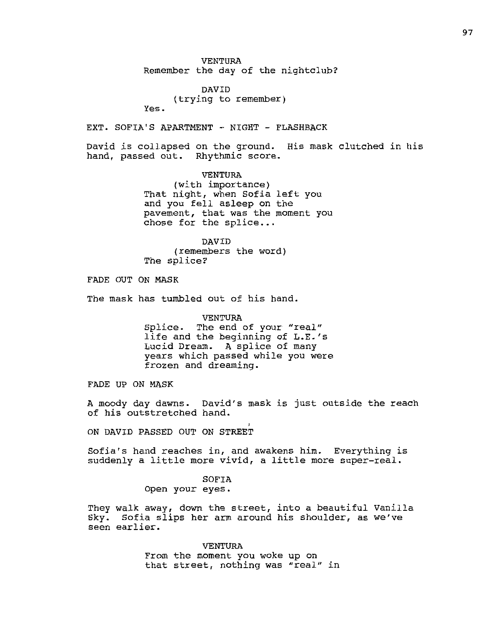VENTURA Remember the day of the nightclub?

DAVID (trying to remember) Yes.

EXT. SOFIA'S APARTMENT - NIGHT - FLASHBACK

David is collapsed on the ground. His mask clutched in his hand, passed out. Rhythmic score.

> VENTURA (with importance) That night, when Sofia left you and you fell asleep on the pavement, that was the moment you  $chose$  for the splice...

DAVID (remembers the word) The splice?

FADE OUT ON MASK

The mask has tumbled out of his hand.

VENTURA Splice. The end of your "real" life and the beginning of L.E.'s Lucid Dream. A splice of many years which passed while you were frozen and dreaming.

FADE UP ON MASK

A moody day dawns. David's mask is just outside the reach of his outstretched hand.

ON DAVID PASSED OUT ON STREET

Sofia's hand reaches in, and awakens him. Everything is suddenly a little more vivid, a little more super-real.

> SOFIA Open your eyes.

They walk away, down the street, into a beautiful Vanilla Sky. Sofia slips her arm around his shoulder, as we've seen earlier.

> VENTURA From the moment you woke up on that street, nothing was "real" in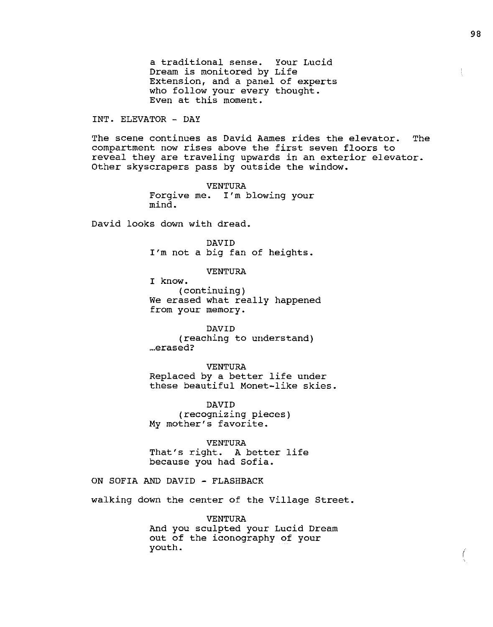a traditional sense. Your Lucid Dream is monitored by Life Extension, and a panel of experts who follow your every thought. Even at this moment.

INT. ELEVATOR - DAY

The scene continues as David Aames rides the elevator. The compartment now rises above the first seven floors to reveal they are traveling upwards in an exterior elevator. Other skyscrapers pass by outside the window.

> VEN'rURA Forgive me. I'm blowing your mind.

David looks down with dread.

DAVID I'm not a big fan of heights.

VENTURA

I know. (continuing) We erased what really happened from your memory.

DAVID (reaching to understand) ... erased?

VENTURA Replaced by a better life under these beautiful Monet-like skies.

DAVID (recognizing pieces) My mother's favorite.

VENTURA That's right. A better life because you had Sofia.

ON SOFIA AND DAVID - FLASHBACK

walking down the center of the Village Street.

VENTURA And you sculpted your Lucid Dream out of the iconography of your youth.

€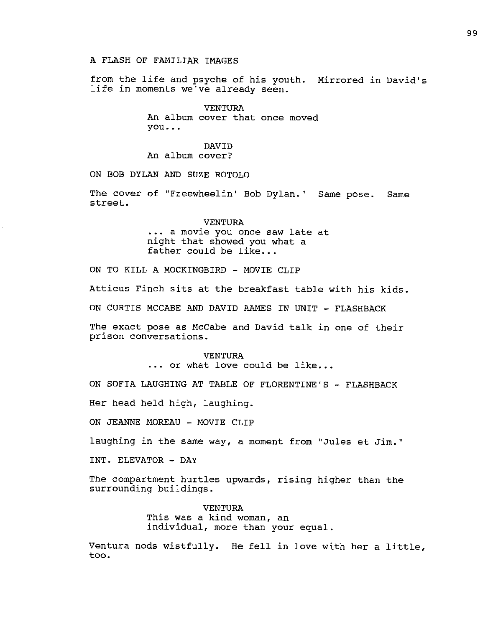## A FLASH OF FAMILIAR IMAGES

from the life and psyche of his youth. Mirrored in David's life in moments we've already seen.

> VENTURA An album cover that once moved you ••.

## DAVID An album cover?

ON BOB DYLAN AND SUZE ROTOLO

The cover of "Freewheelin' Bob Dylan." Same pose. Same street.

# VENTURA .•• a *movie* you once saw late at night that showed you what a father could be like...

ON TO KILL A MOCKINGBIRD - MOVIE CLIP

Atticus Finch sits at the breakfast table with his kids.

ON CURTIS MCCABE AND DAVID AAMES IN UNIT - FLASHBACK

The exact pose as McCabe and David talk in one of their prison conversations.

## VENTURA

... or what love could be like...

ON SOFIA LAUGHING AT TABLE OF FLORENTINE'S - FLASHBACK

Her head held high, laughing.

ON JEANNE MOREAU - MOVIE CLIP

laughing in the same way, a moment from "Jules et *Jim."* 

INT. ELEVATOR - DAY

The compartment hurtles upwards, rising higher than the surrounding buildings.

> VENTURA This was a kind woman, an individual, more than your equal.

Ventura nods wistfully. He fell in love with her a little, too.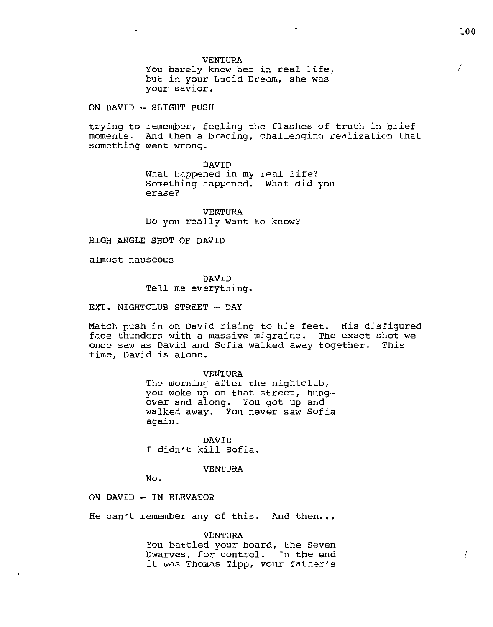(

### VENTURA

You barely knew her in real life, but in your Lucid Dream, she was your savior.

 $ON$  DAVID  $-$  SLIGHT PUSH

trying to remember, feeling the flashes of truth in brief moments. And then a bracing, challenging realization that something went wrong.

> DAVID What happened in my real life? Something happened. What did you erase?

VENTURA Do you really want to know?

HIGH ANGLE SHOT OF DAVID

almost nauseous

DAVID Tell me everything.

EXT. NIGHTCLUB STREET - DAY

Match push in on David rising to his feet. His disfigured face thunders with a massive migraine. The exact shot we once saw as David and Sofia walked away together. This time, David is alone.

#### VENTURA

The morning after the nightclub, you woke up on that street, hungover and along. You got up and walked away. You never saw Sofia again.

DAVID I didn't kill Sofia.

#### VENTURA

No.

ON DAVID - IN ELEVATOR

He can't remember any of this. And then...

#### VENTURA

You battled your board, the Seven Dwarves, for control. In the end it was Thomas Tipp, your father's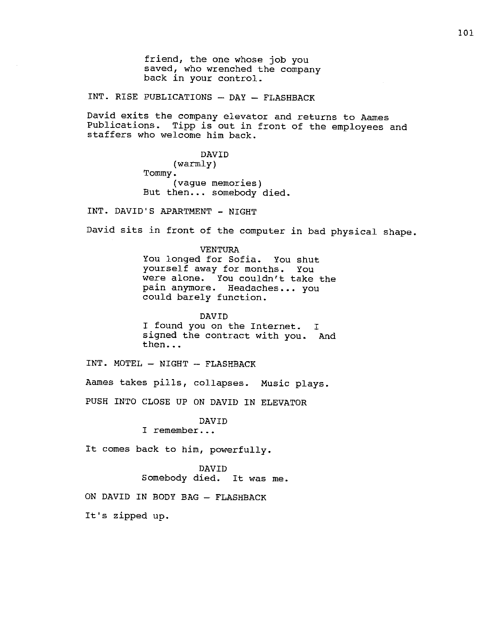friend, the one whose job you saved, who wrenched the company back in your control.

INT. RISE PUBLICATIONS - DAY - FLASHBACK

David exits the company elevator and returns to Aames Publications. Tipp is out in front of the employees and staffers who welcome him back.

> DAVID (warmly) Tommy. (vague memories) But then... somebody died.

INT. DAVID'S APARTMENT - NIGHT

David sits in front of the computer in bad physical shape.

VENTURA You longed for Sofia. You shut yourself away for months. You were alone. You couldn't take the pain anymore. Headaches ••. you could barely function.

DAVID I found you on the Internet. I signed the contract with you. And then...

INT. MOTEL - NIGHT - FLASHBACK

Aames takes pills, collapses. Music plays.

PUSH INTO CLOSE UP ON DAVID IN ELEVATOR

DAVID

I remember .••

It comes back to him, powerfully.

DAVID Somebody died. It was me.

ON DAVID IN BODY BAG - FLASHBACK

It's zipped up.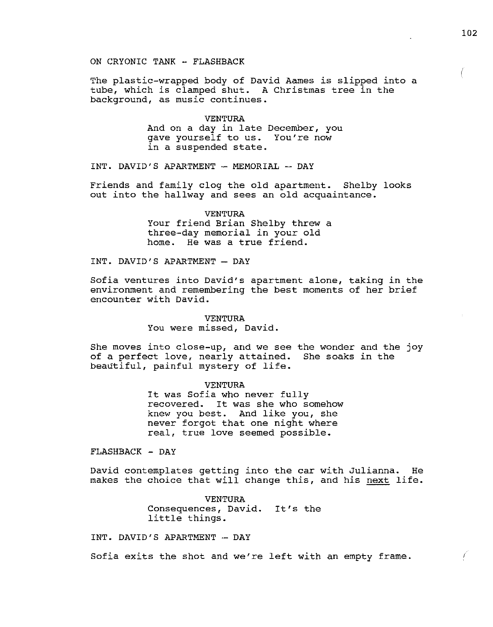The plastic-wrapped body of David Aames is slipped into a tube, which is clamped shut. A Christmas tree in the background, as music continues.

> VENTURA And on a day in late December, you gave yourself to us. You're now in a suspended state.

INT. DAVID'S APARTMENT - MEMORIAL - DAY

Friends and family clog the old apartment. Shelby looks out into the hallway and sees an old acquaintance.

> VENTURA Your friend Brian Shelby threw a three-day memorial in your old home. He was a true friend.

INT. DAVID'S APARTMENT - DAY

Sofia ventures into David's apartment alone, taking in the environment and remembering the best moments of her brief encounter with David.

> VENTURA You were missed, David.

She moves into close-up, and we see the wonder and the joy of a perfect love, nearly attained. She soaks in the beautiful, painful mystery of life.

> VENTURA It was Sofia who never fully recovered. It was she who somehow knew you best. And like you, she never forgot that one night where real, true love seemed possible.

FLASHBACK - DAY

David contemplates getting into the car with Julianna. He makes the choice that will change this, and his next life.

> VENTURA Consequences, David. It's the little things.

INT. DAVID'S APARTMENT - DAY

Sofia exits the shot and we're left with an empty frame.

102

€

É,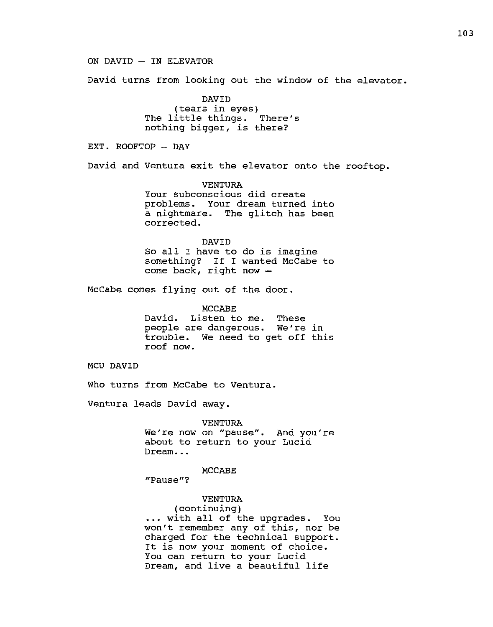ON DAVID - IN ELEVATOR

David turns from looking out the window of the elevator.

DAVID (tears in eyes) The little things. There's nothing bigger, is there?

EXT. ROOFTOP - DAY

David and Ventura exit the elevator onto the rooftop.

VENTURA Your subconscious did create problems. Your dream turned into a nightmare. The glitch has been corrected.

DAVID

So all I have to do is imagine something? If I wanted McCabe to come back, right now

McCabe comes flying out of the door.

MCCABE David. Listen to me. These people are dangerous. We're in trouble. We need to get off this roof now.

MCU DAVID

Who turns from McCabe to Ventura.

Ventura leads David away.

VENTURA We're now on "pause". And you're about to return to your Lucid Dream...

MCCABE

**"Pause"?** 

VENTURA

(continuing) ... with all of the upgrades. You won't remember any of this, nor be charged for the technical support. It is now your moment of choice. You can return to your Lucid Dream, and live a beautiful life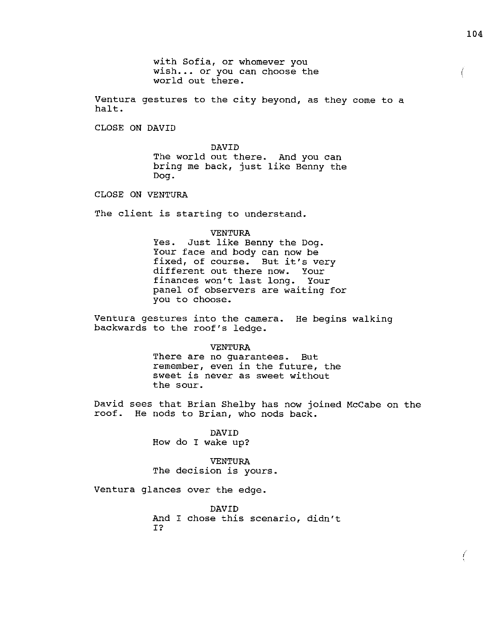Ventura gestures to the city beyond, as they come to a halt.

CLOSE ON DAVID

DAVID The world out there. And you can bring me back, just like Benny the Dog.

CLOSE ON VENTURA

The client is starting to understand.

VENTURA

Yes. Just like Benny the Dog. Your face and body can now be fixed, of course. But it's very different out there now. Your finances won't last long. Your panel of observers are waiting for you to choose.

Ventura gestures into the camera. He begins walking backwards to the roof's ledge.

> VENTURA There are no guarantees. But remember, even in the future, the sweet is never as sweet without the sour.

David sees that Brian Shelby has now joined McCabe on the roof. He nods to Brian, who nods back.

> DAVID How do I wake up?

VENTURA The decision is yours.

Ventura glances over the edge.

DAVID And I chose this scenario, didn't I?

 $\left($ 

Ĺ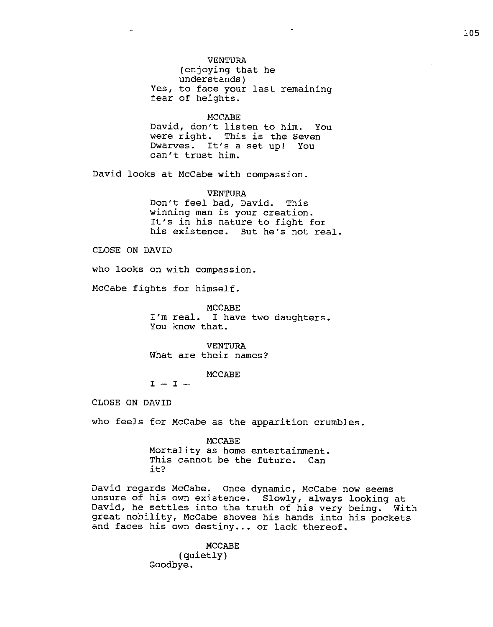VENTURA (enjoying that he understands) Yes, to face your last remaining fear of heights.

MCCABE David, don't listen to him. You were right. This is the Seven Dwarves. It's a set up! You can't trust him.

David looks at McCabe with compassion.

VENTURA Don't feel bad, David. This winning man is your creation. It's in his nature to fight for his existence. But he's not real.

CLOSE ON DAVID

who looks on with compassion.

McCabe fights for himself.

MCCABE I'm real. I have two daughters. You know that.

VENTURA What are their names?

MCCABE

 $I - I -$ 

CLOSE ON DAVID

who feels for McCabe as the apparition crumbles.

MCCABE Mortality as home entertainment. This cannot be the future. Can it?

David regards McCabe. Once dynamic, McCabe now seems unsure of his own existence. Slowly, always looking at David, he settles into the truth of his very being. With great nobility, McCabe shoves his hands into his pockets and faces his own destiny... or lack thereof.

MCCABE

(quietly) Goodbye.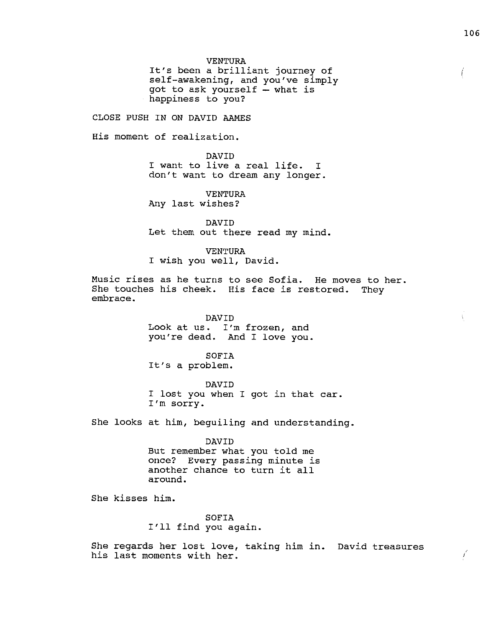It's been a brilliant journey of self-awakening, and you've simply got to ask yourself  $-$  what is happiness to you?

CLOSE PUSH IN ON DAVID AAMES

His moment of realization.

DAVID I want to live a real life. I don't want to dream any longer.

VENTURA Any last wishes?

DAVID Let them out there read my mind.

VENTURA

I wish you well, David.

Music rises as he turns to see Sofia. He moves to her. She touches his cheek. His face is restored. They embrace.

> DAVID Look at us. I'm frozen, and you're dead. And I love you.

SOFIA It's a problem.

DAVID I lost you when I got in that car. I'm sorry.

She looks at him, beguiling and understanding.

DAVID But remember what you told me once? Every passing minute is another chance to turn it all

around.

She kisses him.

SOFIA I'll find you again.

She regards her lost love, taking him in. David treasures his last moments with her.  $\frac{1}{2}$  and  $\frac{1}{2}$  and  $\frac{1}{2}$  and  $\frac{1}{2}$  and  $\frac{1}{2}$  and  $\frac{1}{2}$  and  $\frac{1}{2}$  and  $\frac{1}{2}$  and  $\frac{1}{2}$  and  $\frac{1}{2}$  and  $\frac{1}{2}$  and  $\frac{1}{2}$  and  $\frac{1}{2}$  and  $\frac{1}{2}$  an

Ļ